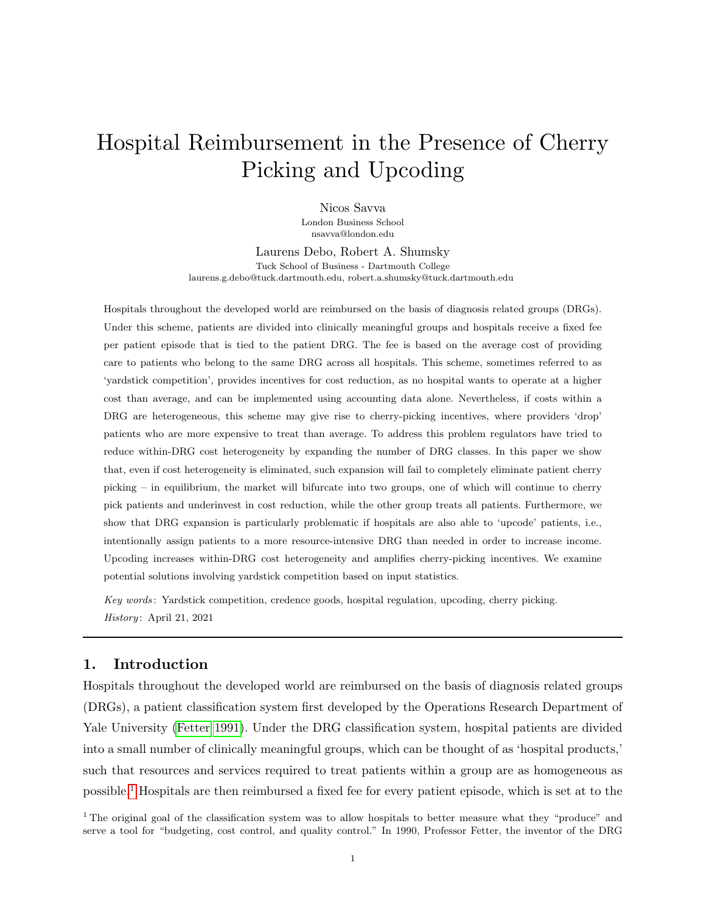# Hospital Reimbursement in the Presence of Cherry Picking and Upcoding

Nicos Savva London Business School nsavva@london.edu

Laurens Debo, Robert A. Shumsky Tuck School of Business - Dartmouth College laurens.g.debo@tuck.dartmouth.edu, robert.a.shumsky@tuck.dartmouth.edu

Hospitals throughout the developed world are reimbursed on the basis of diagnosis related groups (DRGs). Under this scheme, patients are divided into clinically meaningful groups and hospitals receive a fixed fee per patient episode that is tied to the patient DRG. The fee is based on the average cost of providing care to patients who belong to the same DRG across all hospitals. This scheme, sometimes referred to as 'yardstick competition', provides incentives for cost reduction, as no hospital wants to operate at a higher cost than average, and can be implemented using accounting data alone. Nevertheless, if costs within a DRG are heterogeneous, this scheme may give rise to cherry-picking incentives, where providers 'drop' patients who are more expensive to treat than average. To address this problem regulators have tried to reduce within-DRG cost heterogeneity by expanding the number of DRG classes. In this paper we show that, even if cost heterogeneity is eliminated, such expansion will fail to completely eliminate patient cherry picking – in equilibrium, the market will bifurcate into two groups, one of which will continue to cherry pick patients and underinvest in cost reduction, while the other group treats all patients. Furthermore, we show that DRG expansion is particularly problematic if hospitals are also able to 'upcode' patients, i.e., intentionally assign patients to a more resource-intensive DRG than needed in order to increase income. Upcoding increases within-DRG cost heterogeneity and amplifies cherry-picking incentives. We examine potential solutions involving yardstick competition based on input statistics.

Key words : Yardstick competition, credence goods, hospital regulation, upcoding, cherry picking.  $History: April 21, 2021$ 

## 1. Introduction

Hospitals throughout the developed world are reimbursed on the basis of diagnosis related groups (DRGs), a patient classification system first developed by the Operations Research Department of Yale University [\(Fetter 1991\)](#page-29-0). Under the DRG classification system, hospital patients are divided into a small number of clinically meaningful groups, which can be thought of as 'hospital products,' such that resources and services required to treat patients within a group are as homogeneous as possible.[1](#page-0-0) Hospitals are then reimbursed a fixed fee for every patient episode, which is set at to the

<span id="page-0-0"></span><sup>1</sup> The original goal of the classification system was to allow hospitals to better measure what they "produce" and serve a tool for "budgeting, cost control, and quality control." In 1990, Professor Fetter, the inventor of the DRG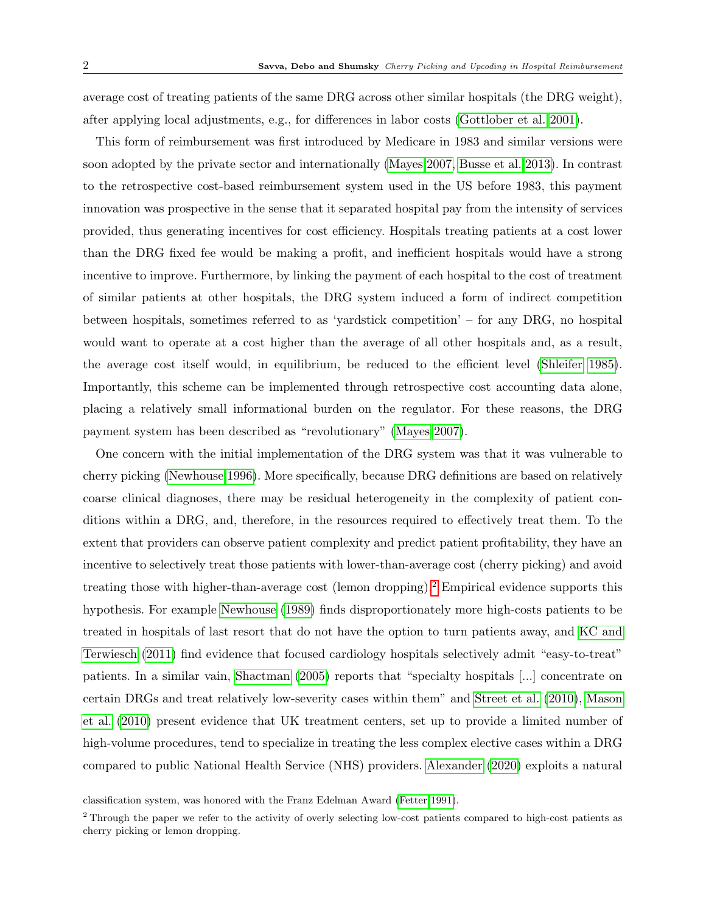average cost of treating patients of the same DRG across other similar hospitals (the DRG weight), after applying local adjustments, e.g., for differences in labor costs [\(Gottlober et al. 2001\)](#page-30-0).

This form of reimbursement was first introduced by Medicare in 1983 and similar versions were soon adopted by the private sector and internationally [\(Mayes 2007,](#page-31-0) [Busse et al. 2013\)](#page-29-1). In contrast to the retrospective cost-based reimbursement system used in the US before 1983, this payment innovation was prospective in the sense that it separated hospital pay from the intensity of services provided, thus generating incentives for cost efficiency. Hospitals treating patients at a cost lower than the DRG fixed fee would be making a profit, and inefficient hospitals would have a strong incentive to improve. Furthermore, by linking the payment of each hospital to the cost of treatment of similar patients at other hospitals, the DRG system induced a form of indirect competition between hospitals, sometimes referred to as 'yardstick competition' – for any DRG, no hospital would want to operate at a cost higher than the average of all other hospitals and, as a result, the average cost itself would, in equilibrium, be reduced to the efficient level [\(Shleifer 1985\)](#page-31-1). Importantly, this scheme can be implemented through retrospective cost accounting data alone, placing a relatively small informational burden on the regulator. For these reasons, the DRG payment system has been described as "revolutionary" [\(Mayes 2007\)](#page-31-0).

One concern with the initial implementation of the DRG system was that it was vulnerable to cherry picking [\(Newhouse 1996\)](#page-31-2). More specifically, because DRG definitions are based on relatively coarse clinical diagnoses, there may be residual heterogeneity in the complexity of patient conditions within a DRG, and, therefore, in the resources required to effectively treat them. To the extent that providers can observe patient complexity and predict patient profitability, they have an incentive to selectively treat those patients with lower-than-average cost (cherry picking) and avoid treating those with higher-than-average cost (lemon dropping).[2](#page-1-0) Empirical evidence supports this hypothesis. For example [Newhouse](#page-31-3) [\(1989\)](#page-31-3) finds disproportionately more high-costs patients to be treated in hospitals of last resort that do not have the option to turn patients away, and [KC and](#page-30-1) [Terwiesch](#page-30-1) [\(2011\)](#page-30-1) find evidence that focused cardiology hospitals selectively admit "easy-to-treat" patients. In a similar vain, [Shactman](#page-31-4) [\(2005\)](#page-31-4) reports that "specialty hospitals [...] concentrate on certain DRGs and treat relatively low-severity cases within them" and [Street et al.](#page-31-5) [\(2010\)](#page-31-5), [Mason](#page-31-6) [et al.](#page-31-6) [\(2010\)](#page-31-6) present evidence that UK treatment centers, set up to provide a limited number of high-volume procedures, tend to specialize in treating the less complex elective cases within a DRG compared to public National Health Service (NHS) providers. [Alexander](#page-29-2) [\(2020\)](#page-29-2) exploits a natural

classification system, was honored with the Franz Edelman Award [\(Fetter 1991\)](#page-29-0).

<span id="page-1-0"></span><sup>&</sup>lt;sup>2</sup> Through the paper we refer to the activity of overly selecting low-cost patients compared to high-cost patients as cherry picking or lemon dropping.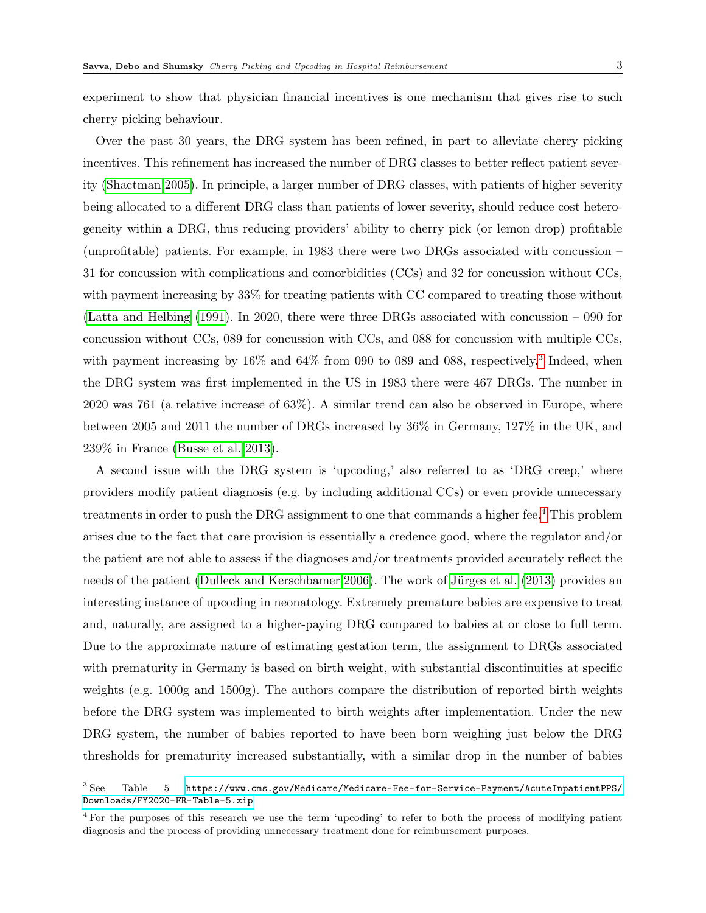experiment to show that physician financial incentives is one mechanism that gives rise to such cherry picking behaviour.

Over the past 30 years, the DRG system has been refined, in part to alleviate cherry picking incentives. This refinement has increased the number of DRG classes to better reflect patient severity [\(Shactman 2005\)](#page-31-4). In principle, a larger number of DRG classes, with patients of higher severity being allocated to a different DRG class than patients of lower severity, should reduce cost heterogeneity within a DRG, thus reducing providers' ability to cherry pick (or lemon drop) profitable (unprofitable) patients. For example, in 1983 there were two DRGs associated with concussion – 31 for concussion with complications and comorbidities (CCs) and 32 for concussion without CCs, with payment increasing by 33% for treating patients with CC compared to treating those without [\(Latta and Helbing](#page-30-2) [\(1991\)](#page-30-2). In 2020, there were three DRGs associated with concussion – 090 for concussion without CCs, 089 for concussion with CCs, and 088 for concussion with multiple CCs, with payment increasing by 16% and 64% from 090 to 089 and 088, respectively.<sup>[3](#page-2-0)</sup> Indeed, when the DRG system was first implemented in the US in 1983 there were 467 DRGs. The number in 2020 was 761 (a relative increase of 63%). A similar trend can also be observed in Europe, where between 2005 and 2011 the number of DRGs increased by 36% in Germany, 127% in the UK, and 239% in France [\(Busse et al. 2013\)](#page-29-1).

A second issue with the DRG system is 'upcoding,' also referred to as 'DRG creep,' where providers modify patient diagnosis (e.g. by including additional CCs) or even provide unnecessary treatments in order to push the DRG assignment to one that commands a higher fee.[4](#page-2-1) This problem arises due to the fact that care provision is essentially a credence good, where the regulator and/or the patient are not able to assess if the diagnoses and/or treatments provided accurately reflect the needs of the patient [\(Dulleck and Kerschbamer 2006\)](#page-29-3). The work of Jürges et al. [\(2013\)](#page-30-3) provides an interesting instance of upcoding in neonatology. Extremely premature babies are expensive to treat and, naturally, are assigned to a higher-paying DRG compared to babies at or close to full term. Due to the approximate nature of estimating gestation term, the assignment to DRGs associated with prematurity in Germany is based on birth weight, with substantial discontinuities at specific weights (e.g. 1000g and 1500g). The authors compare the distribution of reported birth weights before the DRG system was implemented to birth weights after implementation. Under the new DRG system, the number of babies reported to have been born weighing just below the DRG thresholds for prematurity increased substantially, with a similar drop in the number of babies

<span id="page-2-0"></span> $3$  See Table  $5$  [https://www.cms.gov/Medicare/Medicare-Fee-for-Service-Payment/AcuteInpatientPPS/](https://www.cms.gov/Medicare/Medicare-Fee-for-Service-Payment/AcuteInpatientPPS/Downloads/FY2020-FR-Table-5.zip) [Downloads/FY2020-FR-Table-5.zip](https://www.cms.gov/Medicare/Medicare-Fee-for-Service-Payment/AcuteInpatientPPS/Downloads/FY2020-FR-Table-5.zip)

<span id="page-2-1"></span><sup>4</sup> For the purposes of this research we use the term 'upcoding' to refer to both the process of modifying patient diagnosis and the process of providing unnecessary treatment done for reimbursement purposes.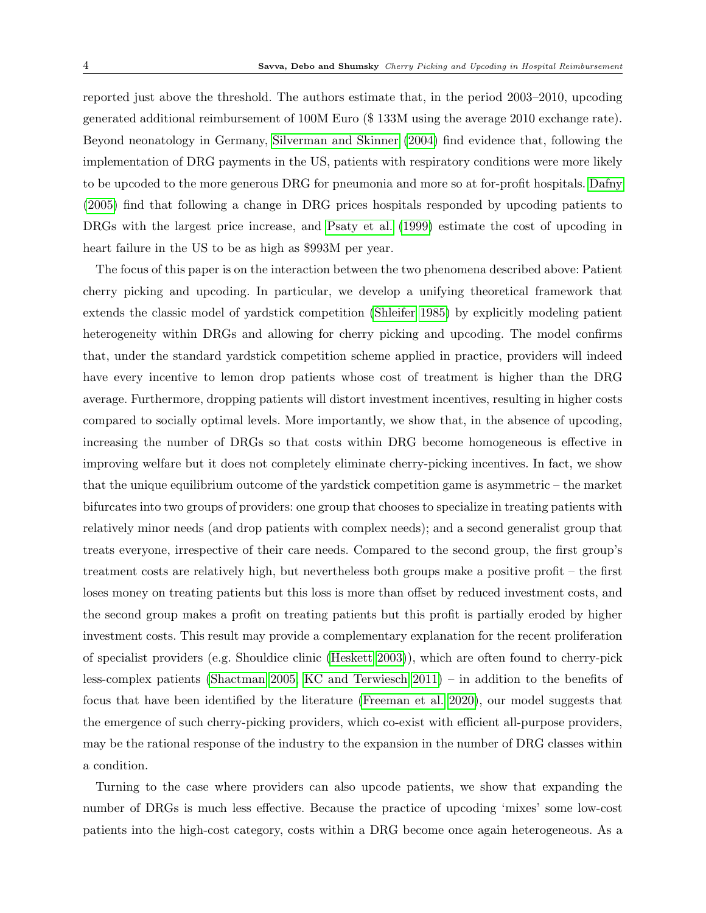reported just above the threshold. The authors estimate that, in the period 2003–2010, upcoding generated additional reimbursement of 100M Euro (\$ 133M using the average 2010 exchange rate). Beyond neonatology in Germany, [Silverman and Skinner](#page-31-7) [\(2004\)](#page-31-7) find evidence that, following the implementation of DRG payments in the US, patients with respiratory conditions were more likely to be upcoded to the more generous DRG for pneumonia and more so at for-profit hospitals. [Dafny](#page-29-4) [\(2005\)](#page-29-4) find that following a change in DRG prices hospitals responded by upcoding patients to DRGs with the largest price increase, and [Psaty et al.](#page-31-8) [\(1999\)](#page-31-8) estimate the cost of upcoding in heart failure in the US to be as high as \$993M per year.

The focus of this paper is on the interaction between the two phenomena described above: Patient cherry picking and upcoding. In particular, we develop a unifying theoretical framework that extends the classic model of yardstick competition [\(Shleifer 1985\)](#page-31-1) by explicitly modeling patient heterogeneity within DRGs and allowing for cherry picking and upcoding. The model confirms that, under the standard yardstick competition scheme applied in practice, providers will indeed have every incentive to lemon drop patients whose cost of treatment is higher than the DRG average. Furthermore, dropping patients will distort investment incentives, resulting in higher costs compared to socially optimal levels. More importantly, we show that, in the absence of upcoding, increasing the number of DRGs so that costs within DRG become homogeneous is effective in improving welfare but it does not completely eliminate cherry-picking incentives. In fact, we show that the unique equilibrium outcome of the yardstick competition game is asymmetric – the market bifurcates into two groups of providers: one group that chooses to specialize in treating patients with relatively minor needs (and drop patients with complex needs); and a second generalist group that treats everyone, irrespective of their care needs. Compared to the second group, the first group's treatment costs are relatively high, but nevertheless both groups make a positive profit – the first loses money on treating patients but this loss is more than offset by reduced investment costs, and the second group makes a profit on treating patients but this profit is partially eroded by higher investment costs. This result may provide a complementary explanation for the recent proliferation of specialist providers (e.g. Shouldice clinic [\(Heskett 2003\)](#page-30-4)), which are often found to cherry-pick less-complex patients [\(Shactman 2005,](#page-31-4) [KC and Terwiesch 2011\)](#page-30-1) – in addition to the benefits of focus that have been identified by the literature [\(Freeman et al. 2020\)](#page-29-5), our model suggests that the emergence of such cherry-picking providers, which co-exist with efficient all-purpose providers, may be the rational response of the industry to the expansion in the number of DRG classes within a condition.

Turning to the case where providers can also upcode patients, we show that expanding the number of DRGs is much less effective. Because the practice of upcoding 'mixes' some low-cost patients into the high-cost category, costs within a DRG become once again heterogeneous. As a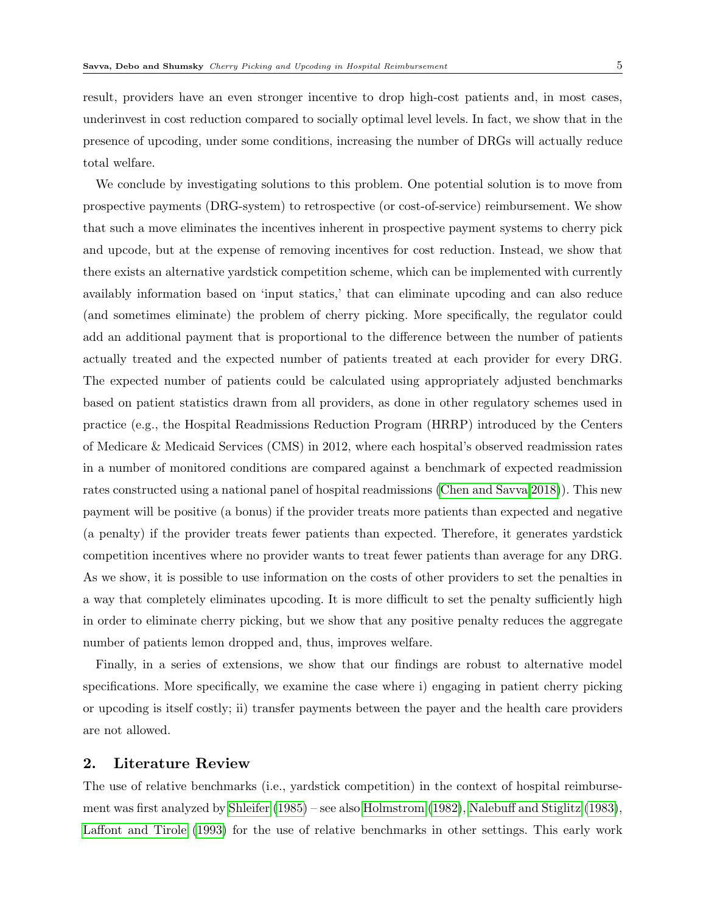total welfare.

result, providers have an even stronger incentive to drop high-cost patients and, in most cases, underinvest in cost reduction compared to socially optimal level levels. In fact, we show that in the presence of upcoding, under some conditions, increasing the number of DRGs will actually reduce

We conclude by investigating solutions to this problem. One potential solution is to move from prospective payments (DRG-system) to retrospective (or cost-of-service) reimbursement. We show that such a move eliminates the incentives inherent in prospective payment systems to cherry pick and upcode, but at the expense of removing incentives for cost reduction. Instead, we show that there exists an alternative yardstick competition scheme, which can be implemented with currently availably information based on 'input statics,' that can eliminate upcoding and can also reduce (and sometimes eliminate) the problem of cherry picking. More specifically, the regulator could add an additional payment that is proportional to the difference between the number of patients actually treated and the expected number of patients treated at each provider for every DRG. The expected number of patients could be calculated using appropriately adjusted benchmarks based on patient statistics drawn from all providers, as done in other regulatory schemes used in practice (e.g., the Hospital Readmissions Reduction Program (HRRP) introduced by the Centers of Medicare & Medicaid Services (CMS) in 2012, where each hospital's observed readmission rates in a number of monitored conditions are compared against a benchmark of expected readmission rates constructed using a national panel of hospital readmissions [\(Chen and Savva 2018\)](#page-29-6)). This new payment will be positive (a bonus) if the provider treats more patients than expected and negative (a penalty) if the provider treats fewer patients than expected. Therefore, it generates yardstick competition incentives where no provider wants to treat fewer patients than average for any DRG. As we show, it is possible to use information on the costs of other providers to set the penalties in a way that completely eliminates upcoding. It is more difficult to set the penalty sufficiently high in order to eliminate cherry picking, but we show that any positive penalty reduces the aggregate number of patients lemon dropped and, thus, improves welfare.

Finally, in a series of extensions, we show that our findings are robust to alternative model specifications. More specifically, we examine the case where i) engaging in patient cherry picking or upcoding is itself costly; ii) transfer payments between the payer and the health care providers are not allowed.

## 2. Literature Review

The use of relative benchmarks (i.e., yardstick competition) in the context of hospital reimbursement was first analyzed by [Shleifer](#page-31-1) [\(1985\)](#page-31-1) – see also [Holmstrom](#page-30-5) [\(1982\)](#page-30-5), [Nalebuff and Stiglitz](#page-31-9) [\(1983\)](#page-31-9), [Laffont and Tirole](#page-30-6) [\(1993\)](#page-30-6) for the use of relative benchmarks in other settings. This early work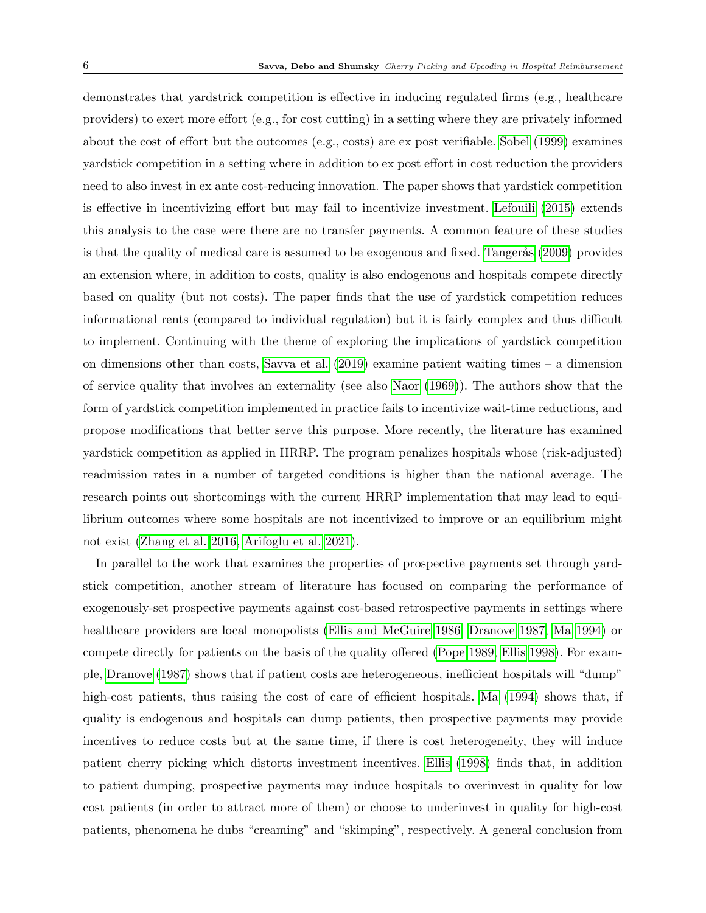demonstrates that yardstrick competition is effective in inducing regulated firms (e.g., healthcare providers) to exert more effort (e.g., for cost cutting) in a setting where they are privately informed about the cost of effort but the outcomes (e.g., costs) are ex post verifiable. [Sobel](#page-31-10) [\(1999\)](#page-31-10) examines yardstick competition in a setting where in addition to ex post effort in cost reduction the providers need to also invest in ex ante cost-reducing innovation. The paper shows that yardstick competition is effective in incentivizing effort but may fail to incentivize investment. [Lefouili](#page-30-7) [\(2015\)](#page-30-7) extends this analysis to the case were there are no transfer payments. A common feature of these studies is that the quality of medical care is assumed to be exogenous and fixed. Tangerås [\(2009\)](#page-31-11) provides an extension where, in addition to costs, quality is also endogenous and hospitals compete directly based on quality (but not costs). The paper finds that the use of yardstick competition reduces informational rents (compared to individual regulation) but it is fairly complex and thus difficult to implement. Continuing with the theme of exploring the implications of yardstick competition on dimensions other than costs, [Savva et al.](#page-31-12) [\(2019\)](#page-31-12) examine patient waiting times – a dimension of service quality that involves an externality (see also [Naor](#page-31-13) [\(1969\)](#page-31-13)). The authors show that the form of yardstick competition implemented in practice fails to incentivize wait-time reductions, and propose modifications that better serve this purpose. More recently, the literature has examined yardstick competition as applied in HRRP. The program penalizes hospitals whose (risk-adjusted) readmission rates in a number of targeted conditions is higher than the national average. The research points out shortcomings with the current HRRP implementation that may lead to equilibrium outcomes where some hospitals are not incentivized to improve or an equilibrium might not exist [\(Zhang et al. 2016,](#page-32-0) [Arifoglu et al. 2021\)](#page-29-7).

In parallel to the work that examines the properties of prospective payments set through yardstick competition, another stream of literature has focused on comparing the performance of exogenously-set prospective payments against cost-based retrospective payments in settings where healthcare providers are local monopolists [\(Ellis and McGuire 1986,](#page-29-8) [Dranove 1987,](#page-29-9) [Ma 1994\)](#page-30-8) or compete directly for patients on the basis of the quality offered [\(Pope 1989,](#page-31-14) [Ellis 1998\)](#page-29-10). For example, [Dranove](#page-29-9) [\(1987\)](#page-29-9) shows that if patient costs are heterogeneous, inefficient hospitals will "dump" high-cost patients, thus raising the cost of care of efficient hospitals. [Ma](#page-30-8)  $(1994)$  shows that, if quality is endogenous and hospitals can dump patients, then prospective payments may provide incentives to reduce costs but at the same time, if there is cost heterogeneity, they will induce patient cherry picking which distorts investment incentives. [Ellis](#page-29-10) [\(1998\)](#page-29-10) finds that, in addition to patient dumping, prospective payments may induce hospitals to overinvest in quality for low cost patients (in order to attract more of them) or choose to underinvest in quality for high-cost patients, phenomena he dubs "creaming" and "skimping", respectively. A general conclusion from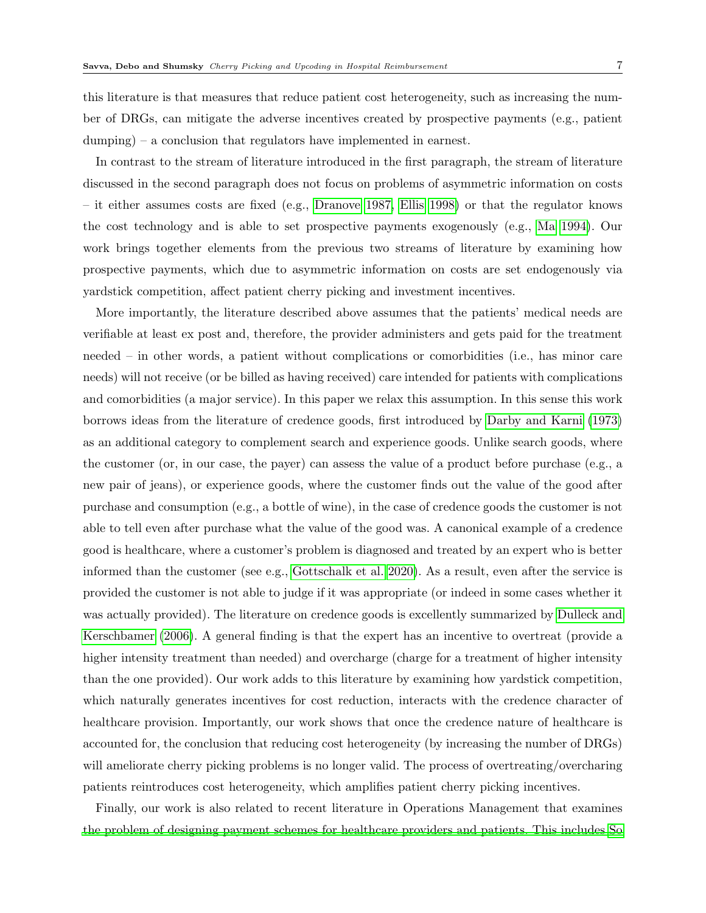this literature is that measures that reduce patient cost heterogeneity, such as increasing the number of DRGs, can mitigate the adverse incentives created by prospective payments (e.g., patient dumping) – a conclusion that regulators have implemented in earnest.

In contrast to the stream of literature introduced in the first paragraph, the stream of literature discussed in the second paragraph does not focus on problems of asymmetric information on costs – it either assumes costs are fixed (e.g., [Dranove 1987,](#page-29-9) [Ellis 1998\)](#page-29-10) or that the regulator knows the cost technology and is able to set prospective payments exogenously (e.g., [Ma 1994\)](#page-30-8). Our work brings together elements from the previous two streams of literature by examining how prospective payments, which due to asymmetric information on costs are set endogenously via yardstick competition, affect patient cherry picking and investment incentives.

More importantly, the literature described above assumes that the patients' medical needs are verifiable at least ex post and, therefore, the provider administers and gets paid for the treatment needed – in other words, a patient without complications or comorbidities (i.e., has minor care needs) will not receive (or be billed as having received) care intended for patients with complications and comorbidities (a major service). In this paper we relax this assumption. In this sense this work borrows ideas from the literature of credence goods, first introduced by [Darby and Karni](#page-29-11) [\(1973\)](#page-29-11) as an additional category to complement search and experience goods. Unlike search goods, where the customer (or, in our case, the payer) can assess the value of a product before purchase (e.g., a new pair of jeans), or experience goods, where the customer finds out the value of the good after purchase and consumption (e.g., a bottle of wine), in the case of credence goods the customer is not able to tell even after purchase what the value of the good was. A canonical example of a credence good is healthcare, where a customer's problem is diagnosed and treated by an expert who is better informed than the customer (see e.g., [Gottschalk et al. 2020\)](#page-30-9). As a result, even after the service is provided the customer is not able to judge if it was appropriate (or indeed in some cases whether it was actually provided). The literature on credence goods is excellently summarized by [Dulleck and](#page-29-3) [Kerschbamer](#page-29-3) [\(2006\)](#page-29-3). A general finding is that the expert has an incentive to overtreat (provide a higher intensity treatment than needed) and overcharge (charge for a treatment of higher intensity than the one provided). Our work adds to this literature by examining how yardstick competition, which naturally generates incentives for cost reduction, interacts with the credence character of healthcare provision. Importantly, our work shows that once the credence nature of healthcare is accounted for, the conclusion that reducing cost heterogeneity (by increasing the number of DRGs) will ameliorate cherry picking problems is no longer valid. The process of overtreating/overcharing patients reintroduces cost heterogeneity, which amplifies patient cherry picking incentives.

Finally, our work is also related to recent literature in Operations Management that examines [the problem of designing payment schemes for healthcare providers and patients. This includes So](#page-31-15)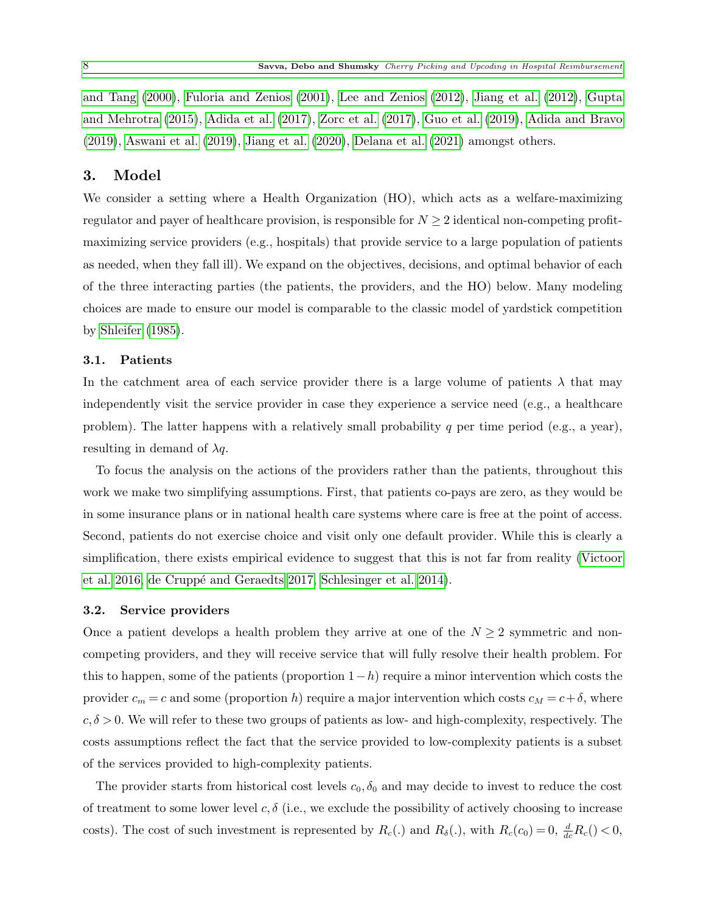[and Tang](#page-31-15) [\(2000\)](#page-31-15), [Fuloria and Zenios](#page-29-12) [\(2001\)](#page-29-12), [Lee and Zenios](#page-30-10) [\(2012\)](#page-30-10), [Jiang et al.](#page-30-11) [\(2012\)](#page-30-11), [Gupta](#page-30-12) [and Mehrotra](#page-30-12) [\(2015\)](#page-30-12), [Adida et al.](#page-29-13) [\(2017\)](#page-29-13), [Zorc et al.](#page-32-1) [\(2017\)](#page-32-1), [Guo et al.](#page-30-13) [\(2019\)](#page-30-13), [Adida and Bravo](#page-28-0) [\(2019\)](#page-28-0), [Aswani et al.](#page-29-14) [\(2019\)](#page-29-14), [Jiang et al.](#page-30-14) [\(2020\)](#page-30-14), [Delana et al.](#page-29-15) [\(2021\)](#page-29-15) amongst others.

## 3. Model

We consider a setting where a Health Organization (HO), which acts as a welfare-maximizing regulator and payer of healthcare provision, is responsible for  $N \geq 2$  identical non-competing profitmaximizing service providers (e.g., hospitals) that provide service to a large population of patients as needed, when they fall ill). We expand on the objectives, decisions, and optimal behavior of each of the three interacting parties (the patients, the providers, and the HO) below. Many modeling choices are made to ensure our model is comparable to the classic model of yardstick competition by [Shleifer](#page-31-1) [\(1985\)](#page-31-1).

### 3.1. Patients

In the catchment area of each service provider there is a large volume of patients  $\lambda$  that may independently visit the service provider in case they experience a service need (e.g., a healthcare problem). The latter happens with a relatively small probability q per time period (e.g., a year), resulting in demand of  $\lambda q$ .

To focus the analysis on the actions of the providers rather than the patients, throughout this work we make two simplifying assumptions. First, that patients co-pays are zero, as they would be in some insurance plans or in national health care systems where care is free at the point of access. Second, patients do not exercise choice and visit only one default provider. While this is clearly a simplification, there exists empirical evidence to suggest that this is not far from reality [\(Victoor](#page-32-2) [et al. 2016,](#page-32-2) de Cruppé and Geraedts 2017, [Schlesinger et al. 2014\)](#page-31-16).

### <span id="page-7-0"></span>3.2. Service providers

Once a patient develops a health problem they arrive at one of the  $N \geq 2$  symmetric and noncompeting providers, and they will receive service that will fully resolve their health problem. For this to happen, some of the patients (proportion  $1-h$ ) require a minor intervention which costs the provider  $c_m = c$  and some (proportion h) require a major intervention which costs  $c_M = c + \delta$ , where  $c, \delta > 0$ . We will refer to these two groups of patients as low- and high-complexity, respectively. The costs assumptions reflect the fact that the service provided to low-complexity patients is a subset of the services provided to high-complexity patients.

The provider starts from historical cost levels  $c_0, \delta_0$  and may decide to invest to reduce the cost of treatment to some lower level c,  $\delta$  (i.e., we exclude the possibility of actively choosing to increase costs). The cost of such investment is represented by  $R_c(.)$  and  $R_\delta(.)$ , with  $R_c(c_0) = 0$ ,  $\frac{d}{dc}R_c() < 0$ ,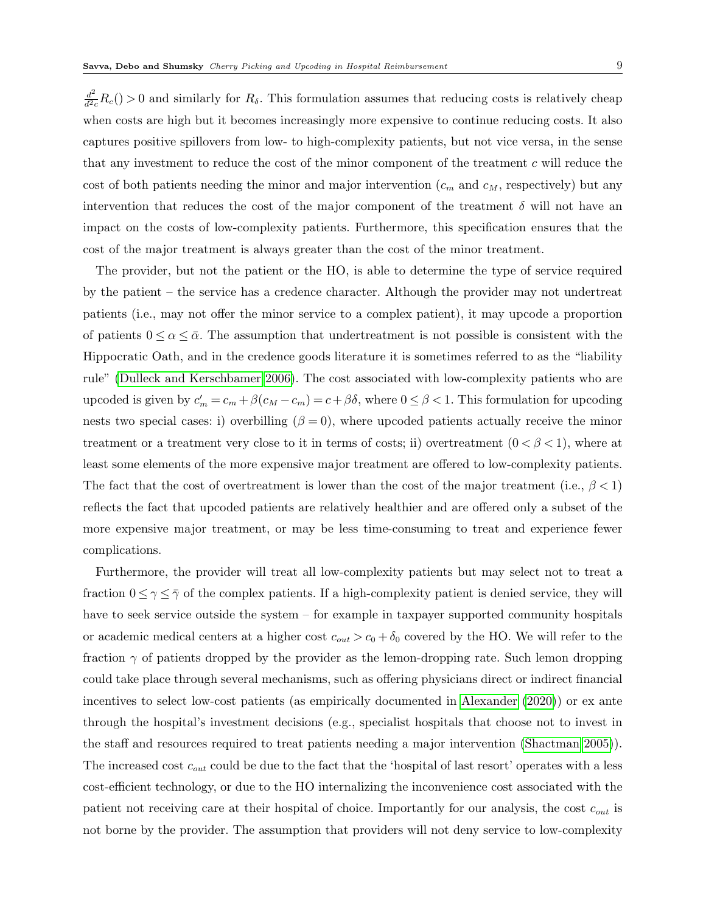$\frac{d^2}{d^2c}R_c$  o and similarly for  $R_\delta$ . This formulation assumes that reducing costs is relatively cheap when costs are high but it becomes increasingly more expensive to continue reducing costs. It also captures positive spillovers from low- to high-complexity patients, but not vice versa, in the sense that any investment to reduce the cost of the minor component of the treatment c will reduce the cost of both patients needing the minor and major intervention  $(c_m$  and  $c_M$ , respectively) but any intervention that reduces the cost of the major component of the treatment  $\delta$  will not have an impact on the costs of low-complexity patients. Furthermore, this specification ensures that the cost of the major treatment is always greater than the cost of the minor treatment.

The provider, but not the patient or the HO, is able to determine the type of service required by the patient – the service has a credence character. Although the provider may not undertreat patients (i.e., may not offer the minor service to a complex patient), it may upcode a proportion of patients  $0 \le \alpha \le \bar{\alpha}$ . The assumption that undertreatment is not possible is consistent with the Hippocratic Oath, and in the credence goods literature it is sometimes referred to as the "liability rule" [\(Dulleck and Kerschbamer 2006\)](#page-29-3). The cost associated with low-complexity patients who are upcoded is given by  $c'_m = c_m + \beta(c_M - c_m) = c + \beta \delta$ , where  $0 \le \beta < 1$ . This formulation for upcoding nests two special cases: i) overbilling  $(\beta = 0)$ , where upcoded patients actually receive the minor treatment or a treatment very close to it in terms of costs; ii) overtreatment  $(0 < \beta < 1)$ , where at least some elements of the more expensive major treatment are offered to low-complexity patients. The fact that the cost of overtreatment is lower than the cost of the major treatment (i.e.,  $\beta$  < 1) reflects the fact that upcoded patients are relatively healthier and are offered only a subset of the more expensive major treatment, or may be less time-consuming to treat and experience fewer complications.

Furthermore, the provider will treat all low-complexity patients but may select not to treat a fraction  $0 \leq \gamma \leq \bar{\gamma}$  of the complex patients. If a high-complexity patient is denied service, they will have to seek service outside the system – for example in taxpayer supported community hospitals or academic medical centers at a higher cost  $c_{out} > c_0 + \delta_0$  covered by the HO. We will refer to the fraction  $\gamma$  of patients dropped by the provider as the lemon-dropping rate. Such lemon dropping could take place through several mechanisms, such as offering physicians direct or indirect financial incentives to select low-cost patients (as empirically documented in [Alexander](#page-29-2) [\(2020\)](#page-29-2)) or ex ante through the hospital's investment decisions (e.g., specialist hospitals that choose not to invest in the staff and resources required to treat patients needing a major intervention [\(Shactman 2005\)](#page-31-4)). The increased cost  $c_{out}$  could be due to the fact that the 'hospital of last resort' operates with a less cost-efficient technology, or due to the HO internalizing the inconvenience cost associated with the patient not receiving care at their hospital of choice. Importantly for our analysis, the cost  $c_{out}$  is not borne by the provider. The assumption that providers will not deny service to low-complexity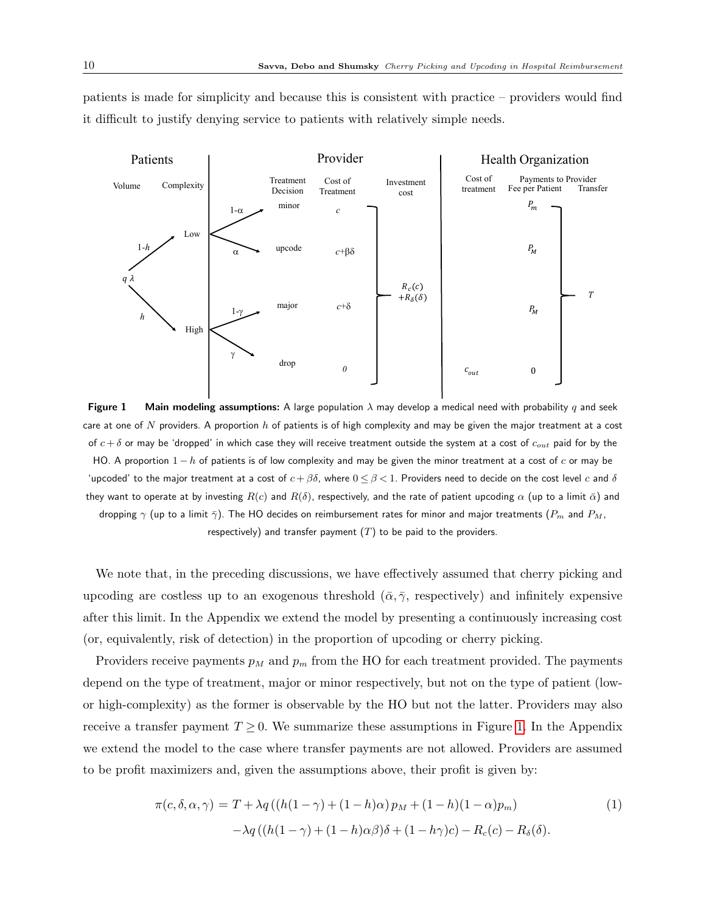<span id="page-9-0"></span>patients is made for simplicity and because this is consistent with practice – providers would find it difficult to justify denying service to patients with relatively simple needs.



**Figure 1** Main modeling assumptions: A large population  $\lambda$  may develop a medical need with probability q and seek care at one of  $N$  providers. A proportion  $h$  of patients is of high complexity and may be given the major treatment at a cost of  $c + \delta$  or may be 'dropped' in which case they will receive treatment outside the system at a cost of  $c_{out}$  paid for by the HO. A proportion  $1-h$  of patients is of low complexity and may be given the minor treatment at a cost of c or may be 'upcoded' to the major treatment at a cost of  $c + \beta \delta$ , where  $0 \le \beta < 1$ . Providers need to decide on the cost level  $c$  and  $\delta$ they want to operate at by investing  $R(c)$  and  $R(\delta)$ , respectively, and the rate of patient upcoding  $\alpha$  (up to a limit  $\bar{\alpha}$ ) and dropping  $\gamma$  (up to a limit  $\bar{\gamma}$ ). The HO decides on reimbursement rates for minor and major treatments ( $P_m$  and  $P_M$ , respectively) and transfer payment  $(T)$  to be paid to the providers.

We note that, in the preceding discussions, we have effectively assumed that cherry picking and upcoding are costless up to an exogenous threshold  $(\bar{\alpha}, \bar{\gamma},$  respectively) and infinitely expensive after this limit. In the Appendix we extend the model by presenting a continuously increasing cost (or, equivalently, risk of detection) in the proportion of upcoding or cherry picking.

Providers receive payments  $p_M$  and  $p_m$  from the HO for each treatment provided. The payments depend on the type of treatment, major or minor respectively, but not on the type of patient (lowor high-complexity) as the former is observable by the HO but not the latter. Providers may also receive a transfer payment  $T \geq 0$ . We summarize these assumptions in Figure [1.](#page-9-0) In the Appendix we extend the model to the case where transfer payments are not allowed. Providers are assumed to be profit maximizers and, given the assumptions above, their profit is given by:

<span id="page-9-1"></span>
$$
\pi(c,\delta,\alpha,\gamma) = T + \lambda q((h(1-\gamma) + (1-h)\alpha)p_M + (1-h)(1-\alpha)p_m)
$$
  

$$
-\lambda q((h(1-\gamma) + (1-h)\alpha\beta)\delta + (1-h\gamma)c) - R_c(c) - R_\delta(\delta).
$$
 (1)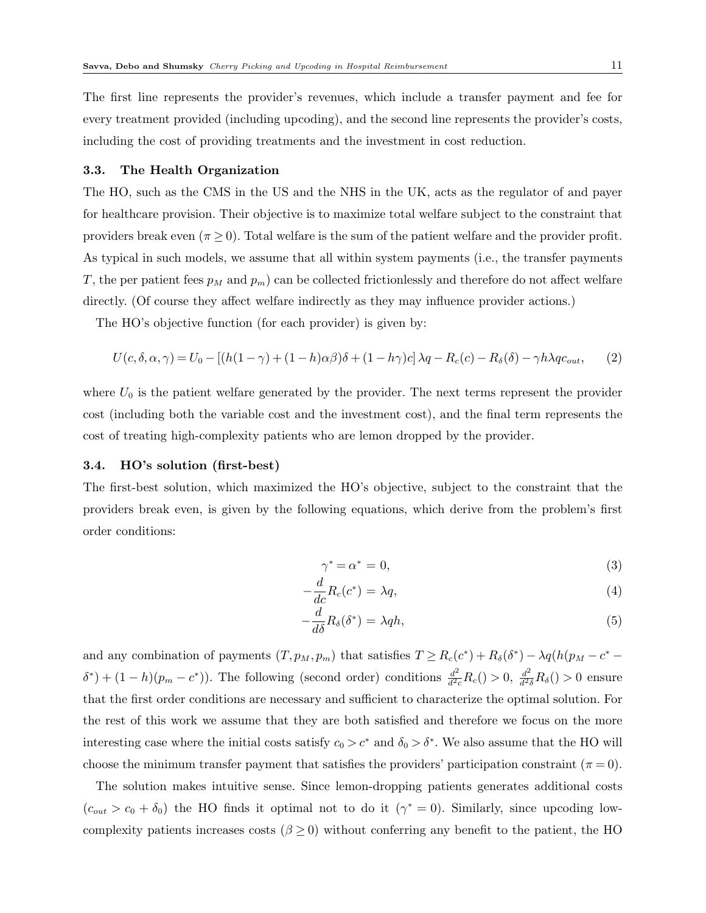The first line represents the provider's revenues, which include a transfer payment and fee for every treatment provided (including upcoding), and the second line represents the provider's costs, including the cost of providing treatments and the investment in cost reduction.

### 3.3. The Health Organization

The HO, such as the CMS in the US and the NHS in the UK, acts as the regulator of and payer for healthcare provision. Their objective is to maximize total welfare subject to the constraint that providers break even ( $\pi \geq 0$ ). Total welfare is the sum of the patient welfare and the provider profit. As typical in such models, we assume that all within system payments (i.e., the transfer payments T, the per patient fees  $p_M$  and  $p_m$ ) can be collected frictionlessly and therefore do not affect welfare directly. (Of course they affect welfare indirectly as they may influence provider actions.)

The HO's objective function (for each provider) is given by:

<span id="page-10-0"></span>
$$
U(c, \delta, \alpha, \gamma) = U_0 - [(h(1 - \gamma) + (1 - h)\alpha\beta)\delta + (1 - h\gamma)c]\lambda q - R_c(c) - R_\delta(\delta) - \gamma h\lambda q c_{out}, \qquad (2)
$$

where  $U_0$  is the patient welfare generated by the provider. The next terms represent the provider cost (including both the variable cost and the investment cost), and the final term represents the cost of treating high-complexity patients who are lemon dropped by the provider.

### 3.4. HO's solution (first-best)

The first-best solution, which maximized the HO's objective, subject to the constraint that the providers break even, is given by the following equations, which derive from the problem's first order conditions:

$$
\gamma^* = \alpha^* = 0,\tag{3}
$$

$$
-\frac{d}{dc}R_c(c^*) = \lambda q,\t\t(4)
$$

$$
-\frac{d}{d\delta}R_{\delta}(\delta^*) = \lambda q h, \qquad (5)
$$

and any combination of payments  $(T, p_M, p_m)$  that satisfies  $T \ge R_c(c^*) + R_{\delta}(\delta^*) - \lambda q(h(p_M - c^*)$  $\delta^*$  +  $(1-h)(p_m - c^*)$ ). The following (second order) conditions  $\frac{d^2}{d^2c}R_c$  () > 0,  $\frac{d^2}{d^2\delta}R_\delta$  () > 0 ensure that the first order conditions are necessary and sufficient to characterize the optimal solution. For the rest of this work we assume that they are both satisfied and therefore we focus on the more interesting case where the initial costs satisfy  $c_0 > c^*$  and  $\delta_0 > \delta^*$ . We also assume that the HO will choose the minimum transfer payment that satisfies the providers' participation constraint ( $\pi = 0$ ).

The solution makes intuitive sense. Since lemon-dropping patients generates additional costs  $(c_{out} > c_0 + \delta_0)$  the HO finds it optimal not to do it  $(\gamma^* = 0)$ . Similarly, since upcoding lowcomplexity patients increases costs  $(\beta \geq 0)$  without conferring any benefit to the patient, the HO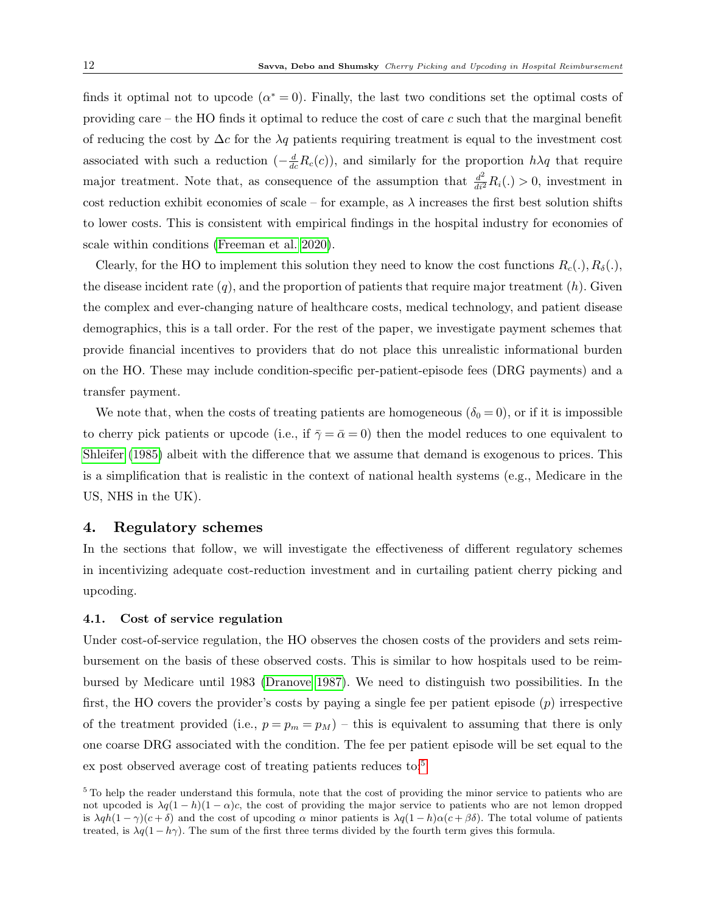finds it optimal not to upcode  $(\alpha^* = 0)$ . Finally, the last two conditions set the optimal costs of providing care – the HO finds it optimal to reduce the cost of care  $c$  such that the marginal benefit of reducing the cost by  $\Delta c$  for the  $\lambda q$  patients requiring treatment is equal to the investment cost associated with such a reduction  $(-\frac{d}{dc}R_c(c))$ , and similarly for the proportion  $h\lambda q$  that require major treatment. Note that, as consequence of the assumption that  $\frac{d^2}{dt^2}R_i(.)>0$ , investment in cost reduction exhibit economies of scale – for example, as  $\lambda$  increases the first best solution shifts to lower costs. This is consistent with empirical findings in the hospital industry for economies of scale within conditions [\(Freeman et al. 2020\)](#page-29-5).

Clearly, for the HO to implement this solution they need to know the cost functions  $R_c(.)$ ,  $R_\delta(.)$ , the disease incident rate  $(q)$ , and the proportion of patients that require major treatment  $(h)$ . Given the complex and ever-changing nature of healthcare costs, medical technology, and patient disease demographics, this is a tall order. For the rest of the paper, we investigate payment schemes that provide financial incentives to providers that do not place this unrealistic informational burden on the HO. These may include condition-specific per-patient-episode fees (DRG payments) and a transfer payment.

We note that, when the costs of treating patients are homogeneous  $(\delta_0 = 0)$ , or if it is impossible to cherry pick patients or upcode (i.e., if  $\bar{\gamma} = \bar{\alpha} = 0$ ) then the model reduces to one equivalent to [Shleifer](#page-31-1) [\(1985\)](#page-31-1) albeit with the difference that we assume that demand is exogenous to prices. This is a simplification that is realistic in the context of national health systems (e.g., Medicare in the US, NHS in the UK).

## 4. Regulatory schemes

In the sections that follow, we will investigate the effectiveness of different regulatory schemes in incentivizing adequate cost-reduction investment and in curtailing patient cherry picking and upcoding.

### 4.1. Cost of service regulation

Under cost-of-service regulation, the HO observes the chosen costs of the providers and sets reimbursement on the basis of these observed costs. This is similar to how hospitals used to be reimbursed by Medicare until 1983 [\(Dranove 1987\)](#page-29-9). We need to distinguish two possibilities. In the first, the HO covers the provider's costs by paying a single fee per patient episode  $(p)$  irrespective of the treatment provided (i.e.,  $p = p_m = p_M$ ) – this is equivalent to assuming that there is only one coarse DRG associated with the condition. The fee per patient episode will be set equal to the ex post observed average cost of treating patients reduces to:<sup>[5](#page-11-0)</sup>

<span id="page-11-0"></span><sup>&</sup>lt;sup>5</sup> To help the reader understand this formula, note that the cost of providing the minor service to patients who are not upcoded is  $\lambda q(1-h)(1-\alpha)c$ , the cost of providing the major service to patients who are not lemon dropped is  $\lambda q h(1 - \gamma)(c + \delta)$  and the cost of upcoding  $\alpha$  minor patients is  $\lambda q(1 - h)\alpha(c + \beta\delta)$ . The total volume of patients treated, is  $\lambda q(1 - h\gamma)$ . The sum of the first three terms divided by the fourth term gives this formula.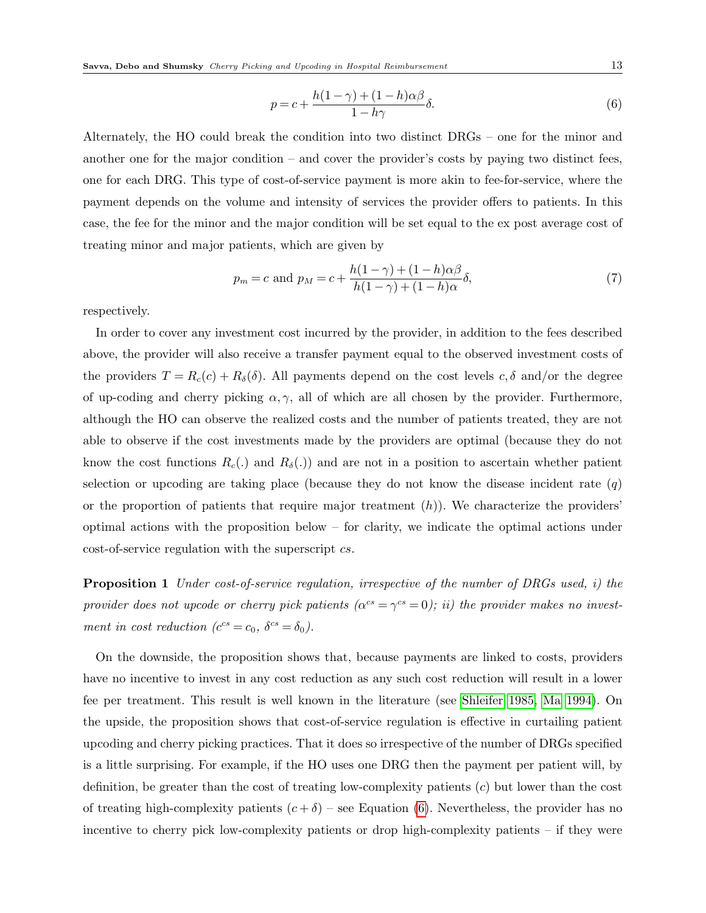<span id="page-12-0"></span>
$$
p = c + \frac{h(1 - \gamma) + (1 - h)\alpha\beta}{1 - h\gamma}\delta.
$$
\n<sup>(6)</sup>

Alternately, the HO could break the condition into two distinct DRGs – one for the minor and another one for the major condition – and cover the provider's costs by paying two distinct fees, one for each DRG. This type of cost-of-service payment is more akin to fee-for-service, where the payment depends on the volume and intensity of services the provider offers to patients. In this case, the fee for the minor and the major condition will be set equal to the ex post average cost of treating minor and major patients, which are given by

<span id="page-12-1"></span>
$$
p_m = c \text{ and } p_M = c + \frac{h(1 - \gamma) + (1 - h)\alpha\beta}{h(1 - \gamma) + (1 - h)\alpha} \delta,
$$
\n(7)

respectively.

In order to cover any investment cost incurred by the provider, in addition to the fees described above, the provider will also receive a transfer payment equal to the observed investment costs of the providers  $T = R_c(c) + R_\delta(\delta)$ . All payments depend on the cost levels  $c, \delta$  and/or the degree of up-coding and cherry picking  $\alpha, \gamma$ , all of which are all chosen by the provider. Furthermore, although the HO can observe the realized costs and the number of patients treated, they are not able to observe if the cost investments made by the providers are optimal (because they do not know the cost functions  $R_c(.)$  and  $R_\delta(.)$  and are not in a position to ascertain whether patient selection or upcoding are taking place (because they do not know the disease incident rate  $(q)$ ) or the proportion of patients that require major treatment  $(h)$ ). We characterize the providers' optimal actions with the proposition below – for clarity, we indicate the optimal actions under cost-of-service regulation with the superscript cs.

<span id="page-12-2"></span>**Proposition 1** Under cost-of-service regulation, irrespective of the number of DRGs used, i) the provider does not upcode or cherry pick patients  $(\alpha^{cs} = \gamma^{cs} = 0)$ ; ii) the provider makes no investment in cost reduction  $(c^{cs} = c_0, \ \delta^{cs} = \delta_0).$ 

On the downside, the proposition shows that, because payments are linked to costs, providers have no incentive to invest in any cost reduction as any such cost reduction will result in a lower fee per treatment. This result is well known in the literature (see [Shleifer 1985,](#page-31-1) [Ma 1994\)](#page-30-8). On the upside, the proposition shows that cost-of-service regulation is effective in curtailing patient upcoding and cherry picking practices. That it does so irrespective of the number of DRGs specified is a little surprising. For example, if the HO uses one DRG then the payment per patient will, by definition, be greater than the cost of treating low-complexity patients (c) but lower than the cost of treating high-complexity patients  $(c + \delta)$  – see Equation [\(6\)](#page-12-0). Nevertheless, the provider has no incentive to cherry pick low-complexity patients or drop high-complexity patients – if they were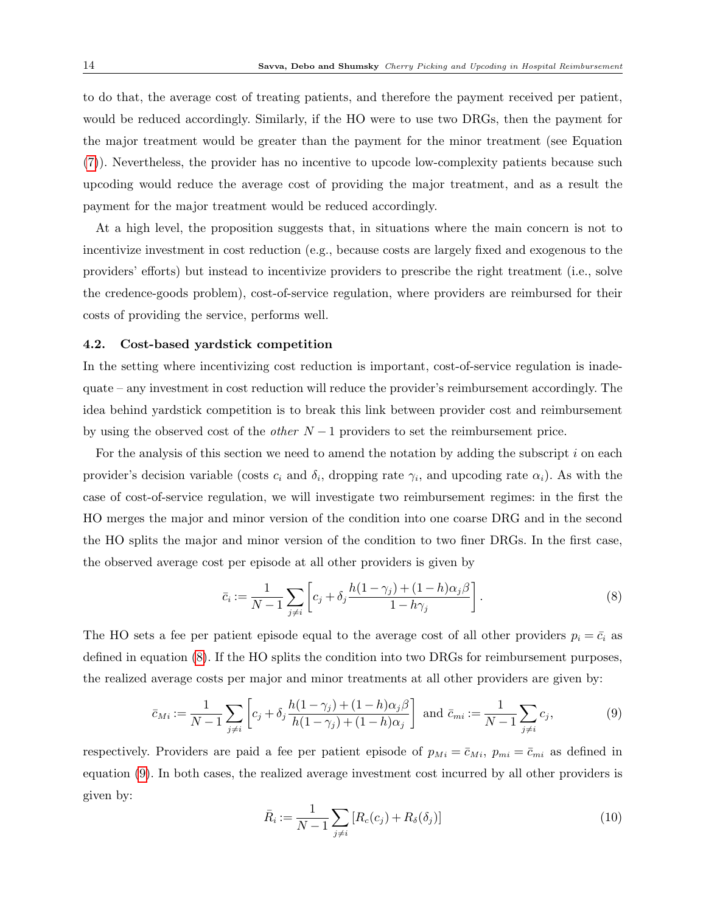to do that, the average cost of treating patients, and therefore the payment received per patient, would be reduced accordingly. Similarly, if the HO were to use two DRGs, then the payment for the major treatment would be greater than the payment for the minor treatment (see Equation [\(7\)](#page-12-1)). Nevertheless, the provider has no incentive to upcode low-complexity patients because such upcoding would reduce the average cost of providing the major treatment, and as a result the payment for the major treatment would be reduced accordingly.

At a high level, the proposition suggests that, in situations where the main concern is not to incentivize investment in cost reduction (e.g., because costs are largely fixed and exogenous to the providers' efforts) but instead to incentivize providers to prescribe the right treatment (i.e., solve the credence-goods problem), cost-of-service regulation, where providers are reimbursed for their costs of providing the service, performs well.

### <span id="page-13-2"></span>4.2. Cost-based yardstick competition

In the setting where incentivizing cost reduction is important, cost-of-service regulation is inadequate – any investment in cost reduction will reduce the provider's reimbursement accordingly. The idea behind yardstick competition is to break this link between provider cost and reimbursement by using the observed cost of the *other*  $N-1$  providers to set the reimbursement price.

For the analysis of this section we need to amend the notation by adding the subscript  $i$  on each provider's decision variable (costs  $c_i$  and  $\delta_i$ , dropping rate  $\gamma_i$ , and upcoding rate  $\alpha_i$ ). As with the case of cost-of-service regulation, we will investigate two reimbursement regimes: in the first the HO merges the major and minor version of the condition into one coarse DRG and in the second the HO splits the major and minor version of the condition to two finer DRGs. In the first case, the observed average cost per episode at all other providers is given by

<span id="page-13-0"></span>
$$
\bar{c}_i := \frac{1}{N-1} \sum_{j \neq i} \left[ c_j + \delta_j \frac{h(1-\gamma_j) + (1-h)\alpha_j \beta}{1-h\gamma_j} \right]. \tag{8}
$$

The HO sets a fee per patient episode equal to the average cost of all other providers  $p_i = \bar{c}_i$  as defined in equation [\(8\)](#page-13-0). If the HO splits the condition into two DRGs for reimbursement purposes, the realized average costs per major and minor treatments at all other providers are given by:

<span id="page-13-1"></span>
$$
\bar{c}_{Mi} := \frac{1}{N-1} \sum_{j \neq i} \left[ c_j + \delta_j \frac{h(1-\gamma_j) + (1-h)\alpha_j \beta}{h(1-\gamma_j) + (1-h)\alpha_j} \right] \text{ and } \bar{c}_{mi} := \frac{1}{N-1} \sum_{j \neq i} c_j,\tag{9}
$$

respectively. Providers are paid a fee per patient episode of  $p_{Mi} = \bar{c}_{Mi}$ ,  $p_{mi} = \bar{c}_{mi}$  as defined in equation [\(9\)](#page-13-1). In both cases, the realized average investment cost incurred by all other providers is given by:

$$
\bar{R}_i := \frac{1}{N-1} \sum_{j \neq i} \left[ R_c(c_j) + R_\delta(\delta_j) \right] \tag{10}
$$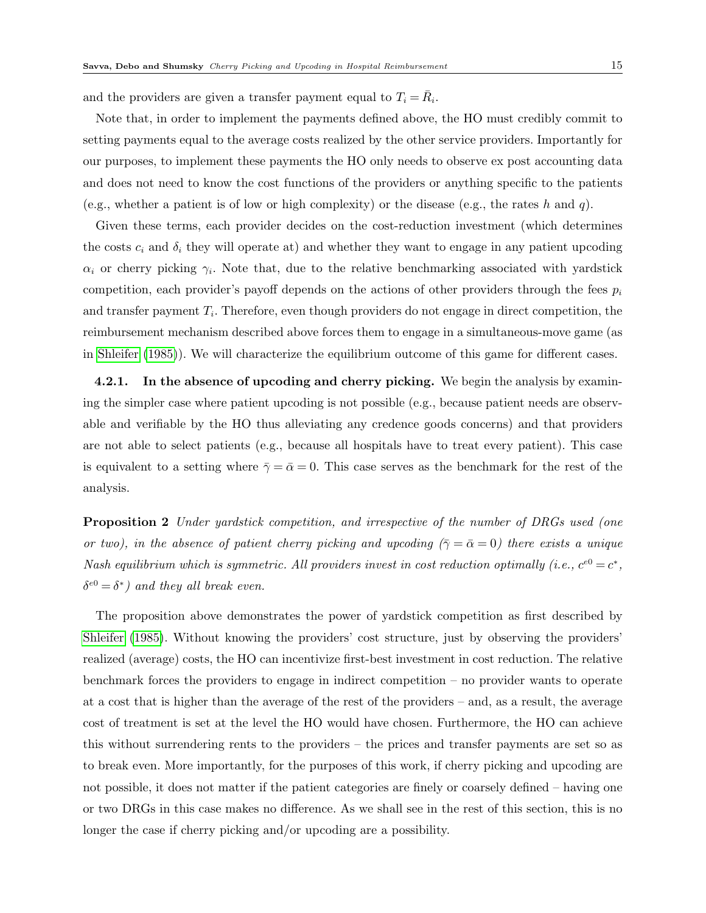and the providers are given a transfer payment equal to  $T_i = \overline{R}_i$ .

Note that, in order to implement the payments defined above, the HO must credibly commit to setting payments equal to the average costs realized by the other service providers. Importantly for our purposes, to implement these payments the HO only needs to observe ex post accounting data and does not need to know the cost functions of the providers or anything specific to the patients (e.g., whether a patient is of low or high complexity) or the disease (e.g., the rates h and q).

Given these terms, each provider decides on the cost-reduction investment (which determines the costs  $c_i$  and  $\delta_i$  they will operate at) and whether they want to engage in any patient upcoding  $\alpha_i$  or cherry picking  $\gamma_i$ . Note that, due to the relative benchmarking associated with yardstick competition, each provider's payoff depends on the actions of other providers through the fees  $p_i$ and transfer payment  $T_i$ . Therefore, even though providers do not engage in direct competition, the reimbursement mechanism described above forces them to engage in a simultaneous-move game (as in [Shleifer](#page-31-1) [\(1985\)](#page-31-1)). We will characterize the equilibrium outcome of this game for different cases.

**4.2.1.** In the absence of upcoding and cherry picking. We begin the analysis by examining the simpler case where patient upcoding is not possible (e.g., because patient needs are observable and verifiable by the HO thus alleviating any credence goods concerns) and that providers are not able to select patients (e.g., because all hospitals have to treat every patient). This case is equivalent to a setting where  $\bar{\gamma} = \bar{\alpha} = 0$ . This case serves as the benchmark for the rest of the analysis.

<span id="page-14-0"></span>**Proposition 2** Under yardstick competition, and irrespective of the number of DRGs used (one or two), in the absence of patient cherry picking and upcoding ( $\bar{\gamma} = \bar{\alpha} = 0$ ) there exists a unique Nash equilibrium which is symmetric. All providers invest in cost reduction optimally (i.e.,  $c^{e0} = c^*$ ,  $\delta^{e0} = \delta^*$ ) and they all break even.

The proposition above demonstrates the power of yardstick competition as first described by [Shleifer](#page-31-1) [\(1985\)](#page-31-1). Without knowing the providers' cost structure, just by observing the providers' realized (average) costs, the HO can incentivize first-best investment in cost reduction. The relative benchmark forces the providers to engage in indirect competition – no provider wants to operate at a cost that is higher than the average of the rest of the providers – and, as a result, the average cost of treatment is set at the level the HO would have chosen. Furthermore, the HO can achieve this without surrendering rents to the providers – the prices and transfer payments are set so as to break even. More importantly, for the purposes of this work, if cherry picking and upcoding are not possible, it does not matter if the patient categories are finely or coarsely defined – having one or two DRGs in this case makes no difference. As we shall see in the rest of this section, this is no longer the case if cherry picking and/or upcoding are a possibility.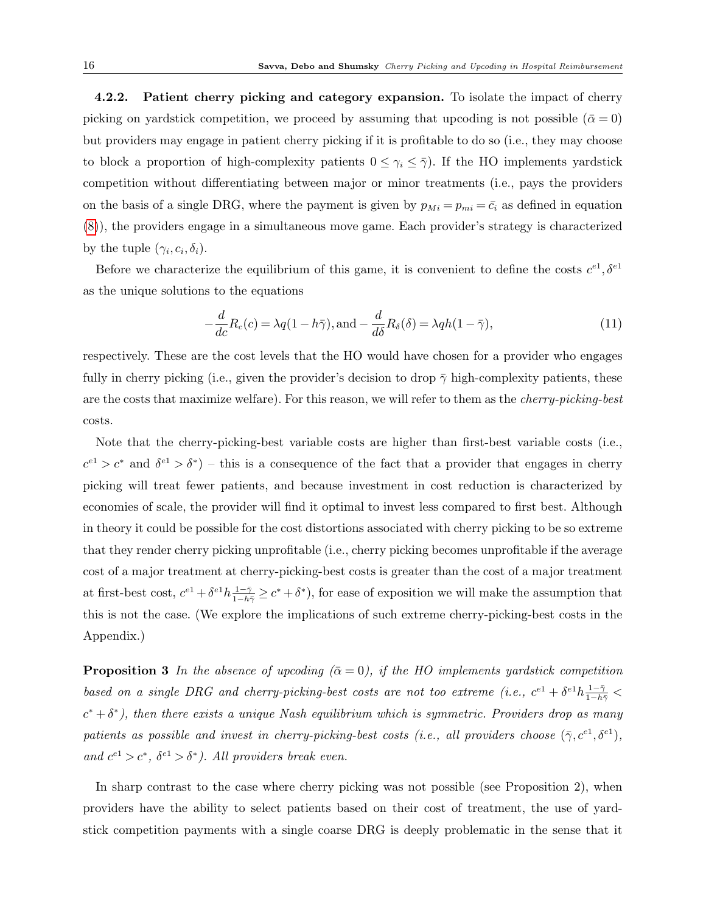4.2.2. Patient cherry picking and category expansion. To isolate the impact of cherry picking on yardstick competition, we proceed by assuming that upcoding is not possible ( $\bar{\alpha} = 0$ ) but providers may engage in patient cherry picking if it is profitable to do so (i.e., they may choose to block a proportion of high-complexity patients  $0 \leq \gamma_i \leq \overline{\gamma}$ ). If the HO implements yardstick competition without differentiating between major or minor treatments (i.e., pays the providers on the basis of a single DRG, where the payment is given by  $p_{Mi} = p_{mi} = \bar{c}_i$  as defined in equation [\(8\)](#page-13-0)), the providers engage in a simultaneous move game. Each provider's strategy is characterized by the tuple  $(\gamma_i, c_i, \delta_i)$ .

Before we characterize the equilibrium of this game, it is convenient to define the costs  $c^{e_1}, \delta^{e_1}$ as the unique solutions to the equations

<span id="page-15-1"></span>
$$
-\frac{d}{dc}R_c(c) = \lambda q(1 - h\bar{\gamma}), \text{and} -\frac{d}{d\delta}R_{\delta}(\delta) = \lambda qh(1 - \bar{\gamma}),\tag{11}
$$

respectively. These are the cost levels that the HO would have chosen for a provider who engages fully in cherry picking (i.e., given the provider's decision to drop  $\bar{\gamma}$  high-complexity patients, these are the costs that maximize welfare). For this reason, we will refer to them as the cherry-picking-best costs.

Note that the cherry-picking-best variable costs are higher than first-best variable costs (i.e.,  $c^{e} > c^*$  and  $\delta^{e} > \delta^*$ ) – this is a consequence of the fact that a provider that engages in cherry picking will treat fewer patients, and because investment in cost reduction is characterized by economies of scale, the provider will find it optimal to invest less compared to first best. Although in theory it could be possible for the cost distortions associated with cherry picking to be so extreme that they render cherry picking unprofitable (i.e., cherry picking becomes unprofitable if the average cost of a major treatment at cherry-picking-best costs is greater than the cost of a major treatment at first-best cost,  $c^{e_1} + \delta^{e_1} h \frac{1-\bar{\gamma}}{1-h\bar{\gamma}} \geq c^* + \delta^*$ , for ease of exposition we will make the assumption that this is not the case. (We explore the implications of such extreme cherry-picking-best costs in the Appendix.)

<span id="page-15-0"></span>**Proposition 3** In the absence of upcoding  $(\bar{\alpha} = 0)$ , if the HO implements yardstick competition based on a single DRG and cherry-picking-best costs are not too extreme (i.e.,  $c^{e1} + \delta^{e1}h \frac{1-\bar{\gamma}}{1-h\bar{\gamma}}$  $c^* + \delta^*$ ), then there exists a unique Nash equilibrium which is symmetric. Providers drop as many patients as possible and invest in cherry-picking-best costs (i.e., all providers choose  $(\bar{\gamma}, c^{e_1}, \delta^{e_1})$ , and  $c^{e_1} > c^*$ ,  $\delta^{e_1} > \delta^*$ ). All providers break even.

In sharp contrast to the case where cherry picking was not possible (see Proposition 2), when providers have the ability to select patients based on their cost of treatment, the use of yardstick competition payments with a single coarse DRG is deeply problematic in the sense that it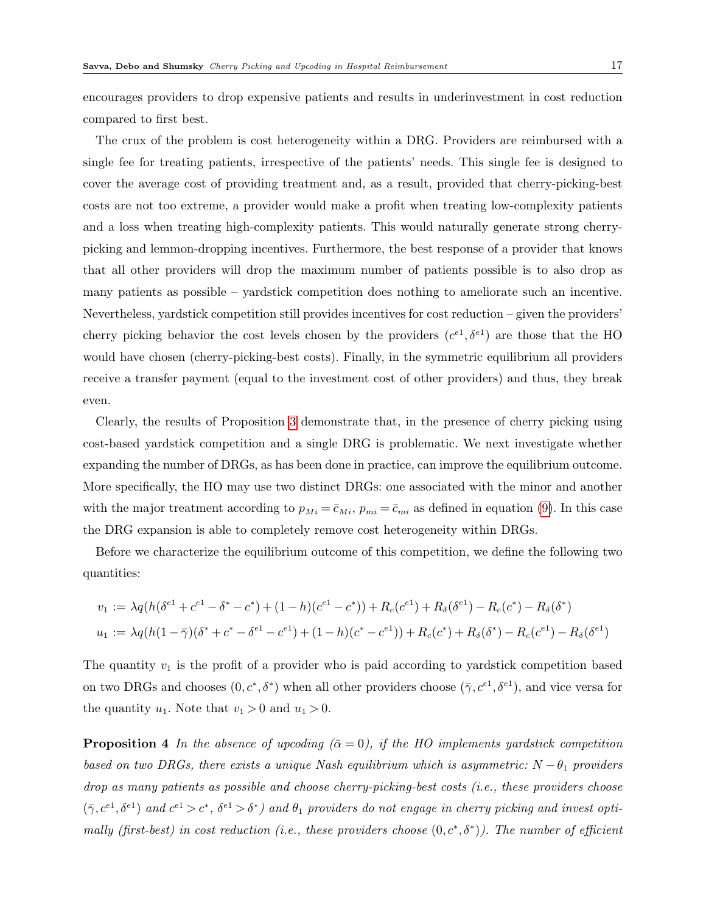encourages providers to drop expensive patients and results in underinvestment in cost reduction compared to first best.

The crux of the problem is cost heterogeneity within a DRG. Providers are reimbursed with a single fee for treating patients, irrespective of the patients' needs. This single fee is designed to cover the average cost of providing treatment and, as a result, provided that cherry-picking-best costs are not too extreme, a provider would make a profit when treating low-complexity patients and a loss when treating high-complexity patients. This would naturally generate strong cherrypicking and lemmon-dropping incentives. Furthermore, the best response of a provider that knows that all other providers will drop the maximum number of patients possible is to also drop as many patients as possible – yardstick competition does nothing to ameliorate such an incentive. Nevertheless, yardstick competition still provides incentives for cost reduction – given the providers' cherry picking behavior the cost levels chosen by the providers  $(c^{e_1}, \delta^{e_1})$  are those that the HO would have chosen (cherry-picking-best costs). Finally, in the symmetric equilibrium all providers receive a transfer payment (equal to the investment cost of other providers) and thus, they break even.

Clearly, the results of Proposition [3](#page-15-0) demonstrate that, in the presence of cherry picking using cost-based yardstick competition and a single DRG is problematic. We next investigate whether expanding the number of DRGs, as has been done in practice, can improve the equilibrium outcome. More specifically, the HO may use two distinct DRGs: one associated with the minor and another with the major treatment according to  $p_{Mi} = \bar{c}_{Mi}$ ,  $p_{mi} = \bar{c}_{mi}$  as defined in equation [\(9\)](#page-13-1). In this case the DRG expansion is able to completely remove cost heterogeneity within DRGs.

Before we characterize the equilibrium outcome of this competition, we define the following two quantities:

$$
v_1 := \lambda q (h(\delta^{e_1} + c^{e_1} - \delta^* - c^*) + (1 - h)(c^{e_1} - c^*)) + R_c(c^{e_1}) + R_\delta(\delta^{e_1}) - R_c(c^*) - R_\delta(\delta^*)
$$
  

$$
u_1 := \lambda q (h(1 - \bar{\gamma})(\delta^* + c^* - \delta^{e_1} - c^{e_1}) + (1 - h)(c^* - c^{e_1})) + R_c(c^*) + R_\delta(\delta^*) - R_c(c^{e_1}) - R_\delta(\delta^{e_1})
$$

The quantity  $v_1$  is the profit of a provider who is paid according to yardstick competition based on two DRGs and chooses  $(0, c^*, \delta^*)$  when all other providers choose  $(\bar{\gamma}, c^{e_1}, \delta^{e_1})$ , and vice versa for the quantity  $u_1$ . Note that  $v_1 > 0$  and  $u_1 > 0$ .

<span id="page-16-0"></span>**Proposition 4** In the absence of upcoding  $(\bar{\alpha} = 0)$ , if the HO implements yardstick competition based on two DRGs, there exists a unique Nash equilibrium which is asymmetric:  $N - \theta_1$  providers drop as many patients as possible and choose cherry-picking-best costs (i.e., these providers choose  $(\bar{\gamma}, c^{e_1}, \delta^{e_1})$  and  $c^{e_1} > c^*$ ,  $\delta^{e_1} > \delta^*$ ) and  $\theta_1$  providers do not engage in cherry picking and invest optimally (first-best) in cost reduction (i.e., these providers choose  $(0, c^*, \delta^*)$ ). The number of efficient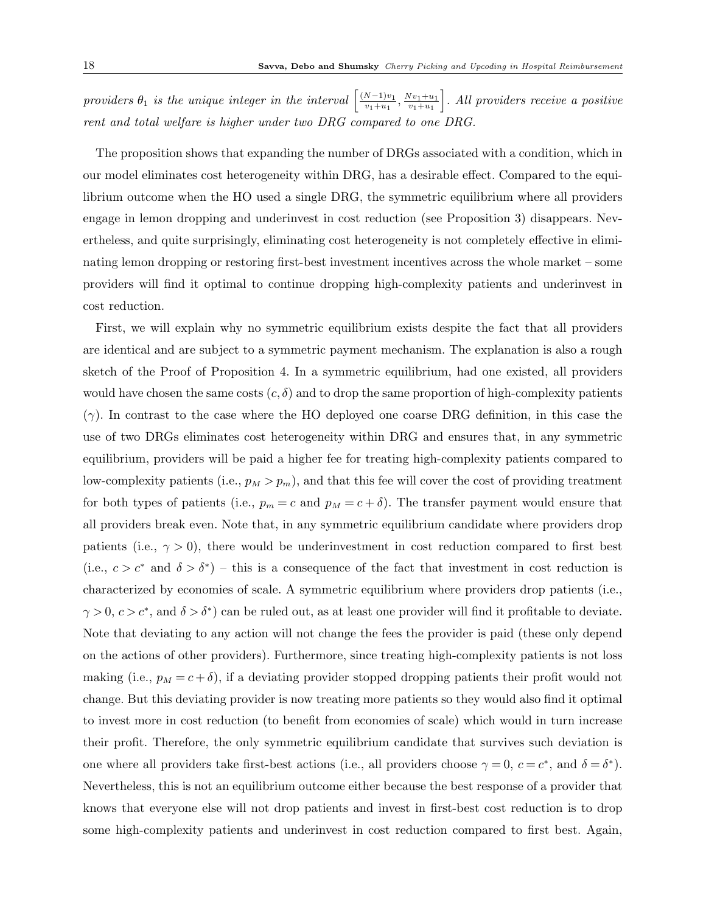providers  $\theta_1$  is the unique integer in the interval  $\left[\frac{(N-1)v_1}{v_1+u_1}\right]$  $\frac{N-1)v_1}{v_1+u_1}, \frac{Nv_1+u_1}{v_1+u_1}$  $v_1 + u_1$ i . All providers receive a positive rent and total welfare is higher under two DRG compared to one DRG.

The proposition shows that expanding the number of DRGs associated with a condition, which in our model eliminates cost heterogeneity within DRG, has a desirable effect. Compared to the equilibrium outcome when the HO used a single DRG, the symmetric equilibrium where all providers engage in lemon dropping and underinvest in cost reduction (see Proposition 3) disappears. Nevertheless, and quite surprisingly, eliminating cost heterogeneity is not completely effective in eliminating lemon dropping or restoring first-best investment incentives across the whole market – some providers will find it optimal to continue dropping high-complexity patients and underinvest in cost reduction.

First, we will explain why no symmetric equilibrium exists despite the fact that all providers are identical and are subject to a symmetric payment mechanism. The explanation is also a rough sketch of the Proof of Proposition 4. In a symmetric equilibrium, had one existed, all providers would have chosen the same costs  $(c, \delta)$  and to drop the same proportion of high-complexity patients  $(\gamma)$ . In contrast to the case where the HO deployed one coarse DRG definition, in this case the use of two DRGs eliminates cost heterogeneity within DRG and ensures that, in any symmetric equilibrium, providers will be paid a higher fee for treating high-complexity patients compared to low-complexity patients (i.e.,  $p_M > p_m$ ), and that this fee will cover the cost of providing treatment for both types of patients (i.e.,  $p_m = c$  and  $p_M = c + \delta$ ). The transfer payment would ensure that all providers break even. Note that, in any symmetric equilibrium candidate where providers drop patients (i.e.,  $\gamma > 0$ ), there would be underinvestment in cost reduction compared to first best (i.e.,  $c > c^*$  and  $\delta > \delta^*$ ) – this is a consequence of the fact that investment in cost reduction is characterized by economies of scale. A symmetric equilibrium where providers drop patients (i.e.,  $\gamma > 0, c > c^*$ , and  $\delta > \delta^*$  can be ruled out, as at least one provider will find it profitable to deviate. Note that deviating to any action will not change the fees the provider is paid (these only depend on the actions of other providers). Furthermore, since treating high-complexity patients is not loss making (i.e.,  $p_M = c + \delta$ ), if a deviating provider stopped dropping patients their profit would not change. But this deviating provider is now treating more patients so they would also find it optimal to invest more in cost reduction (to benefit from economies of scale) which would in turn increase their profit. Therefore, the only symmetric equilibrium candidate that survives such deviation is one where all providers take first-best actions (i.e., all providers choose  $\gamma = 0, c = c^*$ , and  $\delta = \delta^*$ ). Nevertheless, this is not an equilibrium outcome either because the best response of a provider that knows that everyone else will not drop patients and invest in first-best cost reduction is to drop some high-complexity patients and underinvest in cost reduction compared to first best. Again,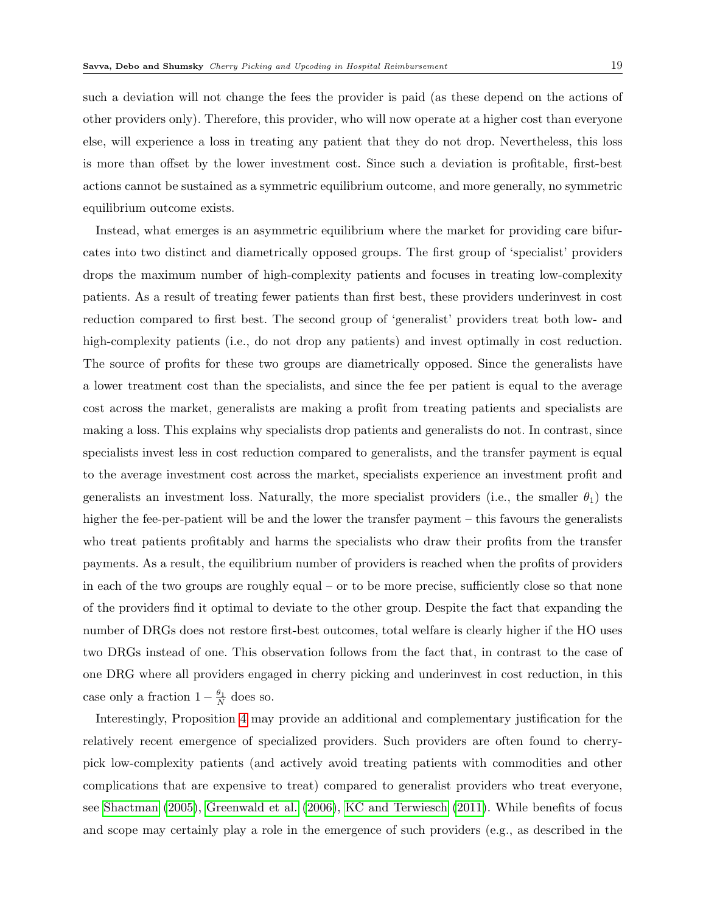such a deviation will not change the fees the provider is paid (as these depend on the actions of other providers only). Therefore, this provider, who will now operate at a higher cost than everyone else, will experience a loss in treating any patient that they do not drop. Nevertheless, this loss is more than offset by the lower investment cost. Since such a deviation is profitable, first-best actions cannot be sustained as a symmetric equilibrium outcome, and more generally, no symmetric equilibrium outcome exists.

Instead, what emerges is an asymmetric equilibrium where the market for providing care bifurcates into two distinct and diametrically opposed groups. The first group of 'specialist' providers drops the maximum number of high-complexity patients and focuses in treating low-complexity patients. As a result of treating fewer patients than first best, these providers underinvest in cost reduction compared to first best. The second group of 'generalist' providers treat both low- and high-complexity patients (i.e., do not drop any patients) and invest optimally in cost reduction. The source of profits for these two groups are diametrically opposed. Since the generalists have a lower treatment cost than the specialists, and since the fee per patient is equal to the average cost across the market, generalists are making a profit from treating patients and specialists are making a loss. This explains why specialists drop patients and generalists do not. In contrast, since specialists invest less in cost reduction compared to generalists, and the transfer payment is equal to the average investment cost across the market, specialists experience an investment profit and generalists an investment loss. Naturally, the more specialist providers (i.e., the smaller  $\theta_1$ ) the higher the fee-per-patient will be and the lower the transfer payment – this favours the generalists who treat patients profitably and harms the specialists who draw their profits from the transfer payments. As a result, the equilibrium number of providers is reached when the profits of providers in each of the two groups are roughly equal – or to be more precise, sufficiently close so that none of the providers find it optimal to deviate to the other group. Despite the fact that expanding the number of DRGs does not restore first-best outcomes, total welfare is clearly higher if the HO uses two DRGs instead of one. This observation follows from the fact that, in contrast to the case of one DRG where all providers engaged in cherry picking and underinvest in cost reduction, in this case only a fraction  $1 - \frac{\theta_1}{N}$  does so.

Interestingly, Proposition [4](#page-16-0) may provide an additional and complementary justification for the relatively recent emergence of specialized providers. Such providers are often found to cherrypick low-complexity patients (and actively avoid treating patients with commodities and other complications that are expensive to treat) compared to generalist providers who treat everyone, see [Shactman](#page-31-4) [\(2005\)](#page-31-4), [Greenwald et al.](#page-30-15) [\(2006\)](#page-30-15), [KC and Terwiesch](#page-30-1) [\(2011\)](#page-30-1). While benefits of focus and scope may certainly play a role in the emergence of such providers (e.g., as described in the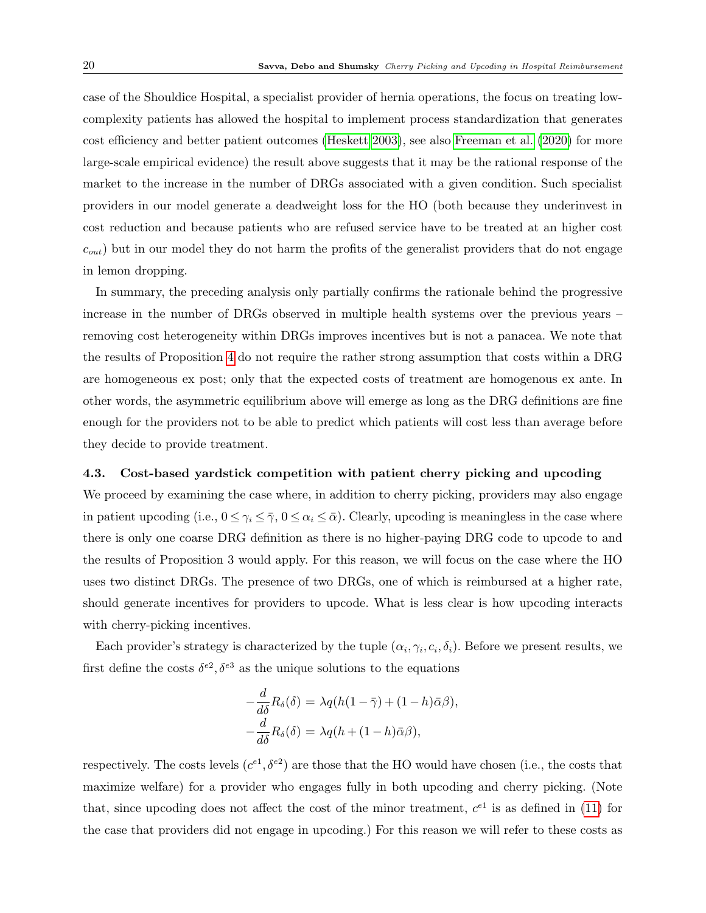case of the Shouldice Hospital, a specialist provider of hernia operations, the focus on treating lowcomplexity patients has allowed the hospital to implement process standardization that generates cost efficiency and better patient outcomes [\(Heskett 2003\)](#page-30-4), see also [Freeman et al.](#page-29-5) [\(2020\)](#page-29-5) for more large-scale empirical evidence) the result above suggests that it may be the rational response of the market to the increase in the number of DRGs associated with a given condition. Such specialist providers in our model generate a deadweight loss for the HO (both because they underinvest in cost reduction and because patients who are refused service have to be treated at an higher cost  $c_{out}$ ) but in our model they do not harm the profits of the generalist providers that do not engage in lemon dropping.

In summary, the preceding analysis only partially confirms the rationale behind the progressive increase in the number of DRGs observed in multiple health systems over the previous years – removing cost heterogeneity within DRGs improves incentives but is not a panacea. We note that the results of Proposition [4](#page-16-0) do not require the rather strong assumption that costs within a DRG are homogeneous ex post; only that the expected costs of treatment are homogenous ex ante. In other words, the asymmetric equilibrium above will emerge as long as the DRG definitions are fine enough for the providers not to be able to predict which patients will cost less than average before they decide to provide treatment.

### 4.3. Cost-based yardstick competition with patient cherry picking and upcoding

We proceed by examining the case where, in addition to cherry picking, providers may also engage in patient upcoding (i.e.,  $0 \le \gamma_i \le \overline{\gamma}$ ,  $0 \le \alpha_i \le \overline{\alpha}$ ). Clearly, upcoding is meaningless in the case where there is only one coarse DRG definition as there is no higher-paying DRG code to upcode to and the results of Proposition 3 would apply. For this reason, we will focus on the case where the HO uses two distinct DRGs. The presence of two DRGs, one of which is reimbursed at a higher rate, should generate incentives for providers to upcode. What is less clear is how upcoding interacts with cherry-picking incentives.

Each provider's strategy is characterized by the tuple  $(\alpha_i, \gamma_i, c_i, \delta_i)$ . Before we present results, we first define the costs  $\delta^{e2}, \delta^{e3}$  as the unique solutions to the equations

$$
-\frac{d}{d\delta}R_{\delta}(\delta) = \lambda q(h(1-\bar{\gamma}) + (1-h)\bar{\alpha}\beta),
$$
  

$$
-\frac{d}{d\delta}R_{\delta}(\delta) = \lambda q(h + (1-h)\bar{\alpha}\beta),
$$

respectively. The costs levels  $(c^{e_1}, \delta^{e_2})$  are those that the HO would have chosen (i.e., the costs that maximize welfare) for a provider who engages fully in both upcoding and cherry picking. (Note that, since upcoding does not affect the cost of the minor treatment,  $c^{e_1}$  is as defined in [\(11\)](#page-15-1) for the case that providers did not engage in upcoding.) For this reason we will refer to these costs as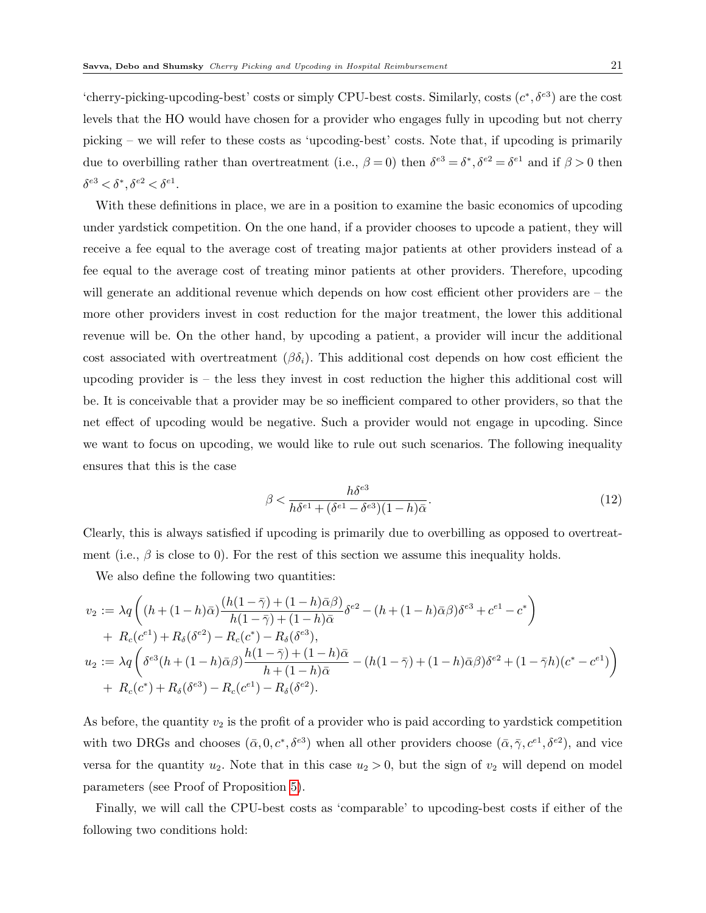'cherry-picking-upcoding-best' costs or simply CPU-best costs. Similarly, costs  $(c^*, \delta^{e3})$  are the cost levels that the HO would have chosen for a provider who engages fully in upcoding but not cherry picking – we will refer to these costs as 'upcoding-best' costs. Note that, if upcoding is primarily due to overbilling rather than overtreatment (i.e.,  $\beta = 0$ ) then  $\delta^{e3} = \delta^*, \delta^{e2} = \delta^{e1}$  and if  $\beta > 0$  then  $\delta^{e3} < \delta^*, \delta^{e2} < \delta^{e1}.$ 

With these definitions in place, we are in a position to examine the basic economics of upcoding under yardstick competition. On the one hand, if a provider chooses to upcode a patient, they will receive a fee equal to the average cost of treating major patients at other providers instead of a fee equal to the average cost of treating minor patients at other providers. Therefore, upcoding will generate an additional revenue which depends on how cost efficient other providers are – the more other providers invest in cost reduction for the major treatment, the lower this additional revenue will be. On the other hand, by upcoding a patient, a provider will incur the additional cost associated with overtreatment  $(\beta \delta_i)$ . This additional cost depends on how cost efficient the upcoding provider is – the less they invest in cost reduction the higher this additional cost will be. It is conceivable that a provider may be so inefficient compared to other providers, so that the net effect of upcoding would be negative. Such a provider would not engage in upcoding. Since we want to focus on upcoding, we would like to rule out such scenarios. The following inequality ensures that this is the case

<span id="page-20-0"></span>
$$
\beta < \frac{h\delta^{e3}}{h\delta^{e1} + (\delta^{e1} - \delta^{e3})(1 - h)\bar{\alpha}}.\tag{12}
$$

Clearly, this is always satisfied if upcoding is primarily due to overbilling as opposed to overtreatment (i.e.,  $\beta$  is close to 0). For the rest of this section we assume this inequality holds.

We also define the following two quantities:

$$
v_2 := \lambda q \left( (h + (1 - h)\bar{\alpha}) \frac{(h(1 - \bar{\gamma}) + (1 - h)\bar{\alpha}\beta)}{h(1 - \bar{\gamma}) + (1 - h)\bar{\alpha}} \delta^{e2} - (h + (1 - h)\bar{\alpha}\beta)\delta^{e3} + c^{e1} - c^* \right) + R_c(c^{e1}) + R_{\delta}(\delta^{e2}) - R_c(c^*) - R_{\delta}(\delta^{e3}), u_2 := \lambda q \left( \delta^{e3} (h + (1 - h)\bar{\alpha}\beta) \frac{h(1 - \bar{\gamma}) + (1 - h)\bar{\alpha}}{h + (1 - h)\bar{\alpha}} - (h(1 - \bar{\gamma}) + (1 - h)\bar{\alpha}\beta)\delta^{e2} + (1 - \bar{\gamma}h)(c^* - c^{e1}) \right) + R_c(c^*) + R_{\delta}(\delta^{e3}) - R_c(c^{e1}) - R_{\delta}(\delta^{e2}).
$$

As before, the quantity  $v_2$  is the profit of a provider who is paid according to yardstick competition with two DRGs and chooses  $(\bar{\alpha}, 0, c^*, \delta^{\epsilon 3})$  when all other providers choose  $(\bar{\alpha}, \bar{\gamma}, c^{\epsilon 1}, \delta^{\epsilon 2})$ , and vice versa for the quantity  $u_2$ . Note that in this case  $u_2 > 0$ , but the sign of  $v_2$  will depend on model parameters (see Proof of Proposition [5\)](#page-21-0).

Finally, we will call the CPU-best costs as 'comparable' to upcoding-best costs if either of the following two conditions hold: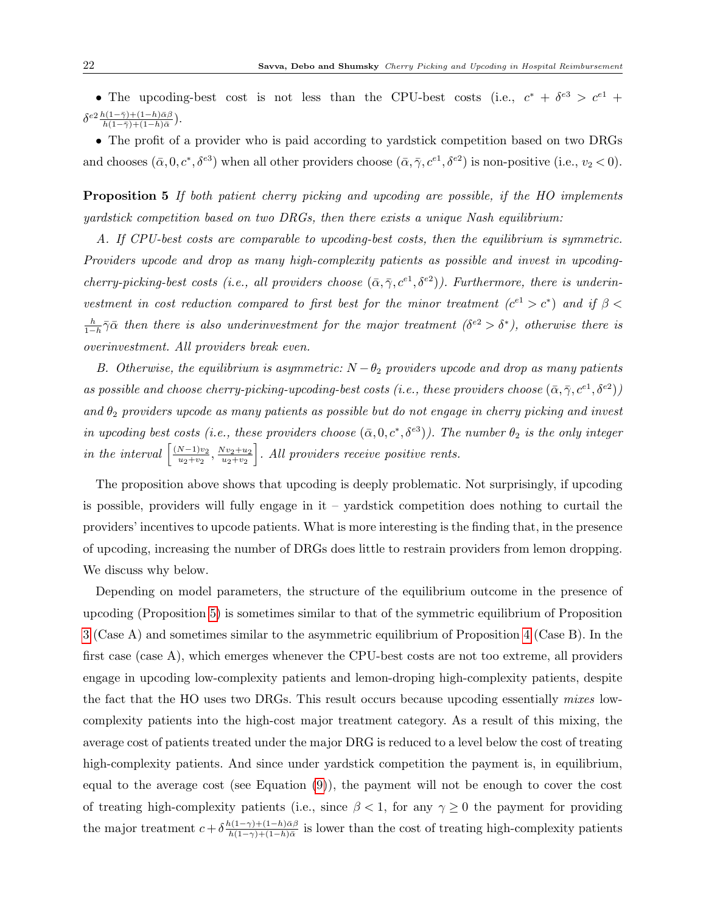• The upcoding-best cost is not less than the CPU-best costs (i.e.,  $c^* + \delta^{e3} > c^{e1} +$  $\delta^{e2}\frac{h(1-\bar{\gamma})+(1-h)\bar{\alpha}\beta}{h(1-\bar{\gamma})+(1-h)\bar{\alpha}}).$ 

• The profit of a provider who is paid according to yardstick competition based on two DRGs and chooses  $(\bar{\alpha}, 0, c^*, \delta^{e3})$  when all other providers choose  $(\bar{\alpha}, \bar{\gamma}, c^{e1}, \delta^{e2})$  is non-positive (i.e.,  $v_2 < 0$ ).

<span id="page-21-0"></span>Proposition 5 If both patient cherry picking and upcoding are possible, if the HO implements yardstick competition based on two DR $\overline{GR}$ s, then there exists a unique Nash equilibrium:

A. If CPU-best costs are comparable to upcoding-best costs, then the equilibrium is symmetric. Providers upcode and drop as many high-complexity patients as possible and invest in upcodingcherry-picking-best costs (i.e., all providers choose  $(\bar{\alpha}, \bar{\gamma}, c^{e_1}, \delta^{e_2})$ ). Furthermore, there is underinvestment in cost reduction compared to first best for the minor treatment  $(c^{e_1} > c^*)$  and if  $\beta$  $\frac{h}{1-h}\bar{\gamma}\bar{\alpha}$  then there is also underinvestment for the major treatment  $(\delta^{e2} > \delta^*)$ , otherwise there is overinvestment. All providers break even.

B. Otherwise, the equilibrium is asymmetric:  $N - \theta_2$  providers upcode and drop as many patients as possible and choose cherry-picking-upcoding-best costs (i.e., these providers choose  $(\bar{\alpha}, \bar{\gamma}, c^{e1}, \delta^{e2})$ ) and  $\theta_2$  providers upcode as many patients as possible but do not engage in cherry picking and invest in upcoding best costs (i.e., these providers choose  $(\bar{\alpha}, 0, c^*, \delta^{e3})$ ). The number  $\theta_2$  is the only integer in the interval  $\left[\frac{(N-1)v_2}{u_1+v_2}\right]$  $\frac{N-1)v_2}{u_2+v_2}, \frac{Nv_2+u_2}{u_2+v_2}$  $u_2 + v_2$ . All providers receive positive rents.

The proposition above shows that upcoding is deeply problematic. Not surprisingly, if upcoding is possible, providers will fully engage in it – yardstick competition does nothing to curtail the providers' incentives to upcode patients. What is more interesting is the finding that, in the presence of upcoding, increasing the number of DRGs does little to restrain providers from lemon dropping. We discuss why below.

Depending on model parameters, the structure of the equilibrium outcome in the presence of upcoding (Proposition [5\)](#page-21-0) is sometimes similar to that of the symmetric equilibrium of Proposition [3](#page-15-0) (Case A) and sometimes similar to the asymmetric equilibrium of Proposition [4](#page-16-0) (Case B). In the first case (case A), which emerges whenever the CPU-best costs are not too extreme, all providers engage in upcoding low-complexity patients and lemon-droping high-complexity patients, despite the fact that the HO uses two DRGs. This result occurs because upcoding essentially mixes lowcomplexity patients into the high-cost major treatment category. As a result of this mixing, the average cost of patients treated under the major DRG is reduced to a level below the cost of treating high-complexity patients. And since under yardstick competition the payment is, in equilibrium, equal to the average cost (see Equation [\(9\)](#page-13-1)), the payment will not be enough to cover the cost of treating high-complexity patients (i.e., since  $\beta < 1$ , for any  $\gamma \ge 0$  the payment for providing the major treatment  $c + \delta \frac{h(1-\gamma)+(1-h)\bar{\alpha}\beta}{h(1-\gamma)+(1-h)\bar{\alpha}}$  $\frac{h(1-\gamma)+(1-h)\alpha\beta}{h(1-\gamma)+(1-h)\bar{\alpha}}$  is lower than the cost of treating high-complexity patients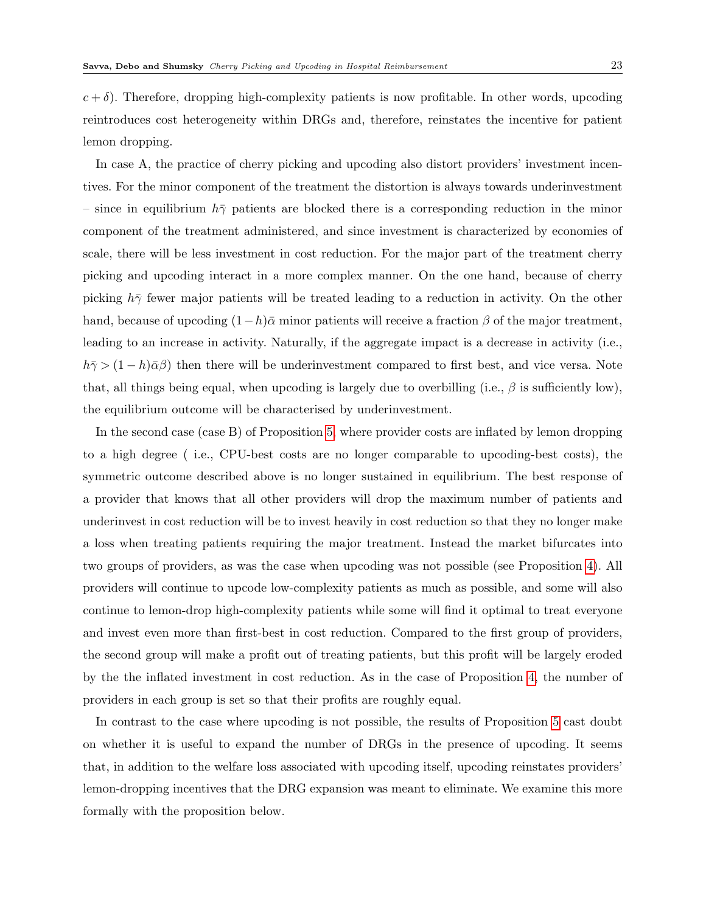$c + \delta$ ). Therefore, dropping high-complexity patients is now profitable. In other words, upcoding reintroduces cost heterogeneity within DRGs and, therefore, reinstates the incentive for patient lemon dropping.

In case A, the practice of cherry picking and upcoding also distort providers' investment incentives. For the minor component of the treatment the distortion is always towards underinvestment – since in equilibrium  $h\bar{\gamma}$  patients are blocked there is a corresponding reduction in the minor component of the treatment administered, and since investment is characterized by economies of scale, there will be less investment in cost reduction. For the major part of the treatment cherry picking and upcoding interact in a more complex manner. On the one hand, because of cherry picking  $h\bar{\gamma}$  fewer major patients will be treated leading to a reduction in activity. On the other hand, because of upcoding  $(1-h)\bar{\alpha}$  minor patients will receive a fraction  $\beta$  of the major treatment, leading to an increase in activity. Naturally, if the aggregate impact is a decrease in activity (i.e.,  $h\bar{\gamma}$  (1 − h) $\bar{\alpha}\beta$ ) then there will be underinvestment compared to first best, and vice versa. Note that, all things being equal, when upcoding is largely due to overbilling (i.e.,  $\beta$  is sufficiently low), the equilibrium outcome will be characterised by underinvestment.

In the second case (case B) of Proposition [5,](#page-21-0) where provider costs are inflated by lemon dropping to a high degree ( i.e., CPU-best costs are no longer comparable to upcoding-best costs), the symmetric outcome described above is no longer sustained in equilibrium. The best response of a provider that knows that all other providers will drop the maximum number of patients and underinvest in cost reduction will be to invest heavily in cost reduction so that they no longer make a loss when treating patients requiring the major treatment. Instead the market bifurcates into two groups of providers, as was the case when upcoding was not possible (see Proposition [4\)](#page-16-0). All providers will continue to upcode low-complexity patients as much as possible, and some will also continue to lemon-drop high-complexity patients while some will find it optimal to treat everyone and invest even more than first-best in cost reduction. Compared to the first group of providers, the second group will make a profit out of treating patients, but this profit will be largely eroded by the the inflated investment in cost reduction. As in the case of Proposition [4,](#page-16-0) the number of providers in each group is set so that their profits are roughly equal.

<span id="page-22-0"></span>In contrast to the case where upcoding is not possible, the results of Proposition [5](#page-21-0) cast doubt on whether it is useful to expand the number of DRGs in the presence of upcoding. It seems that, in addition to the welfare loss associated with upcoding itself, upcoding reinstates providers' lemon-dropping incentives that the DRG expansion was meant to eliminate. We examine this more formally with the proposition below.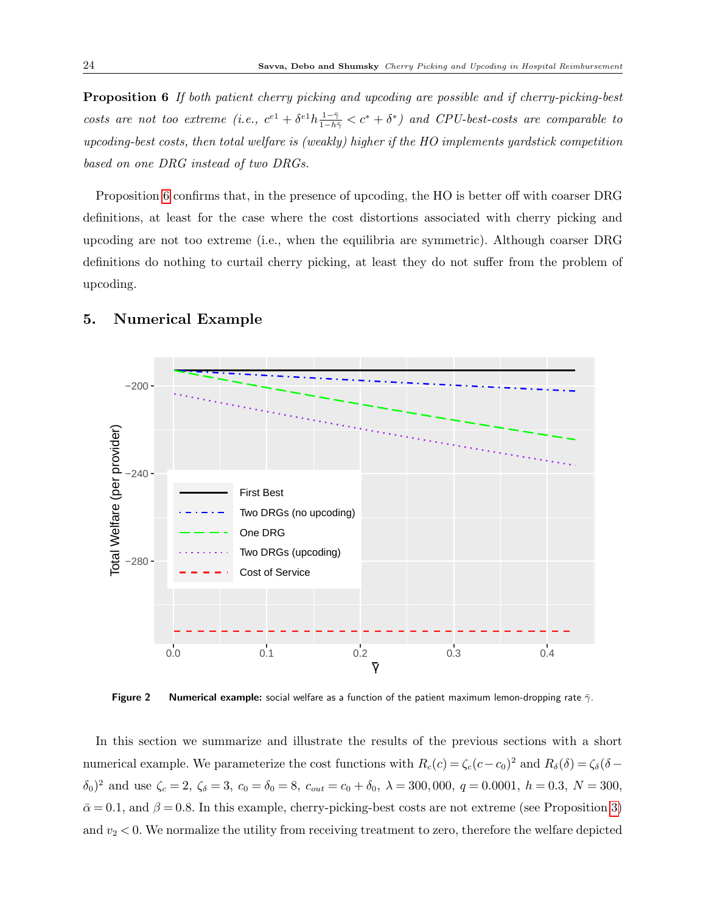Proposition 6 If both patient cherry picking and upcoding are possible and if cherry-picking-best costs are not too extreme (i.e.,  $c^{e1} + \delta^{e1}h \frac{1-\bar{\gamma}}{1-h\bar{\gamma}} < c^* + \delta^*$ ) and CPU-best-costs are comparable to upcoding-best costs, then total welfare is (weakly) higher if the HO implements yardstick competition based on one DRG instead of two DRGs.

Proposition [6](#page-22-0) confirms that, in the presence of upcoding, the HO is better off with coarser DRG definitions, at least for the case where the cost distortions associated with cherry picking and upcoding are not too extreme (i.e., when the equilibria are symmetric). Although coarser DRG definitions do nothing to curtail cherry picking, at least they do not suffer from the problem of upcoding.

# −200 otal Welfare (per provider) Total Welfare (per provider) −240 First Best Two DRGs (no upcoding) One DRG Two DRGs (upcoding) −280 Cost of Service 0.0 0.1 0.2 0.3 0.4 γ

## <span id="page-23-0"></span>5. Numerical Example

Figure 2 Numerical example: social welfare as a function of the patient maximum lemon-dropping rate  $\bar{\gamma}$ .

In this section we summarize and illustrate the results of the previous sections with a short numerical example. We parameterize the cost functions with  $R_c(c) = \zeta_c(c-c_0)^2$  and  $R_\delta(\delta) = \zeta_\delta(\delta - c_0)^2$  $(\delta_0)^2$  and use  $\zeta_c = 2$ ,  $\zeta_{\delta} = 3$ ,  $c_0 = \delta_0 = 8$ ,  $c_{out} = c_0 + \delta_0$ ,  $\lambda = 300,000$ ,  $q = 0.0001$ ,  $h = 0.3$ ,  $N = 300$ ,  $\bar{\alpha} = 0.1$ , and  $\beta = 0.8$ . In this example, cherry-picking-best costs are not extreme (see Proposition [3\)](#page-15-0) and  $v_2 < 0$ . We normalize the utility from receiving treatment to zero, therefore the welfare depicted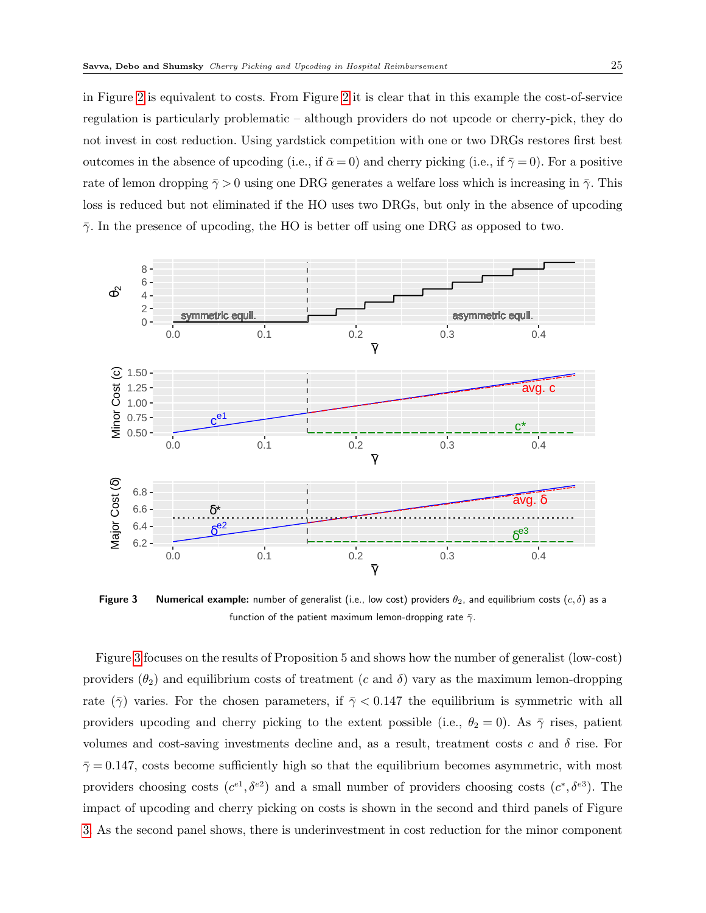in Figure [2](#page-23-0) is equivalent to costs. From Figure [2](#page-23-0) it is clear that in this example the cost-of-service regulation is particularly problematic – although providers do not upcode or cherry-pick, they do not invest in cost reduction. Using yardstick competition with one or two DRGs restores first best outcomes in the absence of upcoding (i.e., if  $\bar{\alpha} = 0$ ) and cherry picking (i.e., if  $\bar{\gamma} = 0$ ). For a positive rate of lemon dropping  $\bar{\gamma} > 0$  using one DRG generates a welfare loss which is increasing in  $\bar{\gamma}$ . This loss is reduced but not eliminated if the HO uses two DRGs, but only in the absence of upcoding  $\bar{\gamma}$ . In the presence of upcoding, the HO is better off using one DRG as opposed to two.

<span id="page-24-0"></span>

**Figure 3** Numerical example: number of generalist (i.e., low cost) providers  $\theta_2$ , and equilibrium costs  $(c, \delta)$  as a function of the patient maximum lemon-dropping rate  $\bar{\gamma}$ .

Figure [3](#page-24-0) focuses on the results of Proposition 5 and shows how the number of generalist (low-cost) providers  $(\theta_2)$  and equilibrium costs of treatment (c and  $\delta$ ) vary as the maximum lemon-dropping rate  $(\bar{\gamma})$  varies. For the chosen parameters, if  $\bar{\gamma}$  < 0.147 the equilibrium is symmetric with all providers upcoding and cherry picking to the extent possible (i.e.,  $\theta_2 = 0$ ). As  $\bar{\gamma}$  rises, patient volumes and cost-saving investments decline and, as a result, treatment costs c and  $\delta$  rise. For  $\bar{\gamma} = 0.147$ , costs become sufficiently high so that the equilibrium becomes asymmetric, with most providers choosing costs  $(c^{e_1}, \delta^{e_2})$  and a small number of providers choosing costs  $(c^*, \delta^{e_3})$ . The impact of upcoding and cherry picking on costs is shown in the second and third panels of Figure [3.](#page-24-0) As the second panel shows, there is underinvestment in cost reduction for the minor component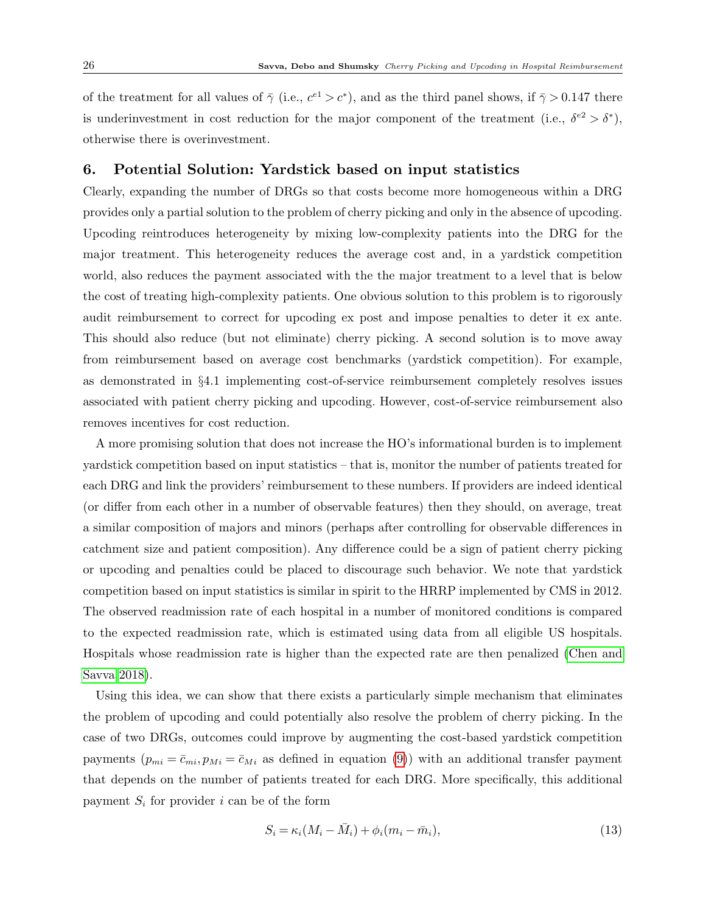of the treatment for all values of  $\bar{\gamma}$  (i.e.,  $c^{e_1} > c^*$ ), and as the third panel shows, if  $\bar{\gamma} > 0.147$  there is underinvestment in cost reduction for the major component of the treatment (i.e.,  $\delta^{e2} > \delta^*$ ), otherwise there is overinvestment.

### 6. Potential Solution: Yardstick based on input statistics

Clearly, expanding the number of DRGs so that costs become more homogeneous within a DRG provides only a partial solution to the problem of cherry picking and only in the absence of upcoding. Upcoding reintroduces heterogeneity by mixing low-complexity patients into the DRG for the major treatment. This heterogeneity reduces the average cost and, in a yardstick competition world, also reduces the payment associated with the the major treatment to a level that is below the cost of treating high-complexity patients. One obvious solution to this problem is to rigorously audit reimbursement to correct for upcoding ex post and impose penalties to deter it ex ante. This should also reduce (but not eliminate) cherry picking. A second solution is to move away from reimbursement based on average cost benchmarks (yardstick competition). For example, as demonstrated in §4.1 implementing cost-of-service reimbursement completely resolves issues associated with patient cherry picking and upcoding. However, cost-of-service reimbursement also removes incentives for cost reduction.

A more promising solution that does not increase the HO's informational burden is to implement yardstick competition based on input statistics – that is, monitor the number of patients treated for each DRG and link the providers' reimbursement to these numbers. If providers are indeed identical (or differ from each other in a number of observable features) then they should, on average, treat a similar composition of majors and minors (perhaps after controlling for observable differences in catchment size and patient composition). Any difference could be a sign of patient cherry picking or upcoding and penalties could be placed to discourage such behavior. We note that yardstick competition based on input statistics is similar in spirit to the HRRP implemented by CMS in 2012. The observed readmission rate of each hospital in a number of monitored conditions is compared to the expected readmission rate, which is estimated using data from all eligible US hospitals. Hospitals whose readmission rate is higher than the expected rate are then penalized [\(Chen and](#page-29-6) [Savva 2018\)](#page-29-6).

Using this idea, we can show that there exists a particularly simple mechanism that eliminates the problem of upcoding and could potentially also resolve the problem of cherry picking. In the case of two DRGs, outcomes could improve by augmenting the cost-based yardstick competition payments  $(p_{mi} = \bar{c}_{mi}, p_{Mi} = \bar{c}_{Mi}$  as defined in equation [\(9\)](#page-13-1)) with an additional transfer payment that depends on the number of patients treated for each DRG. More specifically, this additional payment  $S_i$  for provider i can be of the form

$$
S_i = \kappa_i (M_i - \bar{M}_i) + \phi_i (m_i - \bar{m}_i), \qquad (13)
$$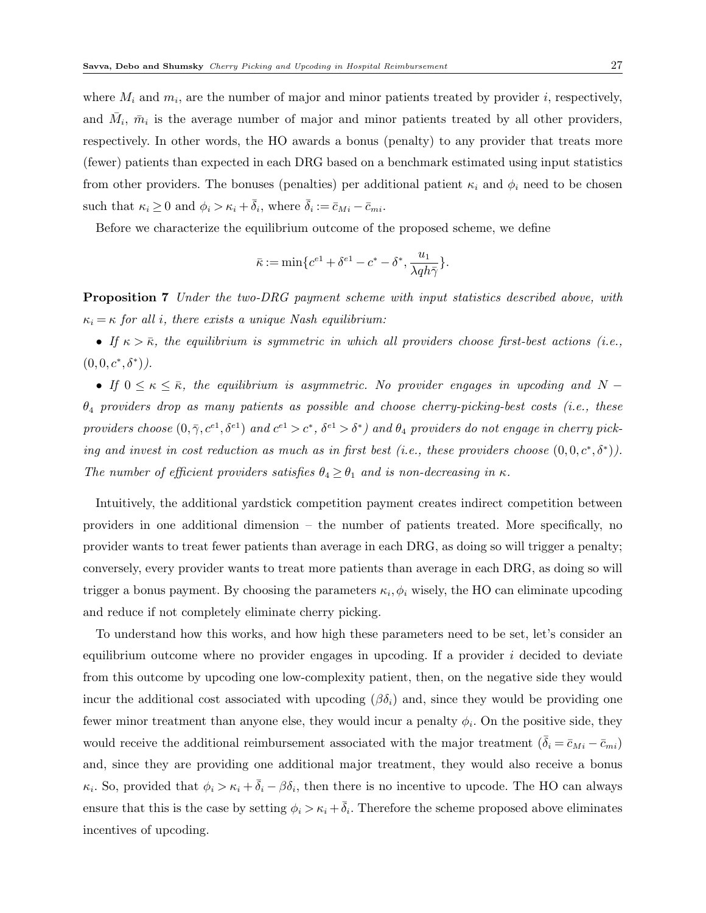where  $M_i$  and  $m_i$ , are the number of major and minor patients treated by provider i, respectively, and  $\bar{M}_i$ ,  $\bar{m}_i$  is the average number of major and minor patients treated by all other providers, respectively. In other words, the HO awards a bonus (penalty) to any provider that treats more (fewer) patients than expected in each DRG based on a benchmark estimated using input statistics from other providers. The bonuses (penalties) per additional patient  $\kappa_i$  and  $\phi_i$  need to be chosen such that  $\kappa_i \geq 0$  and  $\phi_i > \kappa_i + \bar{\delta}_i$ , where  $\bar{\delta}_i := \bar{c}_{Mi} - \bar{c}_{mi}$ .

Before we characterize the equilibrium outcome of the proposed scheme, we define

$$
\bar{\kappa} := \min\{c^{e1} + \delta^{e1} - c^* - \delta^*, \frac{u_1}{\lambda q h \bar{\gamma}}\}.
$$

**Proposition 7** Under the two-DRG payment scheme with input statistics described above, with  $\kappa_i = \kappa$  for all i, there exists a unique Nash equilibrium:

• If  $\kappa > \bar{\kappa}$ , the equilibrium is symmetric in which all providers choose first-best actions (i.e.,  $(0,0,c^*,\delta^*)$ .

• If  $0 \le \kappa \le \bar{\kappa}$ , the equilibrium is asymmetric. No provider engages in upcoding and N –  $\theta_4$  providers drop as many patients as possible and choose cherry-picking-best costs (i.e., these providers choose  $(0, \bar{\gamma}, c^{e1}, \delta^{e1})$  and  $c^{e1} > c^*$ ,  $\delta^{e1} > \delta^*$ ) and  $\theta_4$  providers do not engage in cherry picking and invest in cost reduction as much as in first best (i.e., these providers choose  $(0,0,c^*,\delta^*)$ ). The number of efficient providers satisfies  $\theta_4 \geq \theta_1$  and is non-decreasing in  $\kappa$ .

Intuitively, the additional yardstick competition payment creates indirect competition between providers in one additional dimension – the number of patients treated. More specifically, no provider wants to treat fewer patients than average in each DRG, as doing so will trigger a penalty; conversely, every provider wants to treat more patients than average in each DRG, as doing so will trigger a bonus payment. By choosing the parameters  $\kappa_i, \phi_i$  wisely, the HO can eliminate upcoding and reduce if not completely eliminate cherry picking.

To understand how this works, and how high these parameters need to be set, let's consider an equilibrium outcome where no provider engages in upcoding. If a provider  $i$  decided to deviate from this outcome by upcoding one low-complexity patient, then, on the negative side they would incur the additional cost associated with upcoding ( $\beta \delta_i$ ) and, since they would be providing one fewer minor treatment than anyone else, they would incur a penalty  $\phi_i$ . On the positive side, they would receive the additional reimbursement associated with the major treatment  $(\delta_i = \bar{c}_{Mi} - \bar{c}_{mi})$ and, since they are providing one additional major treatment, they would also receive a bonus  $\kappa_i$ . So, provided that  $\phi_i > \kappa_i + \bar{\delta}_i - \beta \delta_i$ , then there is no incentive to upcode. The HO can always ensure that this is the case by setting  $\phi_i > \kappa_i + \bar{\delta}_i$ . Therefore the scheme proposed above eliminates incentives of upcoding.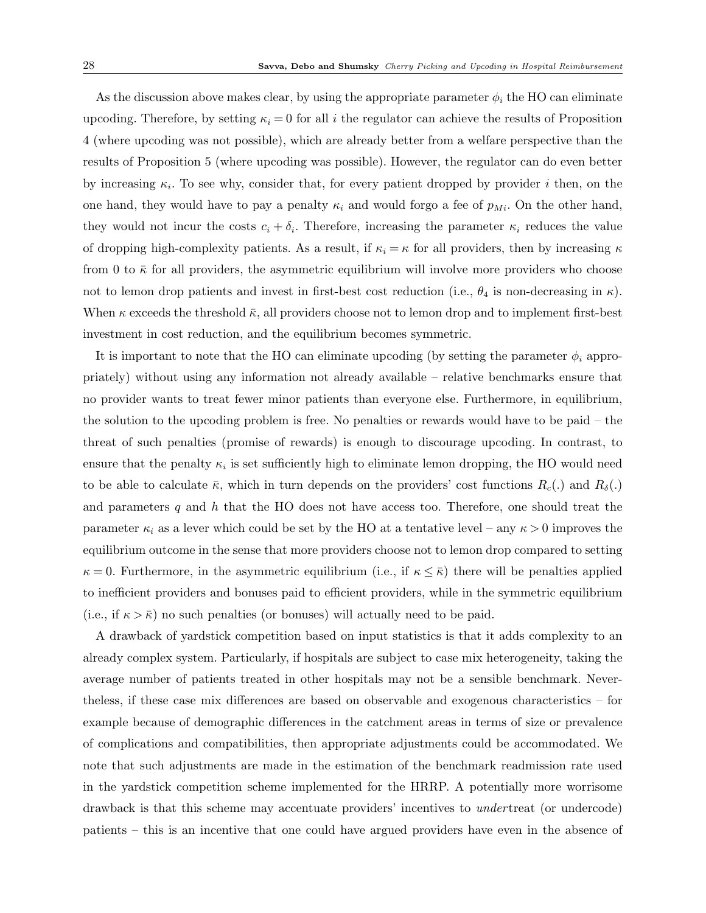As the discussion above makes clear, by using the appropriate parameter  $\phi_i$  the HO can eliminate upcoding. Therefore, by setting  $\kappa_i = 0$  for all i the regulator can achieve the results of Proposition 4 (where upcoding was not possible), which are already better from a welfare perspective than the results of Proposition 5 (where upcoding was possible). However, the regulator can do even better by increasing  $\kappa_i$ . To see why, consider that, for every patient dropped by provider i then, on the one hand, they would have to pay a penalty  $\kappa_i$  and would forgo a fee of  $p_{Mi}$ . On the other hand, they would not incur the costs  $c_i + \delta_i$ . Therefore, increasing the parameter  $\kappa_i$  reduces the value of dropping high-complexity patients. As a result, if  $\kappa_i = \kappa$  for all providers, then by increasing  $\kappa$ from 0 to  $\bar{\kappa}$  for all providers, the asymmetric equilibrium will involve more providers who choose not to lemon drop patients and invest in first-best cost reduction (i.e.,  $\theta_4$  is non-decreasing in  $\kappa$ ). When  $\kappa$  exceeds the threshold  $\bar{\kappa}$ , all providers choose not to lemon drop and to implement first-best investment in cost reduction, and the equilibrium becomes symmetric.

It is important to note that the HO can eliminate upcoding (by setting the parameter  $\phi_i$  appropriately) without using any information not already available – relative benchmarks ensure that no provider wants to treat fewer minor patients than everyone else. Furthermore, in equilibrium, the solution to the upcoding problem is free. No penalties or rewards would have to be paid – the threat of such penalties (promise of rewards) is enough to discourage upcoding. In contrast, to ensure that the penalty  $\kappa_i$  is set sufficiently high to eliminate lemon dropping, the HO would need to be able to calculate  $\bar{\kappa}$ , which in turn depends on the providers' cost functions  $R_c(.)$  and  $R_{\delta}(.)$ and parameters  $q$  and  $h$  that the HO does not have access too. Therefore, one should treat the parameter  $\kappa_i$  as a lever which could be set by the HO at a tentative level – any  $\kappa > 0$  improves the equilibrium outcome in the sense that more providers choose not to lemon drop compared to setting  $\kappa = 0$ . Furthermore, in the asymmetric equilibrium (i.e., if  $\kappa \leq \bar{\kappa}$ ) there will be penalties applied to inefficient providers and bonuses paid to efficient providers, while in the symmetric equilibrium (i.e., if  $\kappa > \bar{\kappa}$ ) no such penalties (or bonuses) will actually need to be paid.

A drawback of yardstick competition based on input statistics is that it adds complexity to an already complex system. Particularly, if hospitals are subject to case mix heterogeneity, taking the average number of patients treated in other hospitals may not be a sensible benchmark. Nevertheless, if these case mix differences are based on observable and exogenous characteristics – for example because of demographic differences in the catchment areas in terms of size or prevalence of complications and compatibilities, then appropriate adjustments could be accommodated. We note that such adjustments are made in the estimation of the benchmark readmission rate used in the yardstick competition scheme implemented for the HRRP. A potentially more worrisome drawback is that this scheme may accentuate providers' incentives to *under* treat (or undercode) patients – this is an incentive that one could have argued providers have even in the absence of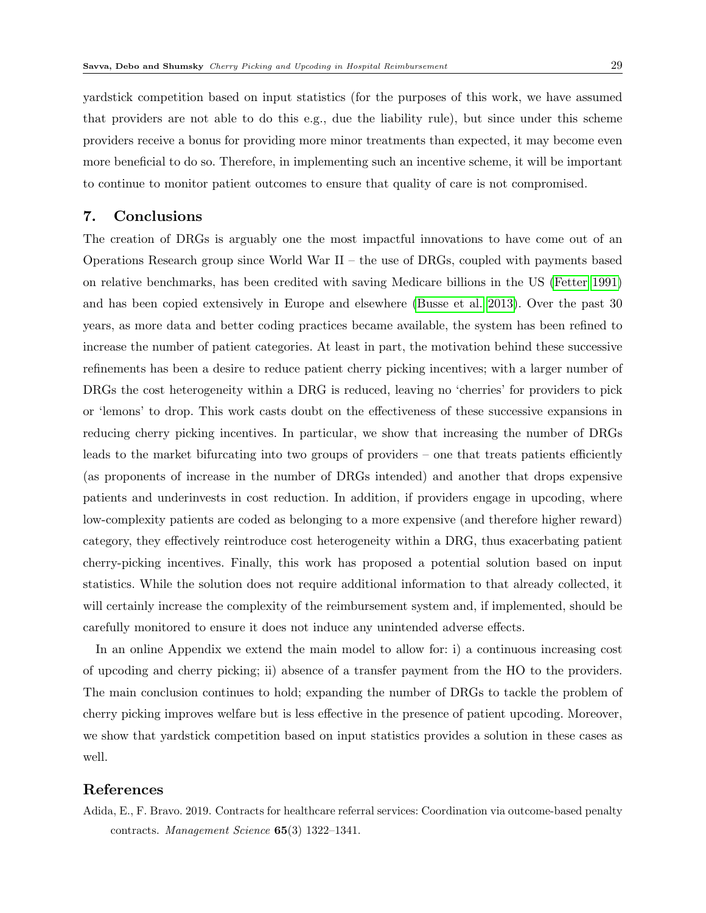yardstick competition based on input statistics (for the purposes of this work, we have assumed that providers are not able to do this e.g., due the liability rule), but since under this scheme providers receive a bonus for providing more minor treatments than expected, it may become even more beneficial to do so. Therefore, in implementing such an incentive scheme, it will be important to continue to monitor patient outcomes to ensure that quality of care is not compromised.

## 7. Conclusions

The creation of DRGs is arguably one the most impactful innovations to have come out of an Operations Research group since World War II – the use of DRGs, coupled with payments based on relative benchmarks, has been credited with saving Medicare billions in the US [\(Fetter 1991\)](#page-29-0) and has been copied extensively in Europe and elsewhere [\(Busse et al. 2013\)](#page-29-1). Over the past 30 years, as more data and better coding practices became available, the system has been refined to increase the number of patient categories. At least in part, the motivation behind these successive refinements has been a desire to reduce patient cherry picking incentives; with a larger number of DRGs the cost heterogeneity within a DRG is reduced, leaving no 'cherries' for providers to pick or 'lemons' to drop. This work casts doubt on the effectiveness of these successive expansions in reducing cherry picking incentives. In particular, we show that increasing the number of DRGs leads to the market bifurcating into two groups of providers – one that treats patients efficiently (as proponents of increase in the number of DRGs intended) and another that drops expensive patients and underinvests in cost reduction. In addition, if providers engage in upcoding, where low-complexity patients are coded as belonging to a more expensive (and therefore higher reward) category, they effectively reintroduce cost heterogeneity within a DRG, thus exacerbating patient cherry-picking incentives. Finally, this work has proposed a potential solution based on input statistics. While the solution does not require additional information to that already collected, it will certainly increase the complexity of the reimbursement system and, if implemented, should be carefully monitored to ensure it does not induce any unintended adverse effects.

In an online Appendix we extend the main model to allow for: i) a continuous increasing cost of upcoding and cherry picking; ii) absence of a transfer payment from the HO to the providers. The main conclusion continues to hold; expanding the number of DRGs to tackle the problem of cherry picking improves welfare but is less effective in the presence of patient upcoding. Moreover, we show that yardstick competition based on input statistics provides a solution in these cases as well.

## <span id="page-28-0"></span>References

Adida, E., F. Bravo. 2019. Contracts for healthcare referral services: Coordination via outcome-based penalty contracts. Management Science 65(3) 1322–1341.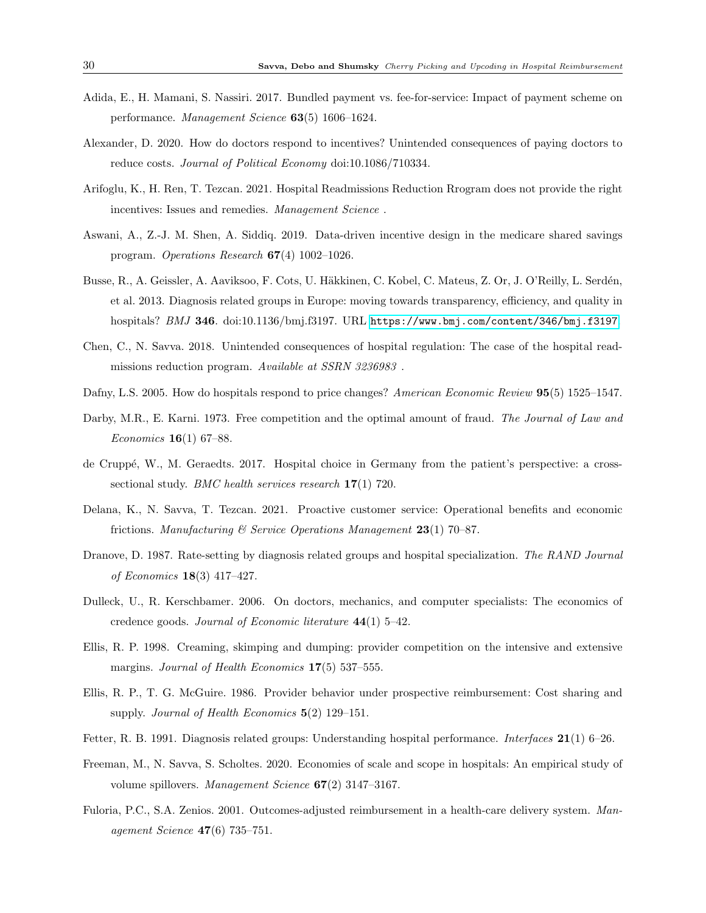- <span id="page-29-13"></span>Adida, E., H. Mamani, S. Nassiri. 2017. Bundled payment vs. fee-for-service: Impact of payment scheme on performance. Management Science 63(5) 1606–1624.
- <span id="page-29-2"></span>Alexander, D. 2020. How do doctors respond to incentives? Unintended consequences of paying doctors to reduce costs. Journal of Political Economy doi:10.1086/710334.
- <span id="page-29-7"></span>Arifoglu, K., H. Ren, T. Tezcan. 2021. Hospital Readmissions Reduction Rrogram does not provide the right incentives: Issues and remedies. Management Science.
- <span id="page-29-14"></span>Aswani, A., Z.-J. M. Shen, A. Siddiq. 2019. Data-driven incentive design in the medicare shared savings program. Operations Research  $67(4)$  1002–1026.
- <span id="page-29-1"></span>Busse, R., A. Geissler, A. Aaviksoo, F. Cots, U. Häkkinen, C. Kobel, C. Mateus, Z. Or, J. O'Reilly, L. Serdén, et al. 2013. Diagnosis related groups in Europe: moving towards transparency, efficiency, and quality in hospitals? BMJ 346. doi:10.1136/bmj.f3197. URL <https://www.bmj.com/content/346/bmj.f3197>.
- <span id="page-29-6"></span>Chen, C., N. Savva. 2018. Unintended consequences of hospital regulation: The case of the hospital readmissions reduction program. Available at SSRN 3236983 .
- <span id="page-29-4"></span>Dafny, L.S. 2005. How do hospitals respond to price changes? American Economic Review 95(5) 1525–1547.
- <span id="page-29-11"></span>Darby, M.R., E. Karni. 1973. Free competition and the optimal amount of fraud. The Journal of Law and Economics 16(1) 67–88.
- <span id="page-29-16"></span>de Crupp´e, W., M. Geraedts. 2017. Hospital choice in Germany from the patient's perspective: a crosssectional study. *BMC health services research* 17(1) 720.
- <span id="page-29-15"></span>Delana, K., N. Savva, T. Tezcan. 2021. Proactive customer service: Operational benefits and economic frictions. Manufacturing  $\mathcal{B}$  Service Operations Management 23(1) 70–87.
- <span id="page-29-9"></span>Dranove, D. 1987. Rate-setting by diagnosis related groups and hospital specialization. The RAND Journal of Economics 18(3) 417–427.
- <span id="page-29-3"></span>Dulleck, U., R. Kerschbamer. 2006. On doctors, mechanics, and computer specialists: The economics of credence goods. Journal of Economic literature 44(1) 5–42.
- <span id="page-29-10"></span>Ellis, R. P. 1998. Creaming, skimping and dumping: provider competition on the intensive and extensive margins. Journal of Health Economics 17(5) 537–555.
- <span id="page-29-8"></span>Ellis, R. P., T. G. McGuire. 1986. Provider behavior under prospective reimbursement: Cost sharing and supply. Journal of Health Economics  $5(2)$  129–151.
- <span id="page-29-0"></span>Fetter, R. B. 1991. Diagnosis related groups: Understanding hospital performance. Interfaces 21(1) 6–26.
- <span id="page-29-5"></span>Freeman, M., N. Savva, S. Scholtes. 2020. Economies of scale and scope in hospitals: An empirical study of volume spillovers. Management Science  $67(2)$  3147-3167.
- <span id="page-29-12"></span>Fuloria, P.C., S.A. Zenios. 2001. Outcomes-adjusted reimbursement in a health-care delivery system. Management Science 47(6) 735–751.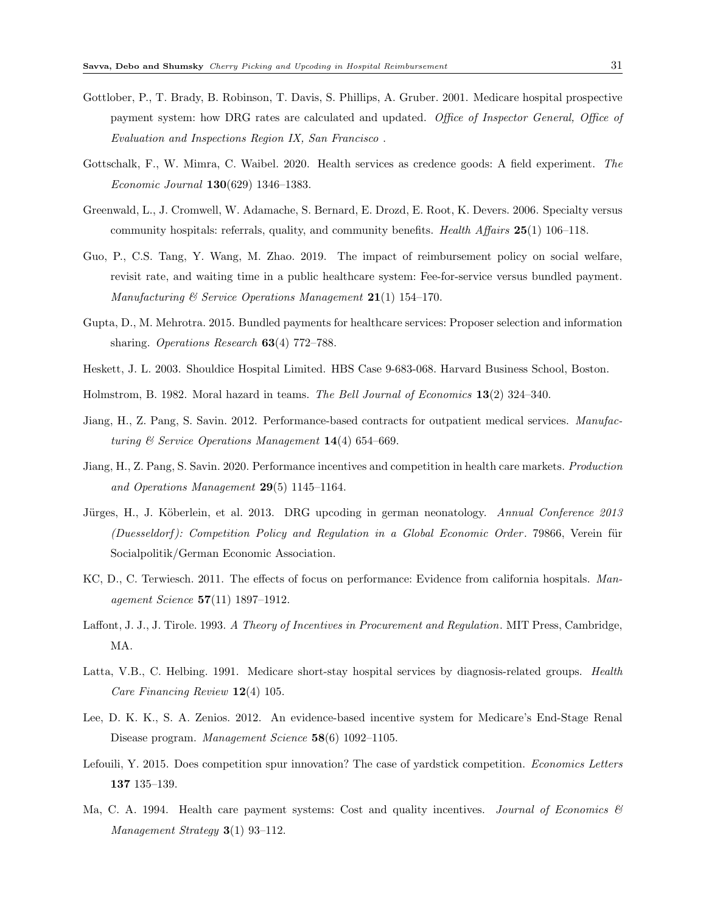- <span id="page-30-0"></span>Gottlober, P., T. Brady, B. Robinson, T. Davis, S. Phillips, A. Gruber. 2001. Medicare hospital prospective payment system: how DRG rates are calculated and updated. Office of Inspector General, Office of Evaluation and Inspections Region IX, San Francisco .
- <span id="page-30-9"></span>Gottschalk, F., W. Mimra, C. Waibel. 2020. Health services as credence goods: A field experiment. The Economic Journal 130(629) 1346–1383.
- <span id="page-30-15"></span>Greenwald, L., J. Cromwell, W. Adamache, S. Bernard, E. Drozd, E. Root, K. Devers. 2006. Specialty versus community hospitals: referrals, quality, and community benefits. Health Affairs  $25(1)$  106–118.
- <span id="page-30-13"></span>Guo, P., C.S. Tang, Y. Wang, M. Zhao. 2019. The impact of reimbursement policy on social welfare, revisit rate, and waiting time in a public healthcare system: Fee-for-service versus bundled payment. Manufacturing  $\mathcal B$  Service Operations Management 21(1) 154-170.
- <span id="page-30-12"></span>Gupta, D., M. Mehrotra. 2015. Bundled payments for healthcare services: Proposer selection and information sharing. Operations Research 63(4) 772–788.
- <span id="page-30-4"></span>Heskett, J. L. 2003. Shouldice Hospital Limited. HBS Case 9-683-068. Harvard Business School, Boston.
- <span id="page-30-5"></span>Holmstrom, B. 1982. Moral hazard in teams. The Bell Journal of Economics 13(2) 324–340.
- <span id="page-30-11"></span>Jiang, H., Z. Pang, S. Savin. 2012. Performance-based contracts for outpatient medical services. Manufacturing  $\mathcal C$  Service Operations Management 14(4) 654–669.
- <span id="page-30-14"></span>Jiang, H., Z. Pang, S. Savin. 2020. Performance incentives and competition in health care markets. Production and Operations Management 29(5) 1145–1164.
- <span id="page-30-3"></span>Jürges, H., J. Köberlein, et al. 2013. DRG upcoding in german neonatology. Annual Conference 2013 (Duesseldorf): Competition Policy and Regulation in a Global Economic Order. 79866, Verein für Socialpolitik/German Economic Association.
- <span id="page-30-1"></span>KC, D., C. Terwiesch. 2011. The effects of focus on performance: Evidence from california hospitals. Management Science 57(11) 1897–1912.
- <span id="page-30-6"></span>Laffont, J. J., J. Tirole. 1993. A Theory of Incentives in Procurement and Regulation. MIT Press, Cambridge, MA.
- <span id="page-30-2"></span>Latta, V.B., C. Helbing. 1991. Medicare short-stay hospital services by diagnosis-related groups. Health Care Financing Review 12(4) 105.
- <span id="page-30-10"></span>Lee, D. K. K., S. A. Zenios. 2012. An evidence-based incentive system for Medicare's End-Stage Renal Disease program. Management Science 58(6) 1092–1105.
- <span id="page-30-7"></span>Lefouili, Y. 2015. Does competition spur innovation? The case of yardstick competition. Economics Letters 137 135–139.
- <span id="page-30-8"></span>Ma, C. A. 1994. Health care payment systems: Cost and quality incentives. Journal of Economics  $\mathcal{B}$ Management Strategy 3(1) 93-112.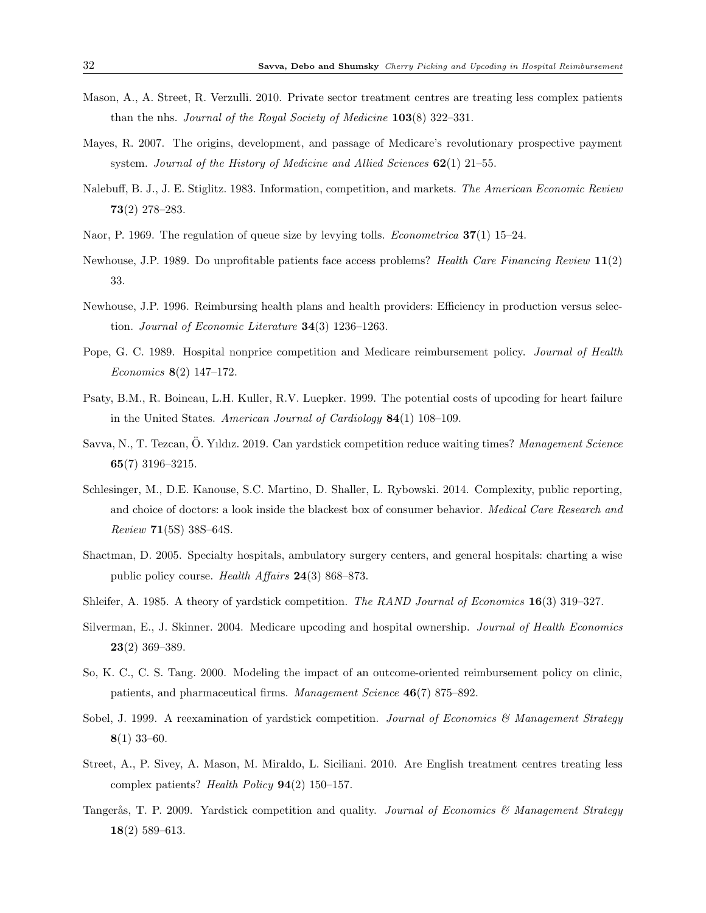- <span id="page-31-6"></span>Mason, A., A. Street, R. Verzulli. 2010. Private sector treatment centres are treating less complex patients than the nhs. Journal of the Royal Society of Medicine  $103(8)$  322–331.
- <span id="page-31-0"></span>Mayes, R. 2007. The origins, development, and passage of Medicare's revolutionary prospective payment system. Journal of the History of Medicine and Allied Sciences  $62(1)$  21–55.
- <span id="page-31-9"></span>Nalebuff, B. J., J. E. Stiglitz. 1983. Information, competition, and markets. The American Economic Review 73(2) 278–283.
- <span id="page-31-13"></span>Naor, P. 1969. The regulation of queue size by levying tolls. *Econometrica* 37(1) 15–24.
- <span id="page-31-3"></span>Newhouse, J.P. 1989. Do unprofitable patients face access problems? Health Care Financing Review 11(2) 33.
- <span id="page-31-2"></span>Newhouse, J.P. 1996. Reimbursing health plans and health providers: Efficiency in production versus selection. Journal of Economic Literature  $34(3)$  1236-1263.
- <span id="page-31-14"></span>Pope, G. C. 1989. Hospital nonprice competition and Medicare reimbursement policy. *Journal of Health* Economics 8(2) 147–172.
- <span id="page-31-8"></span>Psaty, B.M., R. Boineau, L.H. Kuller, R.V. Luepker. 1999. The potential costs of upcoding for heart failure in the United States. American Journal of Cardiology 84(1) 108–109.
- <span id="page-31-12"></span>Savva, N., T. Tezcan, Ö. Yıldız. 2019. Can yardstick competition reduce waiting times? Management Science 65(7) 3196–3215.
- <span id="page-31-16"></span>Schlesinger, M., D.E. Kanouse, S.C. Martino, D. Shaller, L. Rybowski. 2014. Complexity, public reporting, and choice of doctors: a look inside the blackest box of consumer behavior. *Medical Care Research and* Review 71(5S) 38S–64S.
- <span id="page-31-4"></span>Shactman, D. 2005. Specialty hospitals, ambulatory surgery centers, and general hospitals: charting a wise public policy course. Health Affairs 24(3) 868–873.
- <span id="page-31-1"></span>Shleifer, A. 1985. A theory of yardstick competition. The RAND Journal of Economics 16(3) 319–327.
- <span id="page-31-7"></span>Silverman, E., J. Skinner. 2004. Medicare upcoding and hospital ownership. Journal of Health Economics 23(2) 369–389.
- <span id="page-31-15"></span>So, K. C., C. S. Tang. 2000. Modeling the impact of an outcome-oriented reimbursement policy on clinic, patients, and pharmaceutical firms. Management Science 46(7) 875–892.
- <span id="page-31-10"></span>Sobel, J. 1999. A reexamination of vardstick competition. Journal of Economics & Management Strategy 8(1) 33–60.
- <span id="page-31-5"></span>Street, A., P. Sivey, A. Mason, M. Miraldo, L. Siciliani. 2010. Are English treatment centres treating less complex patients? Health Policy  $94(2)$  150–157.
- <span id="page-31-11"></span>Tangerås, T. P. 2009. Yardstick competition and quality. Journal of Economics & Management Strategy 18(2) 589–613.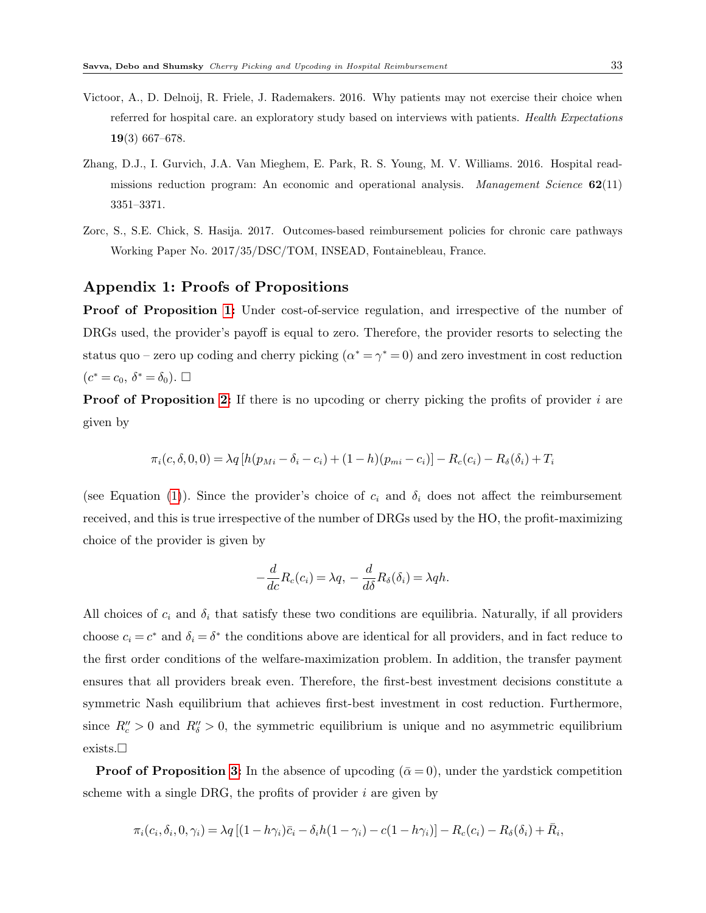- <span id="page-32-2"></span>Victoor, A., D. Delnoij, R. Friele, J. Rademakers. 2016. Why patients may not exercise their choice when referred for hospital care. an exploratory study based on interviews with patients. Health Expectations 19(3) 667–678.
- <span id="page-32-0"></span>Zhang, D.J., I. Gurvich, J.A. Van Mieghem, E. Park, R. S. Young, M. V. Williams. 2016. Hospital readmissions reduction program: An economic and operational analysis. Management Science  $62(11)$ 3351–3371.
- <span id="page-32-1"></span>Zorc, S., S.E. Chick, S. Hasija. 2017. Outcomes-based reimbursement policies for chronic care pathways Working Paper No. 2017/35/DSC/TOM, INSEAD, Fontainebleau, France.

## Appendix 1: Proofs of Propositions

Proof of Proposition [1:](#page-12-2) Under cost-of-service regulation, and irrespective of the number of DRGs used, the provider's payoff is equal to zero. Therefore, the provider resorts to selecting the status quo – zero up coding and cherry picking  $(\alpha^* = \gamma^* = 0)$  and zero investment in cost reduction  $(c^* = c_0, \ \delta^* = \delta_0). \ \Box$ 

**Proof of Proposition [2:](#page-14-0)** If there is no upcoding or cherry picking the profits of provider  $i$  are given by

$$
\pi_i(c, \delta, 0, 0) = \lambda q \left[ h(p_{Mi} - \delta_i - c_i) + (1 - h)(p_{mi} - c_i) \right] - R_c(c_i) - R_{\delta}(\delta_i) + T_i
$$

(see Equation [\(1\)](#page-9-1)). Since the provider's choice of  $c_i$  and  $\delta_i$  does not affect the reimbursement received, and this is true irrespective of the number of DRGs used by the HO, the profit-maximizing choice of the provider is given by

$$
-\frac{d}{dc}R_c(c_i) = \lambda q, -\frac{d}{d\delta}R_{\delta}(\delta_i) = \lambda qh.
$$

All choices of  $c_i$  and  $\delta_i$  that satisfy these two conditions are equilibria. Naturally, if all providers choose  $c_i = c^*$  and  $\delta_i = \delta^*$  the conditions above are identical for all providers, and in fact reduce to the first order conditions of the welfare-maximization problem. In addition, the transfer payment ensures that all providers break even. Therefore, the first-best investment decisions constitute a symmetric Nash equilibrium that achieves first-best investment in cost reduction. Furthermore, since  $R''_c > 0$  and  $R''_s > 0$ , the symmetric equilibrium is unique and no asymmetric equilibrium exists.

**Proof of Proposition [3:](#page-15-0)** In the absence of upcoding  $(\bar{\alpha} = 0)$ , under the yardstick competition scheme with a single DRG, the profits of provider  $i$  are given by

$$
\pi_i(c_i, \delta_i, 0, \gamma_i) = \lambda q \left[ (1 - h\gamma_i)\bar{c}_i - \delta_i h(1 - \gamma_i) - c(1 - h\gamma_i) \right] - R_c(c_i) - R_{\delta}(\delta_i) + \bar{R}_i,
$$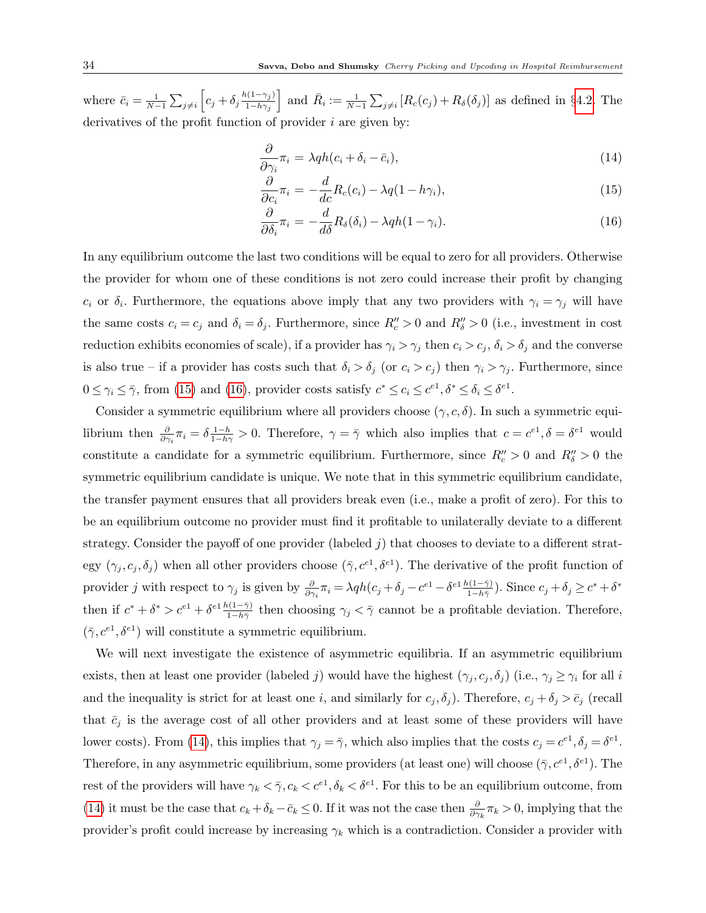where  $\bar{c}_i = \frac{1}{N-1} \sum_{j \neq i} \left[ c_j + \delta_j \frac{h(1-\gamma_j)}{1-h\gamma_j} \right]$  $1-h\gamma_j$ and  $\bar{R}_i := \frac{1}{N-1} \sum_{j \neq i} [R_c(c_j) + R_\delta(\delta_j)]$  as defined in §[4.2.](#page-13-2) The derivatives of the profit function of provider  $i$  are given by:

<span id="page-33-0"></span>
$$
\frac{\partial}{\partial \gamma_i} \pi_i = \lambda q h (c_i + \delta_i - \bar{c}_i), \tag{14}
$$

$$
\frac{\partial}{\partial c_i} \pi_i = -\frac{d}{dc} R_c(c_i) - \lambda q (1 - h \gamma_i), \qquad (15)
$$

$$
\frac{\partial}{\partial \delta_i} \pi_i = -\frac{d}{d\delta} R_\delta(\delta_i) - \lambda q h (1 - \gamma_i). \tag{16}
$$

In any equilibrium outcome the last two conditions will be equal to zero for all providers. Otherwise the provider for whom one of these conditions is not zero could increase their profit by changing  $c_i$  or  $\delta_i$ . Furthermore, the equations above imply that any two providers with  $\gamma_i = \gamma_j$  will have the same costs  $c_i = c_j$  and  $\delta_i = \delta_j$ . Furthermore, since  $R''_c > 0$  and  $R''_s > 0$  (i.e., investment in cost reduction exhibits economies of scale), if a provider has  $\gamma_i > \gamma_j$  then  $c_i > c_j$ ,  $\delta_i > \delta_j$  and the converse is also true – if a provider has costs such that  $\delta_i > \delta_j$  (or  $c_i > c_j$ ) then  $\gamma_i > \gamma_j$ . Furthermore, since  $0 \leq \gamma_i \leq \overline{\gamma}$ , from [\(15\)](#page-33-0) and [\(16\)](#page-33-0), provider costs satisfy  $c^* \leq c_i \leq c^{e_1}, \delta^* \leq \delta_i \leq \delta^{e_1}$ .

Consider a symmetric equilibrium where all providers choose  $(\gamma, c, \delta)$ . In such a symmetric equilibrium then  $\frac{\partial}{\partial \gamma_i} \pi_i = \delta \frac{1-h}{1-h\gamma} > 0$ . Therefore,  $\gamma = \bar{\gamma}$  which also implies that  $c = c^{e_1}, \delta = \delta^{e_1}$  would constitute a candidate for a symmetric equilibrium. Furthermore, since  $R_c'' > 0$  and  $R_b'' > 0$  the symmetric equilibrium candidate is unique. We note that in this symmetric equilibrium candidate, the transfer payment ensures that all providers break even (i.e., make a profit of zero). For this to be an equilibrium outcome no provider must find it profitable to unilaterally deviate to a different strategy. Consider the payoff of one provider (labeled j) that chooses to deviate to a different strategy  $(\gamma_j, c_j, \delta_j)$  when all other providers choose  $(\bar{\gamma}, c^{e_1}, \delta^{e_1})$ . The derivative of the profit function of provider j with respect to  $\gamma_j$  is given by  $\frac{\partial}{\partial \gamma_i} \pi_i = \lambda q h(c_j + \delta_j - c^{e1} - \delta^{e1} \frac{h(1-\bar{\gamma})}{1-h\bar{\gamma}})$ . Since  $c_j + \delta_j \ge c^* + \delta^*$ then if  $c^* + \delta^* > c^{e_1} + \delta^{e_1} \frac{h(1-\bar{\gamma})}{1-h\bar{\gamma}}$  then choosing  $\gamma_j < \bar{\gamma}$  cannot be a profitable deviation. Therefore,  $(\bar{\gamma}, c^{e_1}, \delta^{e_1})$  will constitute a symmetric equilibrium.

We will next investigate the existence of asymmetric equilibria. If an asymmetric equilibrium exists, then at least one provider (labeled j) would have the highest  $(\gamma_j, c_j, \delta_j)$  (i.e.,  $\gamma_j \geq \gamma_i$  for all i and the inequality is strict for at least one i, and similarly for  $c_j, \delta_j$ ). Therefore,  $c_j + \delta_j > \bar{c}_j$  (recall that  $\bar{c}_j$  is the average cost of all other providers and at least some of these providers will have lower costs). From [\(14\)](#page-33-0), this implies that  $\gamma_j = \overline{\gamma}$ , which also implies that the costs  $c_j = c^{e_1}, \delta_j = \delta^{e_1}$ . Therefore, in any asymmetric equilibrium, some providers (at least one) will choose  $(\bar{\gamma}, c^{e_1}, \delta^{e_1})$ . The rest of the providers will have  $\gamma_k < \bar{\gamma}, c_k < c^{e_1}, \delta_k < \delta^{e_1}$ . For this to be an equilibrium outcome, from [\(14\)](#page-33-0) it must be the case that  $c_k + \delta_k - \bar{c}_k \leq 0$ . If it was not the case then  $\frac{\partial}{\partial \gamma_k} \pi_k > 0$ , implying that the provider's profit could increase by increasing  $\gamma_k$  which is a contradiction. Consider a provider with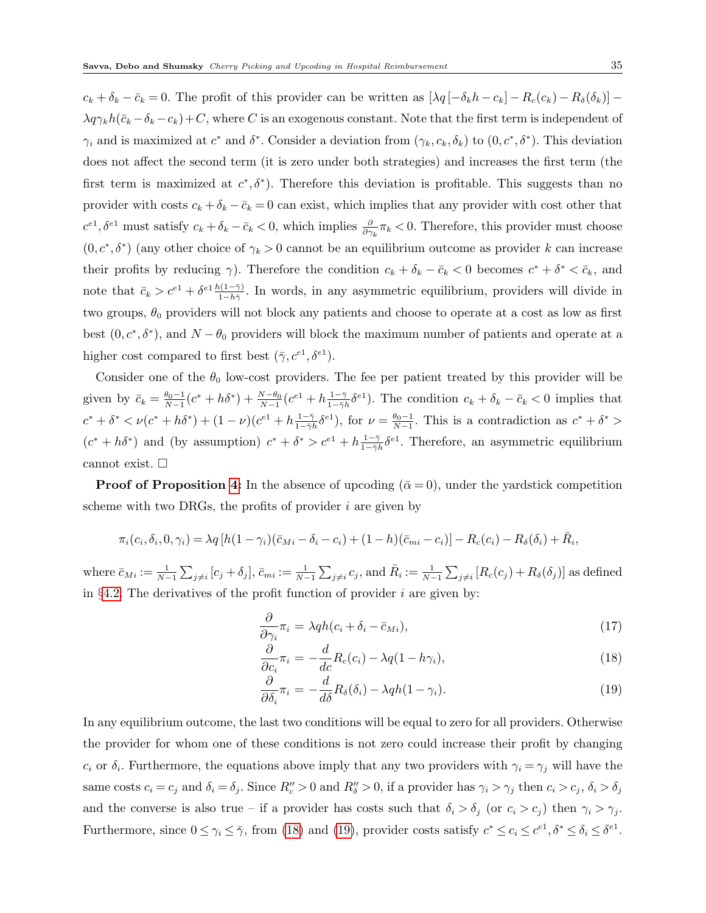$c_k + \delta_k - \bar{c}_k = 0$ . The profit of this provider can be written as  $[\lambda q \left[-\delta_k h - c_k\right] - R_c(c_k) - R_\delta(\delta_k)]$  $\lambda q\gamma_k h(\bar{c}_k - \delta_k - c_k) + C$ , where C is an exogenous constant. Note that the first term is independent of  $\gamma_i$  and is maximized at  $c^*$  and  $\delta^*$ . Consider a deviation from  $(\gamma_k, c_k, \delta_k)$  to  $(0, c^*, \delta^*)$ . This deviation does not affect the second term (it is zero under both strategies) and increases the first term (the first term is maximized at  $c^*, \delta^*$ ). Therefore this deviation is profitable. This suggests than no provider with costs  $c_k + \delta_k - \bar{c}_k = 0$  can exist, which implies that any provider with cost other that  $c^{e1}, \delta^{e1}$  must satisfy  $c_k + \delta_k - \bar{c}_k < 0$ , which implies  $\frac{\partial}{\partial \gamma_k} \pi_k < 0$ . Therefore, this provider must choose  $(0, c^*, \delta^*)$  (any other choice of  $\gamma_k > 0$  cannot be an equilibrium outcome as provider k can increase their profits by reducing  $\gamma$ ). Therefore the condition  $c_k + \delta_k - \bar{c}_k < 0$  becomes  $c^* + \delta^* < \bar{c}_k$ , and note that  $\bar{c}_k > c^{e_1} + \delta^{e_1} \frac{h(1-\bar{\gamma})}{1-h\bar{\gamma}}$ . In words, in any asymmetric equilibrium, providers will divide in two groups,  $\theta_0$  providers will not block any patients and choose to operate at a cost as low as first best  $(0, c^*, \delta^*)$ , and  $N - \theta_0$  providers will block the maximum number of patients and operate at a higher cost compared to first best  $(\bar{\gamma}, c^{e_1}, \delta^{e_1}).$ 

Consider one of the  $\theta_0$  low-cost providers. The fee per patient treated by this provider will be given by  $\bar{c}_k = \frac{\theta_0 - 1}{N - 1} (c^* + h\delta^*) + \frac{N - \theta_0}{N - 1} (c^{\epsilon 1} + h\frac{1 - \bar{\gamma}}{1 - \bar{\gamma}})$  $\frac{1-\bar{\gamma}}{1-\bar{\gamma}h}\delta^{e_1}$ ). The condition  $c_k + \delta_k - \bar{c}_k < 0$  implies that  $c^* + \delta^* < \nu(c^* + h\delta^*) + (1 - \nu)(c^{e_1} + h\frac{1 - \bar{\gamma}}{1 - \bar{\gamma}})$  $\frac{1-\bar{\gamma}}{1-\bar{\gamma}h}\delta^{e1}$ , for  $\nu=\frac{\theta_0-1}{N-1}$ . This is a contradiction as  $c^*+\delta^*$  $(c^* + h\delta^*)$  and (by assumption)  $c^* + \delta^* > c^{e_1} + h\frac{1-\overline{\gamma}}{1-\overline{\gamma}}$  $\frac{1-\bar{\gamma}}{1-\bar{\gamma}h}\delta^{e_1}$ . Therefore, an asymmetric equilibrium cannot exist.  $\square$ 

**Proof of Proposition [4:](#page-16-0)** In the absence of upcoding ( $\bar{\alpha} = 0$ ), under the yardstick competition scheme with two DRGs, the profits of provider  $i$  are given by

$$
\pi_i(c_i,\delta_i,0,\gamma_i) = \lambda q \left[ h(1-\gamma_i)(\bar{c}_{Mi}-\delta_i-c_i) + (1-h)(\bar{c}_{mi}-c_i) \right] - R_c(c_i) - R_{\delta}(\delta_i) + \bar{R}_i,
$$

where  $\bar{c}_{Mi} := \frac{1}{N-1} \sum_{j \neq i} [c_j + \delta_j], \bar{c}_{mi} := \frac{1}{N-1} \sum_{j \neq i} c_j$ , and  $\bar{R}_i := \frac{1}{N-1} \sum_{j \neq i} [R_c(c_j) + R_{\delta}(\delta_j)]$  as defined in §[4.2.](#page-13-2) The derivatives of the profit function of provider  $i$  are given by:

<span id="page-34-0"></span>
$$
\frac{\partial}{\partial \gamma_i} \pi_i = \lambda q h (c_i + \delta_i - \bar{c}_{Mi}), \qquad (17)
$$

$$
\frac{\partial}{\partial c_i}\pi_i = -\frac{d}{dc}R_c(c_i) - \lambda q(1 - h\gamma_i),\tag{18}
$$

$$
\frac{\partial}{\partial \delta_i} \pi_i = -\frac{d}{d\delta} R_\delta(\delta_i) - \lambda q h (1 - \gamma_i). \tag{19}
$$

In any equilibrium outcome, the last two conditions will be equal to zero for all providers. Otherwise the provider for whom one of these conditions is not zero could increase their profit by changing  $c_i$  or  $\delta_i$ . Furthermore, the equations above imply that any two providers with  $\gamma_i = \gamma_j$  will have the same costs  $c_i = c_j$  and  $\delta_i = \delta_j$ . Since  $R''_c > 0$  and  $R''_s > 0$ , if a provider has  $\gamma_i > \gamma_j$  then  $c_i > c_j$ ,  $\delta_i > \delta_j$ and the converse is also true – if a provider has costs such that  $\delta_i > \delta_j$  (or  $c_i > c_j$ ) then  $\gamma_i > \gamma_j$ . Furthermore, since  $0 \le \gamma_i \le \bar{\gamma}$ , from [\(18\)](#page-34-0) and [\(19\)](#page-34-0), provider costs satisfy  $c^* \le c_i \le c^{e_1}, \delta^* \le \delta_i \le \delta^{e_1}$ .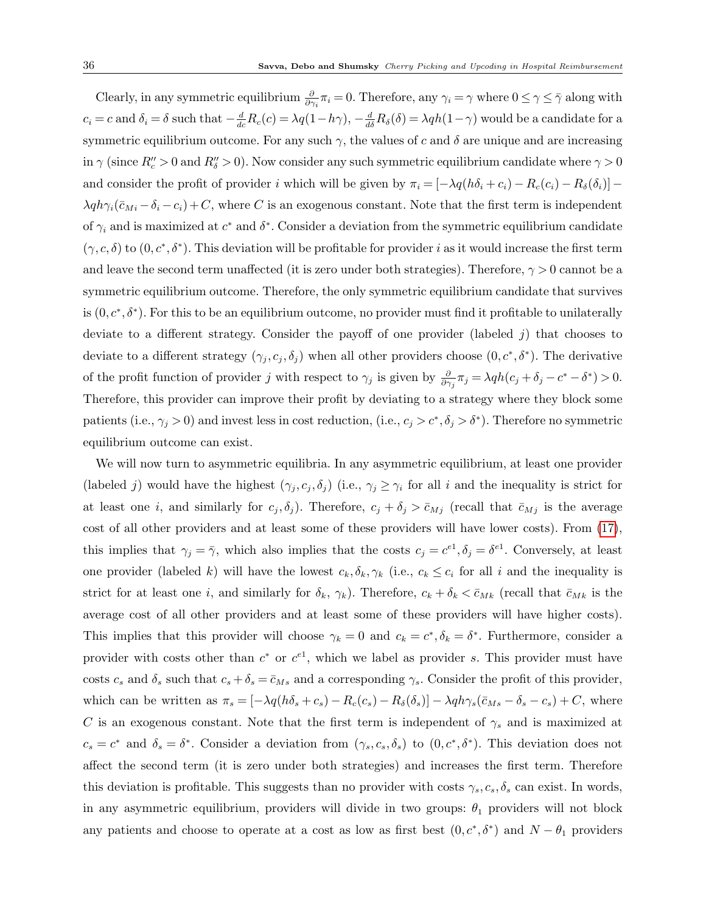Clearly, in any symmetric equilibrium  $\frac{\partial}{\partial \gamma_i} \pi_i = 0$ . Therefore, any  $\gamma_i = \gamma$  where  $0 \le \gamma \le \bar{\gamma}$  along with  $c_i = c$  and  $\delta_i = \delta$  such that  $-\frac{d}{dc}R_c(c) = \lambda q(1-h\gamma), -\frac{d}{d\delta}R_{\delta}(\delta) = \lambda qh(1-\gamma)$  would be a candidate for a symmetric equilibrium outcome. For any such  $\gamma$ , the values of c and  $\delta$  are unique and are increasing in  $\gamma$  (since  $R''_c > 0$  and  $R''_s > 0$ ). Now consider any such symmetric equilibrium candidate where  $\gamma > 0$ and consider the profit of provider i which will be given by  $\pi_i = [-\lambda q(h\delta_i + c_i) - R_c(c_i) - R_\delta(\delta_i)]$  $\lambda q h \gamma_i (\bar{c}_{Mi} - \delta_i - c_i) + C$ , where C is an exogenous constant. Note that the first term is independent of  $\gamma_i$  and is maximized at  $c^*$  and  $\delta^*$ . Consider a deviation from the symmetric equilibrium candidate  $(\gamma, c, \delta)$  to  $(0, c^*, \delta^*)$ . This deviation will be profitable for provider i as it would increase the first term and leave the second term unaffected (it is zero under both strategies). Therefore,  $\gamma > 0$  cannot be a symmetric equilibrium outcome. Therefore, the only symmetric equilibrium candidate that survives is  $(0, c^*, \delta^*)$ . For this to be an equilibrium outcome, no provider must find it profitable to unilaterally deviate to a different strategy. Consider the payoff of one provider (labeled  $j$ ) that chooses to deviate to a different strategy  $(\gamma_j, c_j, \delta_j)$  when all other providers choose  $(0, c^*, \delta^*)$ . The derivative of the profit function of provider j with respect to  $\gamma_j$  is given by  $\frac{\partial}{\partial \gamma_j} \pi_j = \lambda q h(c_j + \delta_j - c^* - \delta^*) > 0$ . Therefore, this provider can improve their profit by deviating to a strategy where they block some patients (i.e.,  $\gamma_j > 0$ ) and invest less in cost reduction, (i.e.,  $c_j > c^*, \delta_j > \delta^*$ ). Therefore no symmetric equilibrium outcome can exist.

We will now turn to asymmetric equilibria. In any asymmetric equilibrium, at least one provider (labeled j) would have the highest  $(\gamma_j, c_j, \delta_j)$  (i.e.,  $\gamma_j \geq \gamma_i$  for all i and the inequality is strict for at least one i, and similarly for  $c_j, \delta_j$ ). Therefore,  $c_j + \delta_j > \bar{c}_{Mj}$  (recall that  $\bar{c}_{Mj}$  is the average cost of all other providers and at least some of these providers will have lower costs). From [\(17\)](#page-34-0), this implies that  $\gamma_j = \bar{\gamma}$ , which also implies that the costs  $c_j = c^{e_1}, \delta_j = \delta^{e_1}$ . Conversely, at least one provider (labeled k) will have the lowest  $c_k, \delta_k, \gamma_k$  (i.e.,  $c_k \leq c_i$  for all i and the inequality is strict for at least one i, and similarly for  $\delta_k$ ,  $\gamma_k$ ). Therefore,  $c_k + \delta_k < \bar{c}_{Mk}$  (recall that  $\bar{c}_{Mk}$  is the average cost of all other providers and at least some of these providers will have higher costs). This implies that this provider will choose  $\gamma_k = 0$  and  $c_k = c^*, \delta_k = \delta^*$ . Furthermore, consider a provider with costs other than  $c^*$  or  $c^{e_1}$ , which we label as provider s. This provider must have costs  $c_s$  and  $\delta_s$  such that  $c_s + \delta_s = \bar{c}_{Ms}$  and a corresponding  $\gamma_s$ . Consider the profit of this provider, which can be written as  $\pi_s = [-\lambda q(h\delta_s + c_s) - R_c(c_s) - R_\delta(\delta_s)] - \lambda q h \gamma_s (\bar{c}_{Ms} - \delta_s - c_s) + C$ , where C is an exogenous constant. Note that the first term is independent of  $\gamma_s$  and is maximized at  $c_s = c^*$  and  $\delta_s = \delta^*$ . Consider a deviation from  $(\gamma_s, c_s, \delta_s)$  to  $(0, c^*, \delta^*)$ . This deviation does not affect the second term (it is zero under both strategies) and increases the first term. Therefore this deviation is profitable. This suggests than no provider with costs  $\gamma_s, c_s, \delta_s$  can exist. In words, in any asymmetric equilibrium, providers will divide in two groups:  $\theta_1$  providers will not block any patients and choose to operate at a cost as low as first best  $(0, c^*, \delta^*)$  and  $N - \theta_1$  providers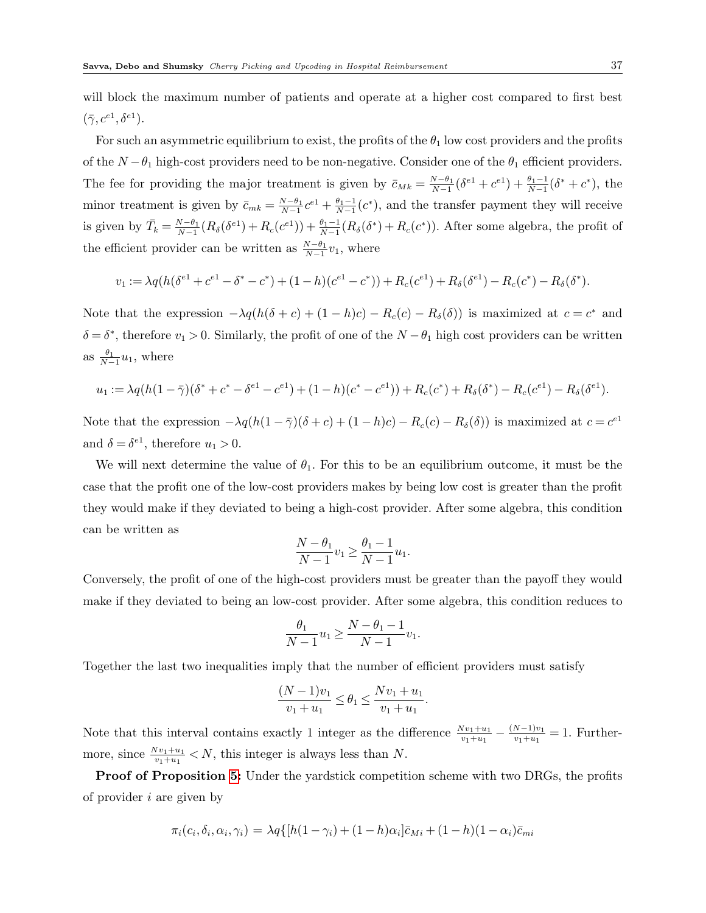will block the maximum number of patients and operate at a higher cost compared to first best  $(\bar{\gamma}, c^{e_1}, \delta^{e_1}).$ 

For such an asymmetric equilibrium to exist, the profits of the  $\theta_1$  low cost providers and the profits of the  $N - \theta_1$  high-cost providers need to be non-negative. Consider one of the  $\theta_1$  efficient providers. The fee for providing the major treatment is given by  $\bar{c}_{Mk} = \frac{N-\theta_1}{N-1}(\delta^{e_1}+c^{e_1}) + \frac{\theta_1-1}{N-1}(\delta^*+c^*)$ , the minor treatment is given by  $\bar{c}_{mk} = \frac{N-\theta_1}{N-1}c^{e_1} + \frac{\theta_1-1}{N-1}(c^*)$ , and the transfer payment they will receive is given by  $\bar{T}_k = \frac{N-\theta_1}{N-1}(R_\delta(\delta^{e_1}) + R_c(e^{e_1})) + \frac{\theta_1-1}{N-1}(R_\delta(\delta^*) + R_c(e^*))$ . After some algebra, the profit of the efficient provider can be written as  $\frac{N-\theta_1}{N-1}v_1$ , where

$$
v_1 := \lambda q (h(\delta^{e_1} + c^{e_1} - \delta^* - c^*) + (1 - h)(c^{e_1} - c^*)) + R_c(c^{e_1}) + R_\delta(\delta^{e_1}) - R_c(c^*) - R_\delta(\delta^*).
$$

Note that the expression  $-\lambda q(h(\delta + c) + (1 - h)c) - R_c(c) - R_{\delta}(\delta)$  is maximized at  $c = c^*$  and  $\delta = \delta^*$ , therefore  $v_1 > 0$ . Similarly, the profit of one of the  $N - \theta_1$  high cost providers can be written as  $\frac{\theta_1}{N-1}u_1$ , where

$$
u_1 := \lambda q (h(1 - \bar{\gamma})(\delta^* + c^* - \delta^{e_1} - c^{e_1}) + (1 - h)(c^* - c^{e_1})) + R_c(c^*) + R_{\delta}(\delta^*) - R_c(c^{e_1}) - R_{\delta}(\delta^{e_1}).
$$

Note that the expression  $-\lambda q(h(1-\bar{\gamma})(\delta+c) + (1-h)c) - R_c(c) - R_{\delta}(\delta)$  is maximized at  $c = c^{e_1}$ and  $\delta = \delta^{e_1}$ , therefore  $u_1 > 0$ .

We will next determine the value of  $\theta_1$ . For this to be an equilibrium outcome, it must be the case that the profit one of the low-cost providers makes by being low cost is greater than the profit they would make if they deviated to being a high-cost provider. After some algebra, this condition can be written as

$$
\frac{N-\theta_1}{N-1}v_1 \ge \frac{\theta_1-1}{N-1}u_1.
$$

Conversely, the profit of one of the high-cost providers must be greater than the payoff they would make if they deviated to being an low-cost provider. After some algebra, this condition reduces to

$$
\frac{\theta_1}{N-1}u_1 \ge \frac{N-\theta_1-1}{N-1}v_1.
$$

Together the last two inequalities imply that the number of efficient providers must satisfy

$$
\frac{(N-1)v_1}{v_1+u_1} \le \theta_1 \le \frac{Nv_1+u_1}{v_1+u_1}.
$$

Note that this interval contains exactly 1 integer as the difference  $\frac{Nv_1+u_1}{v_1+u_1} - \frac{(N-1)v_1}{v_1+u_1}$  $\frac{N-1)v_1}{v_1+u_1} = 1.$  Furthermore, since  $\frac{Nv_1+u_1}{v_1+u_1} < N$ , this integer is always less than N.

**Proof of Proposition [5:](#page-21-0)** Under the yardstick competition scheme with two DRGs, the profits of provider  $i$  are given by

$$
\pi_i(c_i, \delta_i, \alpha_i, \gamma_i) = \lambda q \{ [h(1-\gamma_i) + (1-h)\alpha_i] \bar{c}_{Mi} + (1-h)(1-\alpha_i) \bar{c}_{mi}
$$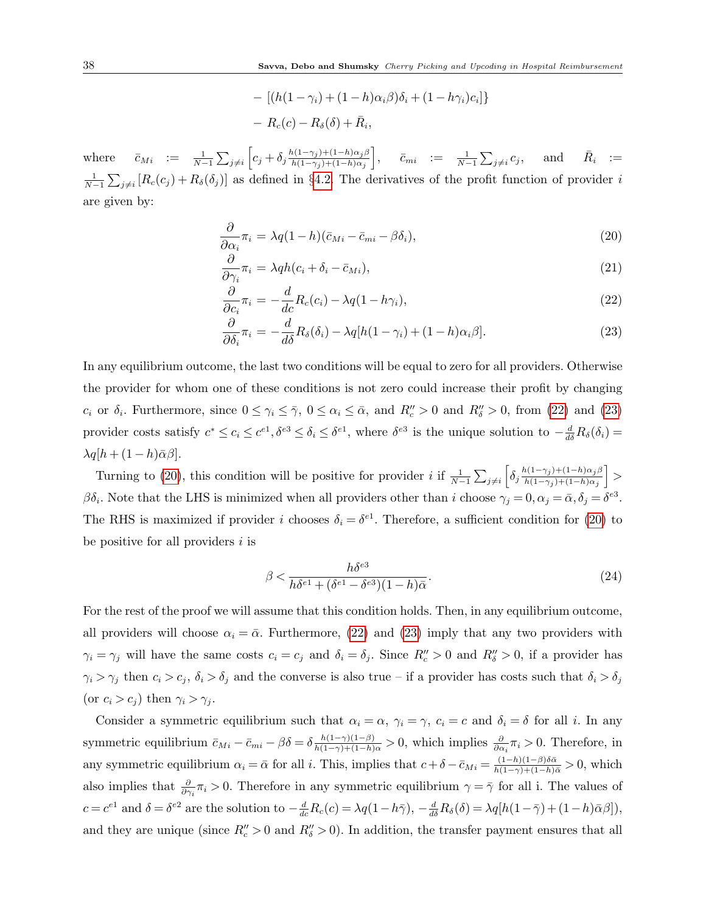$$
- [(h(1 - \gamma_i) + (1 - h)\alpha_i \beta)\delta_i + (1 - h\gamma_i)c_i] \}
$$
  
-  $R_c(c) - R_{\delta}(\delta) + \bar{R}_i$ ,

where  $\bar{c}_{Mi} := \frac{1}{N-1} \sum_{j \neq i} \left[ c_j + \delta_j \frac{h(1-\gamma_j)+(1-h)\alpha_j \beta_j}{h(1-\gamma_j)+(1-h)\alpha_j} \right]$  $h(1-\gamma_j)+(1-h)\alpha_j$  $\Big\}, \hspace{0.2in} \bar{c}_{mi} \hspace{0.1in} := \hspace{0.1in} \frac{1}{N-1} \sum_{j \neq i}$  $c_j$ , and  $\bar{R}_i :=$  $\frac{1}{N-1}\sum_{j\neq i}[R_c(c_j)+R_\delta(\delta_j)]$  as defined in §[4.2.](#page-13-2) The derivatives of the profit function of provider i are given by:

<span id="page-37-0"></span>
$$
\frac{\partial}{\partial \alpha_i} \pi_i = \lambda q (1 - h)(\bar{c}_{Mi} - \bar{c}_{mi} - \beta \delta_i), \tag{20}
$$

$$
\frac{\partial}{\partial \gamma_i} \pi_i = \lambda q h (c_i + \delta_i - \bar{c}_{Mi}), \qquad (21)
$$

$$
\frac{\partial}{\partial c_i} \pi_i = -\frac{d}{dc} R_c(c_i) - \lambda q (1 - h \gamma_i), \qquad (22)
$$

$$
\frac{\partial}{\partial \delta_i} \pi_i = -\frac{d}{d\delta} R_\delta(\delta_i) - \lambda q [h(1-\gamma_i) + (1-h)\alpha_i \beta]. \tag{23}
$$

In any equilibrium outcome, the last two conditions will be equal to zero for all providers. Otherwise the provider for whom one of these conditions is not zero could increase their profit by changing  $c_i$  or  $\delta_i$ . Furthermore, since  $0 \leq \gamma_i \leq \overline{\gamma}$ ,  $0 \leq \alpha_i \leq \overline{\alpha}$ , and  $R''_c > 0$  and  $R''_s > 0$ , from [\(22\)](#page-37-0) and [\(23\)](#page-37-0) provider costs satisfy  $c^* \leq c_i \leq c^{e_1}, \delta^{e_3} \leq \delta_i \leq \delta^{e_1}$ , where  $\delta^{e_3}$  is the unique solution to  $-\frac{d}{d\delta}R_{\delta}(\delta_i)$  $\lambda q[h + (1-h)\bar{\alpha}\beta].$ 

Turning to [\(20\)](#page-37-0), this condition will be positive for provider *i* if  $\frac{1}{N-1} \sum_{j \neq i} \left[ \delta_j \frac{h(1-\gamma_j)+(1-h)\alpha_j \beta_j}{h(1-\gamma_j)+(1-h)\alpha_j} \right]$  $h(1-\gamma_j)+(1-h)\alpha_j$ i >  $\beta \delta_i$ . Note that the LHS is minimized when all providers other than i choose  $\gamma_j = 0, \alpha_j = \bar{\alpha}, \delta_j = \delta^{e3}$ . The RHS is maximized if provider i chooses  $\delta_i = \delta^{e_1}$ . Therefore, a sufficient condition for [\(20\)](#page-37-0) to be positive for all providers  $i$  is

$$
\beta < \frac{h\delta^{e3}}{h\delta^{e1} + (\delta^{e1} - \delta^{e3})(1 - h)\bar{\alpha}}.\tag{24}
$$

For the rest of the proof we will assume that this condition holds. Then, in any equilibrium outcome, all providers will choose  $\alpha_i = \bar{\alpha}$ . Furthermore, [\(22\)](#page-37-0) and [\(23\)](#page-37-0) imply that any two providers with  $\gamma_i = \gamma_j$  will have the same costs  $c_i = c_j$  and  $\delta_i = \delta_j$ . Since  $R''_c > 0$  and  $R''_s > 0$ , if a provider has  $\gamma_i > \gamma_j$  then  $c_i > c_j$ ,  $\delta_i > \delta_j$  and the converse is also true – if a provider has costs such that  $\delta_i > \delta_j$ (or  $c_i > c_j$ ) then  $\gamma_i > \gamma_i$ .

Consider a symmetric equilibrium such that  $\alpha_i = \alpha$ ,  $\gamma_i = \gamma$ ,  $c_i = c$  and  $\delta_i = \delta$  for all i. In any symmetric equilibrium  $\bar{c}_{Mi} - \bar{c}_{mi} - \beta \delta = \delta \frac{h(1-\gamma)(1-\beta)}{h(1-\gamma)+(1-h)\alpha} > 0$ , which implies  $\frac{\partial}{\partial \alpha_i} \pi_i > 0$ . Therefore, in any symmetric equilibrium  $\alpha_i = \bar{\alpha}$  for all i. This, implies that  $c + \delta - \bar{c}_{Mi} = \frac{(1-h)(1-\beta)\delta\bar{\alpha}}{h(1-\gamma)+(1-h)\bar{\alpha}} > 0$ , which also implies that  $\frac{\partial}{\partial \gamma_i}\pi_i > 0$ . Therefore in any symmetric equilibrium  $\gamma = \bar{\gamma}$  for all i. The values of  $c = c^{e1}$  and  $\delta = \delta^{e2}$  are the solution to  $-\frac{d}{dc}R_c(c) = \lambda q(1-h\bar{\gamma}), -\frac{d}{d\delta}R_{\delta}(\delta) = \lambda q[h(1-\bar{\gamma}) + (1-h)\bar{\alpha}\beta]),$ and they are unique (since  $R''_c > 0$  and  $R''_s > 0$ ). In addition, the transfer payment ensures that all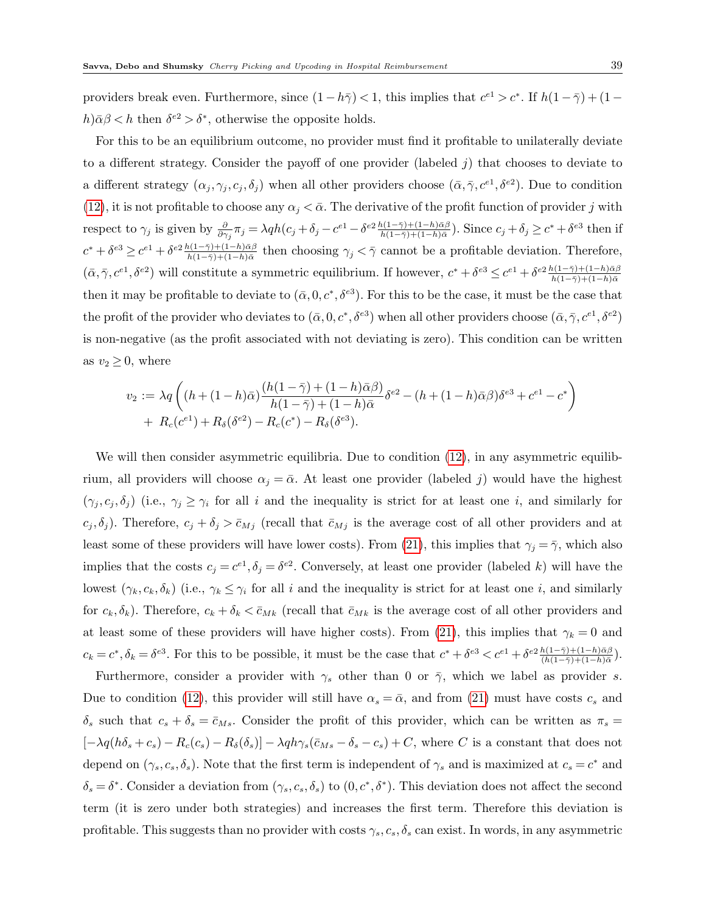providers break even. Furthermore, since  $(1-h\bar{z}) < 1$ , this implies that  $c^{e_1} > c^*$ . If  $h(1-\bar{z}) + (1-\bar{z})$  $h\geqslant \beta \leqslant h$  then  $\delta^{e2} > \delta^*$ , otherwise the opposite holds.

For this to be an equilibrium outcome, no provider must find it profitable to unilaterally deviate to a different strategy. Consider the payoff of one provider (labeled  $j$ ) that chooses to deviate to a different strategy  $(\alpha_j, \gamma_j, c_j, \delta_j)$  when all other providers choose  $(\bar{\alpha}, \bar{\gamma}, c^{e_1}, \delta^{e_2})$ . Due to condition [\(12\)](#page-20-0), it is not profitable to choose any  $\alpha_j < \bar{\alpha}$ . The derivative of the profit function of provider j with respect to  $\gamma_j$  is given by  $\frac{\partial}{\partial \gamma_j} \pi_j = \lambda q h(c_j + \delta_j - c^{e1} - \delta^{e2} \frac{h(1-\bar{\gamma}) + (1-h)\bar{\alpha}\beta}{h(1-\bar{\gamma}) + (1-h)\bar{\alpha}})$ . Since  $c_j + \delta_j \ge c^* + \delta^{e3}$  then if  $c^* + \delta^{e3} \geq c^{e1} + \delta^{e2} \frac{h(1-\bar{\gamma}) + (1-h)\bar{\alpha}\beta}{h(1-\bar{\gamma}) + (1-h)\bar{\alpha}}$  then choosing  $\gamma_j < \bar{\gamma}$  cannot be a profitable deviation. Therefore,  $(\bar{\alpha}, \bar{\gamma}, c^{e_1}, \delta^{e_2})$  will constitute a symmetric equilibrium. If however,  $c^* + \delta^{e_3} \leq c^{e_1} + \delta^{e_2} \frac{h(1-\bar{\gamma}) + (1-h)\bar{\alpha}\beta}{h(1-\bar{\gamma}) + (1-h)\bar{\alpha}}$ then it may be profitable to deviate to  $(\bar{\alpha}, 0, c^*, \delta^{e3})$ . For this to be the case, it must be the case that the profit of the provider who deviates to  $(\bar{\alpha}, 0, c^*, \delta^{e3})$  when all other providers choose  $(\bar{\alpha}, \bar{\gamma}, c^{e1}, \delta^{e2})$ is non-negative (as the profit associated with not deviating is zero). This condition can be written as  $v_2 \geq 0$ , where

$$
v_2 := \lambda q \left( (h + (1 - h)\bar{\alpha}) \frac{(h(1 - \bar{\gamma}) + (1 - h)\bar{\alpha}\beta)}{h(1 - \bar{\gamma}) + (1 - h)\bar{\alpha}} \delta^{e2} - (h + (1 - h)\bar{\alpha}\beta)\delta^{e3} + c^{e1} - c^* \right) + R_c(c^{e1}) + R_{\delta}(\delta^{e2}) - R_c(c^*) - R_{\delta}(\delta^{e3}).
$$

We will then consider asymmetric equilibria. Due to condition  $(12)$ , in any asymmetric equilibrium, all providers will choose  $\alpha_j = \bar{\alpha}$ . At least one provider (labeled j) would have the highest  $(\gamma_j, c_j, \delta_j)$  (i.e.,  $\gamma_j \geq \gamma_i$  for all i and the inequality is strict for at least one i, and similarly for  $c_j, \delta_j$ ). Therefore,  $c_j + \delta_j > \bar{c}_{M_j}$  (recall that  $\bar{c}_{M_j}$  is the average cost of all other providers and at least some of these providers will have lower costs). From [\(21\)](#page-37-0), this implies that  $\gamma_j = \overline{\gamma}$ , which also implies that the costs  $c_j = c^{e_1}, \delta_j = \delta^{e_2}$ . Conversely, at least one provider (labeled k) will have the lowest  $(\gamma_k, c_k, \delta_k)$  (i.e.,  $\gamma_k \leq \gamma_i$  for all i and the inequality is strict for at least one i, and similarly for  $c_k, \delta_k$ ). Therefore,  $c_k + \delta_k < \bar{c}_{Mk}$  (recall that  $\bar{c}_{Mk}$  is the average cost of all other providers and at least some of these providers will have higher costs). From [\(21\)](#page-37-0), this implies that  $\gamma_k = 0$  and  $c_k = c^*, \delta_k = \delta^{e3}$ . For this to be possible, it must be the case that  $c^* + \delta^{e3} < c^{e1} + \delta^{e2} \frac{h(1-\bar{\gamma}) + (1-h)\bar{\alpha}\beta}{(h(1-\bar{\gamma}) + (1-h)\bar{\alpha})}$ .

Furthermore, consider a provider with  $\gamma_s$  other than 0 or  $\bar{\gamma}$ , which we label as provider s. Due to condition [\(12\)](#page-20-0), this provider will still have  $\alpha_s = \bar{\alpha}$ , and from [\(21\)](#page-37-0) must have costs  $c_s$  and  $\delta_s$  such that  $c_s + \delta_s = \bar{c}_{Ms}$ . Consider the profit of this provider, which can be written as  $\pi_s =$  $[-\lambda q(h\delta_s+c_s)-R_c(c_s)-R_\delta(\delta_s)]-\lambda qh\gamma_s(\bar{c}_{Ms}-\delta_s-c_s)+C$ , where C is a constant that does not depend on  $(\gamma_s, c_s, \delta_s)$ . Note that the first term is independent of  $\gamma_s$  and is maximized at  $c_s = c^*$  and  $\delta_s = \delta^*$ . Consider a deviation from  $(\gamma_s, c_s, \delta_s)$  to  $(0, c^*, \delta^*)$ . This deviation does not affect the second term (it is zero under both strategies) and increases the first term. Therefore this deviation is profitable. This suggests than no provider with costs  $\gamma_s, c_s, \delta_s$  can exist. In words, in any asymmetric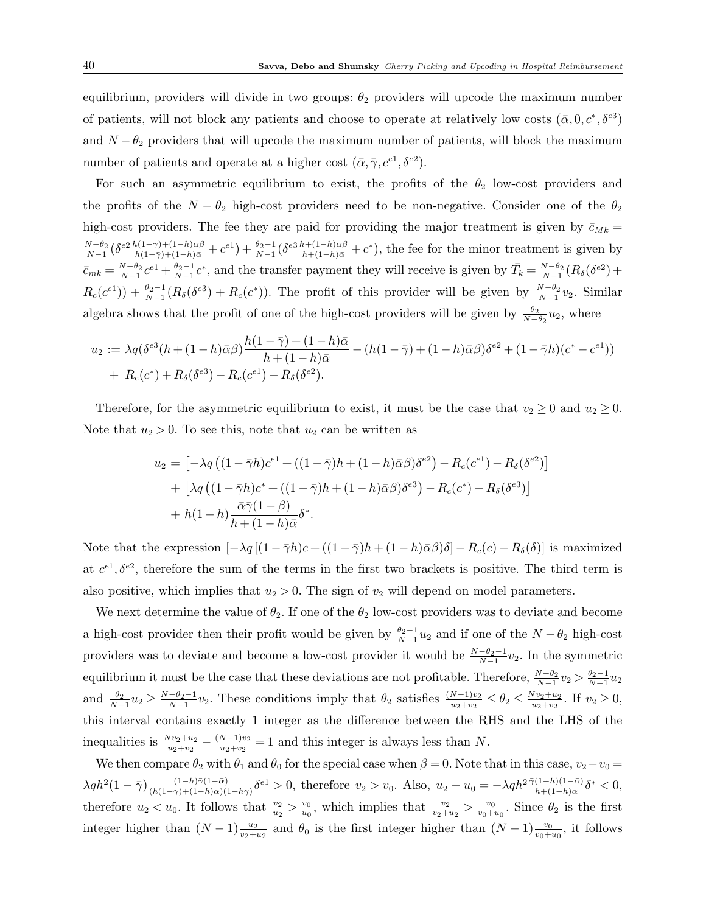equilibrium, providers will divide in two groups:  $\theta_2$  providers will upcode the maximum number of patients, will not block any patients and choose to operate at relatively low costs  $(\bar{\alpha}, 0, c^*, \delta^{\epsilon 3})$ and  $N - \theta_2$  providers that will upcode the maximum number of patients, will block the maximum number of patients and operate at a higher cost  $(\bar{\alpha}, \bar{\gamma}, c^{e_1}, \delta^{e_2})$ .

For such an asymmetric equilibrium to exist, the profits of the  $\theta_2$  low-cost providers and the profits of the  $N - \theta_2$  high-cost providers need to be non-negative. Consider one of the  $\theta_2$ high-cost providers. The fee they are paid for providing the major treatment is given by  $\bar{c}_{Mk} =$  $\frac{N-\theta_2}{N-1}(\delta^{e_2}\frac{h(1-\bar{\gamma})+(1-h)\bar{\alpha}\beta}{h(1-\bar{\gamma})+(1-h)\bar{\alpha}}+c^{e_1})+\frac{\theta_2-1}{N-1}(\delta^{e_3}\frac{h+(1-h)\bar{\alpha}\beta}{h+(1-h)\bar{\alpha}}+c^*)$ , the fee for the minor treatment is given by  $\bar{c}_{mk} = \frac{N-\theta_2}{N-1}c^*$ , and the transfer payment they will receive is given by  $\bar{T}_k = \frac{N-\theta_2}{N-1}(R_\delta(\delta^{e2}) +$  $R_c(c^{e_1}) + \frac{\theta_2-1}{N-1}(R_\delta(\delta^{e_3})+R_c(c^*))$ . The profit of this provider will be given by  $\frac{N-\theta_2}{N-1}v_2$ . Similar algebra shows that the profit of one of the high-cost providers will be given by  $\frac{\theta_2}{N-\theta_2}u_2$ , where

$$
u_2 := \lambda q (\delta^{e3}(h + (1 - h)\bar{\alpha}\beta) \frac{h(1 - \bar{\gamma}) + (1 - h)\bar{\alpha}}{h + (1 - h)\bar{\alpha}} - (h(1 - \bar{\gamma}) + (1 - h)\bar{\alpha}\beta)\delta^{e2} + (1 - \bar{\gamma}h)(c^* - c^{e1}))
$$
  
+  $R_c(c^*) + R_{\delta}(\delta^{e3}) - R_c(c^{e1}) - R_{\delta}(\delta^{e2}).$ 

Therefore, for the asymmetric equilibrium to exist, it must be the case that  $v_2 \ge 0$  and  $u_2 \ge 0$ . Note that  $u_2 > 0$ . To see this, note that  $u_2$  can be written as

$$
u_2 = \left[ -\lambda q \left( (1 - \bar{\gamma}h)c^{e_1} + ((1 - \bar{\gamma})h + (1 - h)\bar{\alpha}\beta)\delta^{e_2} \right) - R_c(c^{e_1}) - R_\delta(\delta^{e_2}) \right]
$$
  
+ 
$$
\left[ \lambda q \left( (1 - \bar{\gamma}h)c^* + ((1 - \bar{\gamma})h + (1 - h)\bar{\alpha}\beta)\delta^{e_3} \right) - R_c(c^*) - R_\delta(\delta^{e_3}) \right]
$$
  
+ 
$$
h(1 - h)\frac{\bar{\alpha}\bar{\gamma}(1 - \beta)}{h + (1 - h)\bar{\alpha}}\delta^*.
$$

Note that the expression  $[-\lambda q](1 - \bar{\gamma}h)c + ((1 - \bar{\gamma})h + (1 - h)\bar{\alpha}\beta)\delta] - R_c(c) - R_{\delta}(\delta)$  is maximized at  $c^{e_1}, \delta^{e_2}$ , therefore the sum of the terms in the first two brackets is positive. The third term is also positive, which implies that  $u_2 > 0$ . The sign of  $v_2$  will depend on model parameters.

We next determine the value of  $\theta_2$ . If one of the  $\theta_2$  low-cost providers was to deviate and become a high-cost provider then their profit would be given by  $\frac{\theta_2-1}{N-1}u_2$  and if one of the  $N-\theta_2$  high-cost providers was to deviate and become a low-cost provider it would be  $\frac{N-\theta_2-1}{N-1}v_2$ . In the symmetric equilibrium it must be the case that these deviations are not profitable. Therefore,  $\frac{N-\theta_2}{N-1}v_2 > \frac{\theta_2-1}{N-1}u_2$ and  $\frac{\theta_2}{N-1}u_2 \ge \frac{N-\theta_2-1}{N-1}v_2$ . These conditions imply that  $\theta_2$  satisfies  $\frac{(N-1)v_2}{u_2+v_2} \le \theta_2 \le \frac{Nv_2+u_2}{u_2+v_2}$  $\frac{v_{v_2+u_2}}{u_2+v_2}$ . If  $v_2 \geq 0$ , this interval contains exactly 1 integer as the difference between the RHS and the LHS of the inequalities is  $\frac{Nv_2+u_2}{u_2+v_2} - \frac{(N-1)v_2}{u_2+v_2}$  $\frac{N-1)v_2}{u_2+v_2} = 1$  and this integer is always less than N.

We then compare  $\theta_2$  with  $\theta_1$  and  $\theta_0$  for the special case when  $\beta = 0$ . Note that in this case,  $v_2 - v_0 =$  $\lambda q h^{2} (1 - \bar{\gamma}) \frac{(1 - h)\bar{\gamma}(1 - \bar{\alpha})}{(h(1 - \bar{\gamma}) + (1 - h)\bar{\alpha})(1 - \bar{\alpha})}$  $\frac{(1-h)\bar{\gamma}(1-\bar{\alpha})}{(h(1-\bar{\gamma})+(1-h)\bar{\alpha})(1-h\bar{\gamma})}\delta^{e1} > 0$ , therefore  $v_2 > v_0$ . Also,  $u_2 - u_0 = -\lambda q h^2 \frac{\bar{\gamma}(1-h)(1-\bar{\alpha})}{h+(1-h)\bar{\alpha}}\delta^* < 0$ , therefore  $u_2 < u_0$ . It follows that  $\frac{v_2}{u_2} > \frac{v_0}{u_0}$  $\frac{v_0}{u_0}$ , which implies that  $\frac{v_2}{v_2+u_2} > \frac{v_0}{v_0+1}$  $\frac{v_0}{v_0+u_0}$ . Since  $\theta_2$  is the first integer higher than  $(N-1)\frac{u_2}{v_2+u_2}$  and  $\theta_0$  is the first integer higher than  $(N-1)\frac{v_0}{v_0+u_0}$ , it follows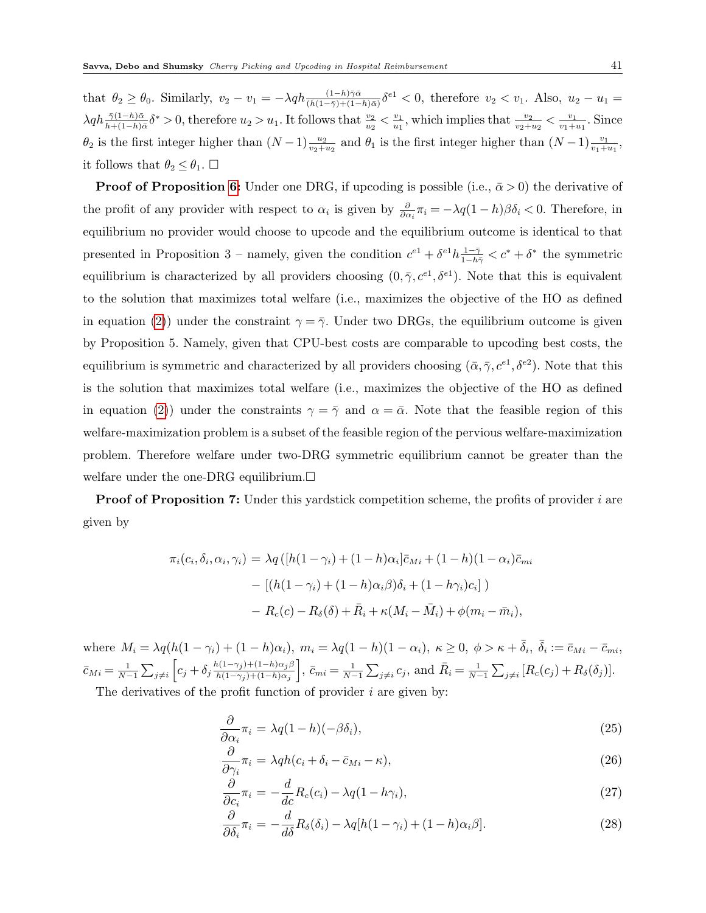that  $\theta_2 \ge \theta_0$ . Similarly,  $v_2 - v_1 = -\lambda q h \frac{(1-h)\bar{\gamma}\bar{\alpha}}{(h(1-\bar{\gamma})+(1-h)\bar{\alpha})} \delta^{e_1} < 0$ , therefore  $v_2 < v_1$ . Also,  $u_2 - u_1 =$  $\lambda q h_{h+(1-h)\bar{\alpha}}^{\bar{\gamma}(1-h)\bar{\alpha}} \delta^* > 0$ , therefore  $u_2 > u_1$ . It follows that  $\frac{v_2}{u_2} < \frac{v_1}{u_1}$  $\frac{v_1}{u_1}$ , which implies that  $\frac{v_2}{v_2+u_2} < \frac{v_1}{v_1+v_2}$  $\frac{v_1}{v_1+u_1}$ . Since  $\theta_2$  is the first integer higher than  $(N-1)\frac{u_2}{v_2+u_2}$  and  $\theta_1$  is the first integer higher than  $(N-1)\frac{v_1}{v_1+u_1}$ , it follows that  $\theta_2 \leq \theta_1$ .  $\Box$ 

**Proof of Proposition [6:](#page-22-0)** Under one DRG, if upcoding is possible (i.e.,  $\bar{\alpha} > 0$ ) the derivative of the profit of any provider with respect to  $\alpha_i$  is given by  $\frac{\partial}{\partial \alpha_i} \pi_i = -\lambda q(1-h)\beta \delta_i < 0$ . Therefore, in equilibrium no provider would choose to upcode and the equilibrium outcome is identical to that presented in Proposition 3 – namely, given the condition  $c^{e1} + \delta^{e1}h \frac{1-\bar{\gamma}}{1-h\bar{\gamma}} < c^* + \delta^*$  the symmetric equilibrium is characterized by all providers choosing  $(0, \bar{\gamma}, c^{e_1}, \delta^{e_1})$ . Note that this is equivalent to the solution that maximizes total welfare (i.e., maximizes the objective of the HO as defined in equation [\(2\)](#page-10-0)) under the constraint  $\gamma = \bar{\gamma}$ . Under two DRGs, the equilibrium outcome is given by Proposition 5. Namely, given that CPU-best costs are comparable to upcoding best costs, the equilibrium is symmetric and characterized by all providers choosing  $(\bar{\alpha}, \bar{\gamma}, c^{e_1}, \delta^{e_2})$ . Note that this is the solution that maximizes total welfare (i.e., maximizes the objective of the HO as defined in equation [\(2\)](#page-10-0)) under the constraints  $\gamma = \bar{\gamma}$  and  $\alpha = \bar{\alpha}$ . Note that the feasible region of this welfare-maximization problem is a subset of the feasible region of the pervious welfare-maximization problem. Therefore welfare under two-DRG symmetric equilibrium cannot be greater than the welfare under the one-DRG equilibrium.  $\square$ 

**Proof of Proposition 7:** Under this yardstick competition scheme, the profits of provider i are given by

$$
\pi_i(c_i, \delta_i, \alpha_i, \gamma_i) = \lambda q \left( [h(1 - \gamma_i) + (1 - h)\alpha_i] \bar{c}_{Mi} + (1 - h)(1 - \alpha_i) \bar{c}_{mi} \right)
$$

$$
- \left[ (h(1 - \gamma_i) + (1 - h)\alpha_i \beta) \delta_i + (1 - h\gamma_i)c_i \right] )
$$

$$
- R_c(c) - R_\delta(\delta) + \bar{R}_i + \kappa (M_i - \bar{M}_i) + \phi (m_i - \bar{m}_i),
$$

where  $M_i = \lambda q(h(1-\gamma_i) + (1-h)\alpha_i)$ ,  $m_i = \lambda q(1-h)(1-\alpha_i)$ ,  $\kappa \geq 0$ ,  $\phi > \kappa + \overline{\delta}_i$ ,  $\overline{\delta}_i := \overline{c}_{Mi} - \overline{c}_{mi}$ ,  $\bar{c}_{Mi} = \frac{1}{N-1} \sum_{j \neq i} \left[ c_j + \delta_j \frac{h(1-\gamma_j)+(1-h)\alpha_j \beta_j}{h(1-\gamma_j)+(1-h)\alpha_j} \right]$  $h(1-\gamma_j)+(1-h)\alpha_j$  $\bar{c}_{mi} = \frac{1}{N-1} \sum_{j \neq i} c_j$ , and  $\bar{R}_i = \frac{1}{N-1} \sum_{j \neq i} [R_c(c_j) + R_{\delta}(\delta_j)].$ 

The derivatives of the profit function of provider  $i$  are given by:

<span id="page-40-0"></span>
$$
\frac{\partial}{\partial \alpha_i} \pi_i = \lambda q (1 - h) (-\beta \delta_i), \tag{25}
$$

$$
\frac{\partial}{\partial \gamma_i} \pi_i = \lambda q h (c_i + \delta_i - \bar{c}_{Mi} - \kappa), \tag{26}
$$

$$
\frac{\partial}{\partial c_i} \pi_i = -\frac{d}{dc} R_c(c_i) - \lambda q (1 - h \gamma_i), \qquad (27)
$$

$$
\frac{\partial}{\partial \delta_i} \pi_i = -\frac{d}{d\delta} R_\delta(\delta_i) - \lambda q [h(1-\gamma_i) + (1-h)\alpha_i \beta]. \tag{28}
$$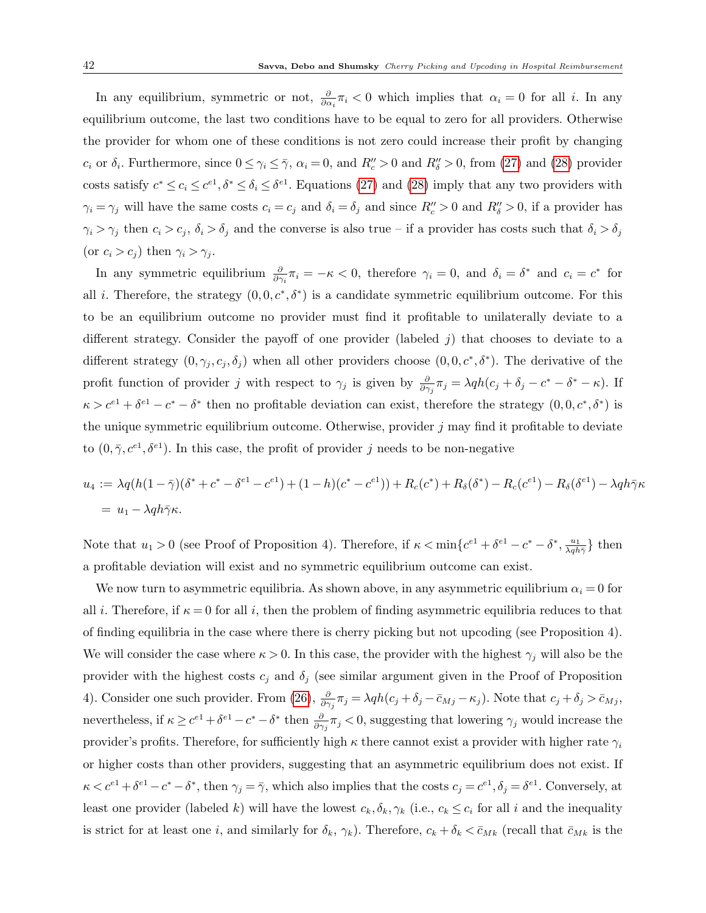In any equilibrium, symmetric or not,  $\frac{\partial}{\partial \alpha_i} \pi_i < 0$  which implies that  $\alpha_i = 0$  for all *i*. In any equilibrium outcome, the last two conditions have to be equal to zero for all providers. Otherwise the provider for whom one of these conditions is not zero could increase their profit by changing  $c_i$  or  $\delta_i$ . Furthermore, since  $0 \leq \gamma_i \leq \overline{\gamma}$ ,  $\alpha_i = 0$ , and  $R''_c > 0$  and  $R''_b > 0$ , from [\(27\)](#page-40-0) and [\(28\)](#page-40-0) provider costs satisfy  $c^* \leq c_i \leq c^{e_1}, \delta^* \leq \delta_i \leq \delta^{e_1}$ . Equations [\(27\)](#page-40-0) and [\(28\)](#page-40-0) imply that any two providers with  $\gamma_i = \gamma_j$  will have the same costs  $c_i = c_j$  and  $\delta_i = \delta_j$  and since  $R''_c > 0$  and  $R''_s > 0$ , if a provider has  $\gamma_i > \gamma_j$  then  $c_i > c_j$ ,  $\delta_i > \delta_j$  and the converse is also true – if a provider has costs such that  $\delta_i > \delta_j$ (or  $c_i > c_j$ ) then  $\gamma_i > \gamma_j$ .

In any symmetric equilibrium  $\frac{\partial}{\partial \gamma_i} \pi_i = -\kappa < 0$ , therefore  $\gamma_i = 0$ , and  $\delta_i = \delta^*$  and  $c_i = c^*$  for all *i*. Therefore, the strategy  $(0,0,c^*,\delta^*)$  is a candidate symmetric equilibrium outcome. For this to be an equilibrium outcome no provider must find it profitable to unilaterally deviate to a different strategy. Consider the payoff of one provider (labeled  $j$ ) that chooses to deviate to a different strategy  $(0, \gamma_j, c_j, \delta_j)$  when all other providers choose  $(0, 0, c^*, \delta^*)$ . The derivative of the profit function of provider j with respect to  $\gamma_j$  is given by  $\frac{\partial}{\partial \gamma_j}\pi_j = \lambda q h(c_j + \delta_j - c^* - \delta^* - \kappa)$ . If  $\kappa > c^{e_1} + \delta^{e_1} - c^* - \delta^*$  then no profitable deviation can exist, therefore the strategy  $(0,0,c^*,\delta^*)$  is the unique symmetric equilibrium outcome. Otherwise, provider  $j$  may find it profitable to deviate to  $(0, \bar{\gamma}, c^{e_1}, \delta^{e_1})$ . In this case, the profit of provider j needs to be non-negative

$$
u_4 := \lambda q (h(1 - \bar{\gamma})(\delta^* + c^* - \delta^{e_1} - c^{e_1}) + (1 - h)(c^* - c^{e_1})) + R_c(c^*) + R_{\delta}(\delta^*) - R_c(c^{e_1}) - R_{\delta}(\delta^{e_1}) - \lambda q h \bar{\gamma} \kappa
$$
  
=  $u_1 - \lambda q h \bar{\gamma} \kappa$ .

Note that  $u_1 > 0$  (see Proof of Proposition 4). Therefore, if  $\kappa < \min\{c^{e_1} + \delta^{e_1} - c^* - \delta^*, \frac{u_1}{\lambda q h \bar{\gamma}}\}$  then a profitable deviation will exist and no symmetric equilibrium outcome can exist.

We now turn to asymmetric equilibria. As shown above, in any asymmetric equilibrium  $\alpha_i = 0$  for all i. Therefore, if  $\kappa = 0$  for all i, then the problem of finding asymmetric equilibria reduces to that of finding equilibria in the case where there is cherry picking but not upcoding (see Proposition 4). We will consider the case where  $\kappa > 0$ . In this case, the provider with the highest  $\gamma_j$  will also be the provider with the highest costs  $c_j$  and  $\delta_j$  (see similar argument given in the Proof of Proposition 4). Consider one such provider. From [\(26\)](#page-40-0),  $\frac{\partial}{\partial \gamma_j} \pi_j = \lambda q h(c_j + \delta_j - \bar{c}_{Mj} - \kappa_j)$ . Note that  $c_j + \delta_j > \bar{c}_{Mj}$ , nevertheless, if  $\kappa \geq c^{e_1} + \delta^{e_1} - c^* - \delta^*$  then  $\frac{\partial}{\partial \gamma_j} \pi_j < 0$ , suggesting that lowering  $\gamma_j$  would increase the provider's profits. Therefore, for sufficiently high  $\kappa$  there cannot exist a provider with higher rate  $\gamma_i$ or higher costs than other providers, suggesting that an asymmetric equilibrium does not exist. If  $\kappa < c^{e_1} + \delta^{e_1} - c^* - \delta^*$ , then  $\gamma_j = \overline{\gamma}$ , which also implies that the costs  $c_j = c^{e_1}, \delta_j = \delta^{e_1}$ . Conversely, at least one provider (labeled k) will have the lowest  $c_k, \delta_k, \gamma_k$  (i.e.,  $c_k \leq c_i$  for all i and the inequality is strict for at least one i, and similarly for  $\delta_k$ ,  $\gamma_k$ ). Therefore,  $c_k + \delta_k < \bar{c}_{Mk}$  (recall that  $\bar{c}_{Mk}$  is the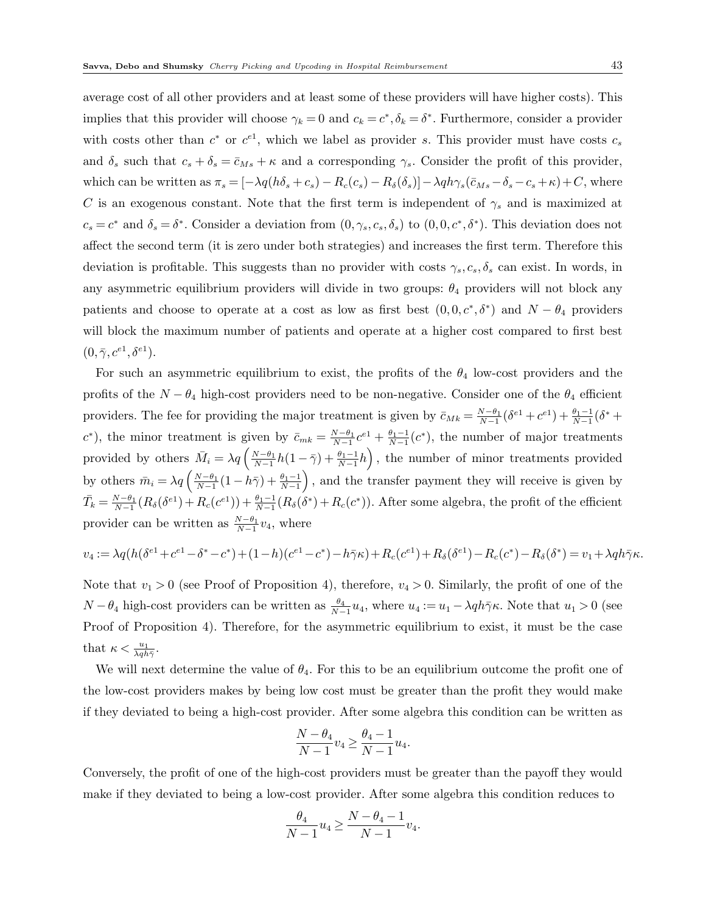average cost of all other providers and at least some of these providers will have higher costs). This implies that this provider will choose  $\gamma_k = 0$  and  $c_k = c^*, \delta_k = \delta^*$ . Furthermore, consider a provider with costs other than  $c^*$  or  $c^{e_1}$ , which we label as provider s. This provider must have costs  $c_s$ and  $\delta_s$  such that  $c_s + \delta_s = \bar{c}_{Ms} + \kappa$  and a corresponding  $\gamma_s$ . Consider the profit of this provider, which can be written as  $\pi_s = [-\lambda q(h\delta_s + c_s) - R_c(c_s) - R_\delta(\delta_s)] - \lambda q h \gamma_s(\bar{c}_{Ms} - \delta_s - c_s + \kappa) + C$ , where C is an exogenous constant. Note that the first term is independent of  $\gamma_s$  and is maximized at  $c_s = c^*$  and  $\delta_s = \delta^*$ . Consider a deviation from  $(0, \gamma_s, c_s, \delta_s)$  to  $(0, 0, c^*, \delta^*)$ . This deviation does not affect the second term (it is zero under both strategies) and increases the first term. Therefore this deviation is profitable. This suggests than no provider with costs  $\gamma_s, c_s, \delta_s$  can exist. In words, in any asymmetric equilibrium providers will divide in two groups:  $\theta_4$  providers will not block any patients and choose to operate at a cost as low as first best  $(0,0,c^*,\delta^*)$  and  $N-\theta_4$  providers will block the maximum number of patients and operate at a higher cost compared to first best  $(0, \bar{\gamma}, c^{e1}, \delta^{e1}).$ 

For such an asymmetric equilibrium to exist, the profits of the  $\theta_4$  low-cost providers and the profits of the  $N - \theta_4$  high-cost providers need to be non-negative. Consider one of the  $\theta_4$  efficient providers. The fee for providing the major treatment is given by  $\bar{c}_{Mk} = \frac{N-\theta_1}{N-1} (\delta^{e_1} + c^{e_1}) + \frac{\theta_1-1}{N-1} (\delta^* + c^{e_2})$  $(c^*)$ , the minor treatment is given by  $\bar{c}_{mk} = \frac{N-\theta_1}{N-1}c^{\epsilon_1} + \frac{\theta_1-1}{N-1}(c^*)$ , the number of major treatments provided by others  $\bar{M}_i = \lambda q \left( \frac{N-\theta_1}{N-1} h(1-\bar{\gamma}) + \frac{\theta_1-1}{N-1} h \right)$ , the number of minor treatments provided by others  $\bar{m}_i = \lambda q \left( \frac{N-\theta_1}{N-1} (1-h\bar{\gamma}) + \frac{\theta_1-1}{N-1} \right)$ , and the transfer payment they will receive is given by  $\bar{T}_k = \frac{N-\theta_1}{N-1}(R_\delta(\delta^{e_1}) + R_c(c^{e_1})) + \frac{\theta_1-1}{N-1}(R_\delta(\delta^*) + R_c(c^*))$ . After some algebra, the profit of the efficient provider can be written as  $\frac{N-\theta_1}{N-1}v_4$ , where

$$
v_4 := \lambda q (h(\delta^{e_1} + c^{e_1} - \delta^* - c^*) + (1 - h)(c^{e_1} - c^*) - h\bar{\gamma}\kappa) + R_c(c^{e_1}) + R_\delta(\delta^{e_1}) - R_c(c^*) - R_\delta(\delta^*) = v_1 + \lambda q h \bar{\gamma}\kappa.
$$

Note that  $v_1 > 0$  (see Proof of Proposition 4), therefore,  $v_4 > 0$ . Similarly, the profit of one of the  $N-\theta_4$  high-cost providers can be written as  $\frac{\theta_4}{N-1}u_4$ , where  $u_4 := u_1 - \lambda q h \bar{\gamma} \kappa$ . Note that  $u_1 > 0$  (see Proof of Proposition 4). Therefore, for the asymmetric equilibrium to exist, it must be the case that  $\kappa < \frac{u_1}{\lambda q h \bar{\gamma}}$ .

We will next determine the value of  $\theta_4$ . For this to be an equilibrium outcome the profit one of the low-cost providers makes by being low cost must be greater than the profit they would make if they deviated to being a high-cost provider. After some algebra this condition can be written as

$$
\frac{N-\theta_4}{N-1}v_4 \ge \frac{\theta_4-1}{N-1}u_4.
$$

Conversely, the profit of one of the high-cost providers must be greater than the payoff they would make if they deviated to being a low-cost provider. After some algebra this condition reduces to

$$
\frac{\theta_4}{N-1}u_4 \ge \frac{N-\theta_4-1}{N-1}v_4.
$$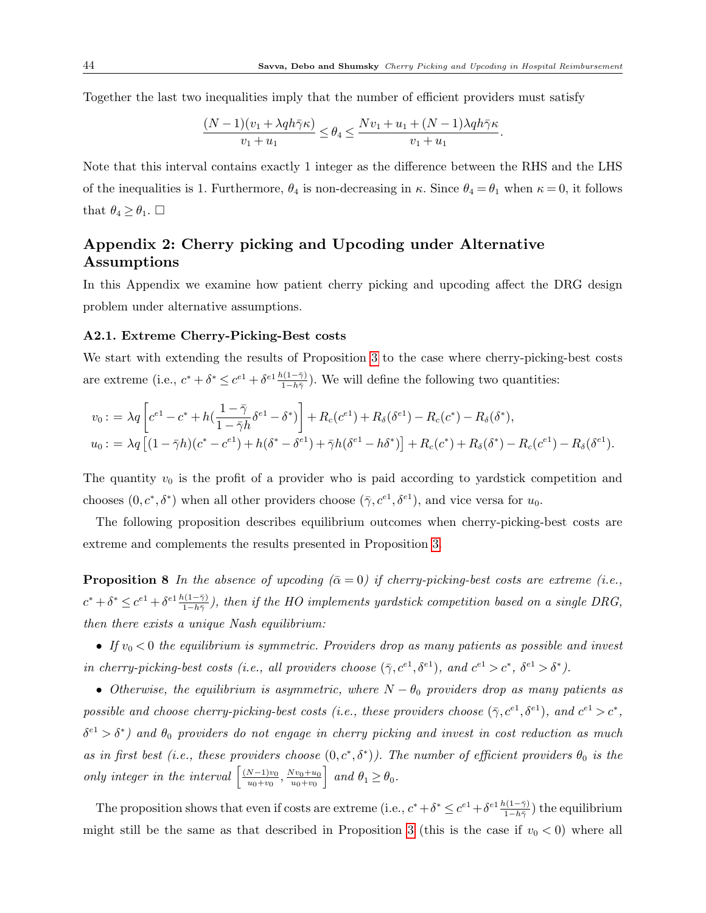Together the last two inequalities imply that the number of efficient providers must satisfy

$$
\frac{(N-1)(v_1 + \lambda q h \bar{\gamma} \kappa)}{v_1 + u_1} \le \theta_4 \le \frac{Nv_1 + u_1 + (N-1)\lambda q h \bar{\gamma} \kappa}{v_1 + u_1}.
$$

Note that this interval contains exactly 1 integer as the difference between the RHS and the LHS of the inequalities is 1. Furthermore,  $\theta_4$  is non-decreasing in  $\kappa$ . Since  $\theta_4 = \theta_1$  when  $\kappa = 0$ , it follows that  $\theta_4 \ge \theta_1$ .  $\Box$ 

## Appendix 2: Cherry picking and Upcoding under Alternative Assumptions

In this Appendix we examine how patient cherry picking and upcoding affect the DRG design problem under alternative assumptions.

### A2.1. Extreme Cherry-Picking-Best costs

We start with extending the results of Proposition [3](#page-15-0) to the case where cherry-picking-best costs are extreme (i.e.,  $c^* + \delta^* \leq c^{e_1} + \delta^{e_1} \frac{h(1-\bar{\gamma})}{1-h\bar{\gamma}}$ ). We will define the following two quantities:

$$
v_0: = \lambda q \left[ c^{e_1} - c^* + h(\frac{1 - \bar{\gamma}}{1 - \bar{\gamma}h} \delta^{e_1} - \delta^*) \right] + R_c(c^{e_1}) + R_{\delta}(\delta^{e_1}) - R_c(c^*) - R_{\delta}(\delta^*),
$$
  

$$
u_0: = \lambda q \left[ (1 - \bar{\gamma}h)(c^* - c^{e_1}) + h(\delta^* - \delta^{e_1}) + \bar{\gamma}h(\delta^{e_1} - h\delta^*) \right] + R_c(c^*) + R_{\delta}(\delta^*) - R_c(c^{e_1}) - R_{\delta}(\delta^{e_1}).
$$

The quantity  $v_0$  is the profit of a provider who is paid according to yardstick competition and chooses  $(0, c^*, \delta^*)$  when all other providers choose  $(\bar{\gamma}, c^{e_1}, \delta^{e_1})$ , and vice versa for  $u_0$ .

<span id="page-43-0"></span>The following proposition describes equilibrium outcomes when cherry-picking-best costs are extreme and complements the results presented in Proposition [3.](#page-15-0)

**Proposition 8** In the absence of upcoding  $(\bar{\alpha} = 0)$  if cherry-picking-best costs are extreme (i.e.,  $c^* + \delta^* \leq c^{e_1} + \delta^{e_1} \frac{h(1-\bar{\gamma})}{1-h\bar{\gamma}}$ , then if the HO implements yardstick competition based on a single DRG, then there exists a unique Nash equilibrium:

• If  $v_0 < 0$  the equilibrium is symmetric. Providers drop as many patients as possible and invest in cherry-picking-best costs (i.e., all providers choose  $(\bar{\gamma}, c^{e_1}, \delta^{e_1})$ , and  $c^{e_1} > c^*$ ,  $\delta^{e_1} > \delta^*$ ).

• Otherwise, the equilibrium is asymmetric, where  $N - \theta_0$  providers drop as many patients as possible and choose cherry-picking-best costs (i.e., these providers choose  $(\bar{\gamma}, c^{e_1}, \delta^{e_1})$ , and  $c^{e_1} > c^*$ ,  $\delta^{e_1} > \delta^*$ ) and  $\theta_0$  providers do not engage in cherry picking and invest in cost reduction as much as in first best (i.e., these providers choose  $(0, c^*, \delta^*)$ ). The number of efficient providers  $\theta_0$  is the only integer in the interval  $\left[\frac{(N-1)v_0}{v_0+m_0}\right]$  $\frac{N-1)v_0}{u_0+v_0}, \frac{Nv_0+u_0}{u_0+v_0}$  $u_0 + v_0$ | and  $\theta_1 \geq \theta_0$ .

The proposition shows that even if costs are extreme (i.e.,  $c^* + \delta^* \leq c^{e_1} + \delta^{e_1} \frac{h(1-\bar{\gamma})}{1-h\bar{\gamma}}$ ) the equilibrium might still be the same as that described in Proposition [3](#page-15-0) (this is the case if  $v_0 < 0$ ) where all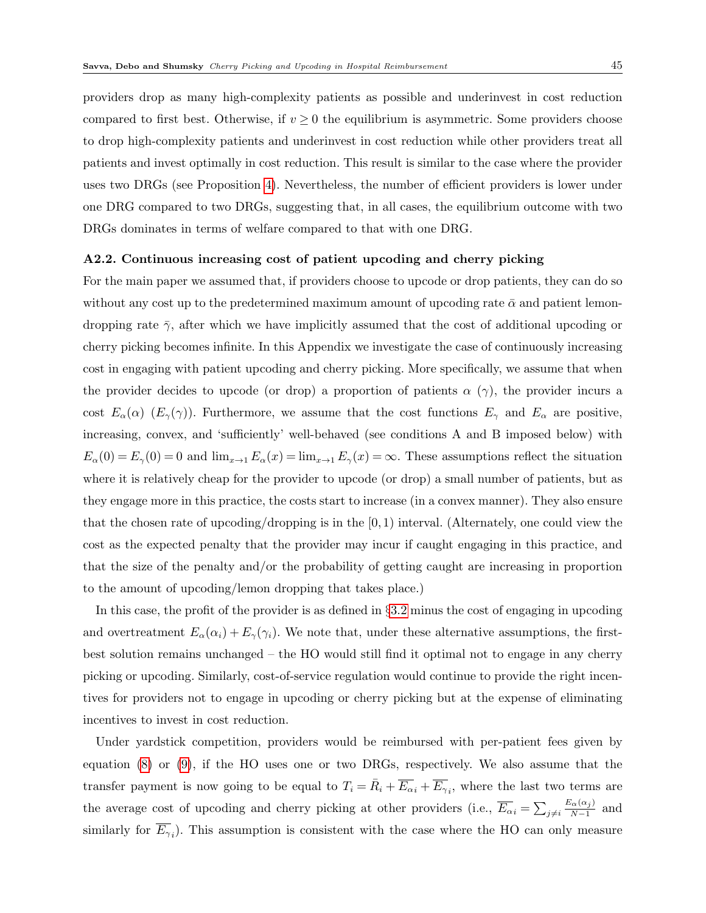providers drop as many high-complexity patients as possible and underinvest in cost reduction compared to first best. Otherwise, if  $v \geq 0$  the equilibrium is asymmetric. Some providers choose to drop high-complexity patients and underinvest in cost reduction while other providers treat all patients and invest optimally in cost reduction. This result is similar to the case where the provider uses two DRGs (see Proposition [4\)](#page-16-0). Nevertheless, the number of efficient providers is lower under one DRG compared to two DRGs, suggesting that, in all cases, the equilibrium outcome with two DRGs dominates in terms of welfare compared to that with one DRG.

## A2.2. Continuous increasing cost of patient upcoding and cherry picking

For the main paper we assumed that, if providers choose to upcode or drop patients, they can do so without any cost up to the predetermined maximum amount of upcoding rate  $\bar{\alpha}$  and patient lemondropping rate  $\bar{\gamma}$ , after which we have implicitly assumed that the cost of additional upcoding or cherry picking becomes infinite. In this Appendix we investigate the case of continuously increasing cost in engaging with patient upcoding and cherry picking. More specifically, we assume that when the provider decides to upcode (or drop) a proportion of patients  $\alpha(\gamma)$ , the provider incurs a cost  $E_{\alpha}(\alpha)$  ( $E_{\gamma}(\gamma)$ ). Furthermore, we assume that the cost functions  $E_{\gamma}$  and  $E_{\alpha}$  are positive, increasing, convex, and 'sufficiently' well-behaved (see conditions A and B imposed below) with  $E_{\alpha}(0) = E_{\gamma}(0) = 0$  and  $\lim_{x\to 1} E_{\alpha}(x) = \lim_{x\to 1} E_{\gamma}(x) = \infty$ . These assumptions reflect the situation where it is relatively cheap for the provider to upcode (or drop) a small number of patients, but as they engage more in this practice, the costs start to increase (in a convex manner). They also ensure that the chosen rate of upcoding/dropping is in the  $[0,1)$  interval. (Alternately, one could view the cost as the expected penalty that the provider may incur if caught engaging in this practice, and that the size of the penalty and/or the probability of getting caught are increasing in proportion to the amount of upcoding/lemon dropping that takes place.)

In this case, the profit of the provider is as defined in §[3.2](#page-7-0) minus the cost of engaging in upcoding and overtreatment  $E_{\alpha}(\alpha_i) + E_{\gamma}(\gamma_i)$ . We note that, under these alternative assumptions, the firstbest solution remains unchanged – the HO would still find it optimal not to engage in any cherry picking or upcoding. Similarly, cost-of-service regulation would continue to provide the right incentives for providers not to engage in upcoding or cherry picking but at the expense of eliminating incentives to invest in cost reduction.

Under yardstick competition, providers would be reimbursed with per-patient fees given by equation [\(8\)](#page-13-0) or [\(9\)](#page-13-1), if the HO uses one or two DRGs, respectively. We also assume that the transfer payment is now going to be equal to  $T_i = \overline{R}_i + \overline{E_{\alpha}}_i + \overline{E_{\gamma}}_i$ , where the last two terms are the average cost of upcoding and cherry picking at other providers (i.e.,  $\overline{E_{\alpha}}_i = \sum_{j \neq i}$  $E_{\alpha}(\alpha_j)$  $\frac{\alpha(\alpha_j)}{N-1}$  and similarly for  $E_{\gamma_i}$ ). This assumption is consistent with the case where the HO can only measure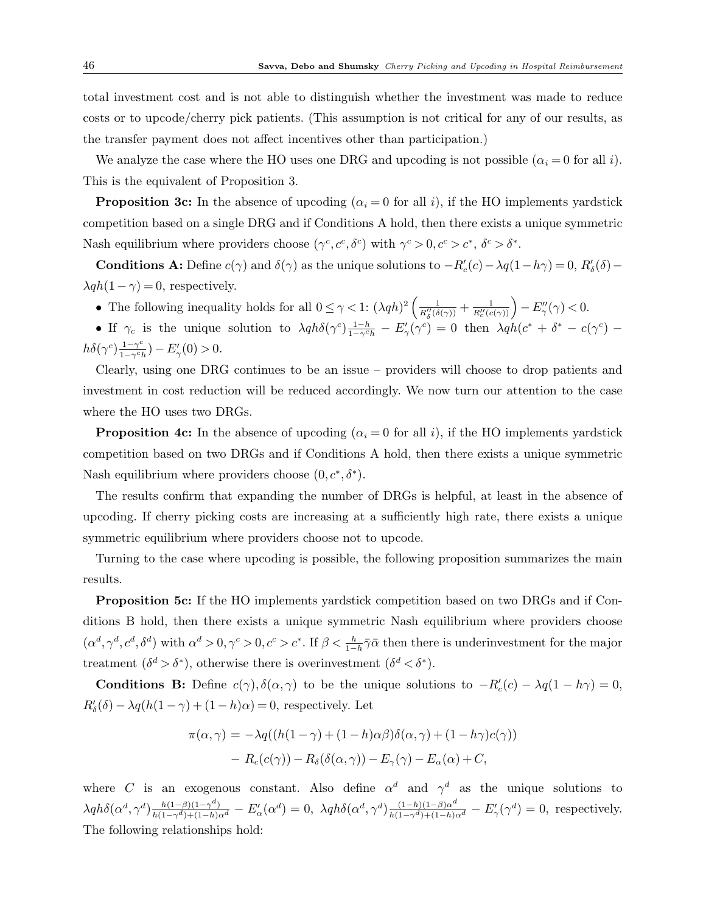total investment cost and is not able to distinguish whether the investment was made to reduce costs or to upcode/cherry pick patients. (This assumption is not critical for any of our results, as the transfer payment does not affect incentives other than participation.)

We analyze the case where the HO uses one DRG and upcoding is not possible  $(\alpha_i = 0$  for all i). This is the equivalent of Proposition 3.

**Proposition 3c:** In the absence of upcoding  $(\alpha_i = 0$  for all i), if the HO implements yardstick competition based on a single DRG and if Conditions A hold, then there exists a unique symmetric Nash equilibrium where providers choose  $(\gamma^c, c^c, \delta^c)$  with  $\gamma^c > 0, c^c > c^*, \delta^c > \delta^*$ .

**Conditions A:** Define  $c(\gamma)$  and  $\delta(\gamma)$  as the unique solutions to  $-R'_c(c) - \lambda q(1-h\gamma) = 0$ ,  $R'_\delta(\delta) \lambda q h(1 - \gamma) = 0$ , respectively.

• The following inequality holds for all  $0 \leq \gamma < 1$ :  $(\lambda q h)^2 \left( \frac{1}{R''_{\delta}(\delta(\gamma))} + \frac{1}{R''_{\delta}(\epsilon(\gamma))} \right) - E''_{\gamma}(\gamma) < 0$ .

• If  $\gamma_c$  is the unique solution to  $\lambda q h \delta(\gamma^c) \frac{1-h}{1-\gamma^c h} - E'_\gamma(\gamma^c) = 0$  then  $\lambda q h (c^* + \delta^* - c(\gamma^c)$  $h\delta(\gamma^c) \frac{1-\gamma^c}{1-\gamma^c}$  $\frac{1-\gamma^c}{1-\gamma^c h}) - E'_{\gamma}(0) > 0.$ 

Clearly, using one DRG continues to be an issue – providers will choose to drop patients and investment in cost reduction will be reduced accordingly. We now turn our attention to the case where the HO uses two DRGs.

**Proposition 4c:** In the absence of upcoding  $(\alpha_i = 0$  for all i), if the HO implements yardstick competition based on two DRGs and if Conditions A hold, then there exists a unique symmetric Nash equilibrium where providers choose  $(0, c^*, \delta^*)$ .

The results confirm that expanding the number of DRGs is helpful, at least in the absence of upcoding. If cherry picking costs are increasing at a sufficiently high rate, there exists a unique symmetric equilibrium where providers choose not to upcode.

Turning to the case where upcoding is possible, the following proposition summarizes the main results.

Proposition 5c: If the HO implements yardstick competition based on two DRGs and if Conditions B hold, then there exists a unique symmetric Nash equilibrium where providers choose  $(\alpha^d, \gamma^d, c^d, \delta^d)$  with  $\alpha^d > 0, \gamma^c > 0, c^c > c^*$ . If  $\beta < \frac{h}{1-h} \overline{\gamma} \overline{\alpha}$  then there is underinvestment for the major treatment  $(\delta^d > \delta^*)$ , otherwise there is overinvestment  $(\delta^d < \delta^*)$ .

**Conditions B:** Define  $c(\gamma)$ ,  $\delta(\alpha, \gamma)$  to be the unique solutions to  $-R'_c(c) - \lambda q(1-h\gamma) = 0$ ,  $R'_\delta(\delta) - \lambda q(h(1-\gamma) + (1-h)\alpha) = 0$ , respectively. Let

$$
\pi(\alpha, \gamma) = -\lambda q((h(1-\gamma) + (1-h)\alpha\beta)\delta(\alpha, \gamma) + (1-h\gamma)c(\gamma))
$$

$$
- R_c(c(\gamma)) - R_\delta(\delta(\alpha, \gamma)) - E_\gamma(\gamma) - E_\alpha(\alpha) + C,
$$

where C is an exogenous constant. Also define  $\alpha^d$  and  $\gamma^d$  as the unique solutions to  $\lambda q h \delta(\alpha^d, \gamma^d) \frac{h(1-\beta)(1-\gamma^d)}{h(1-\gamma^d)+(1-h)\alpha^d} - E'_{\alpha}(\alpha^d) = 0$ ,  $\lambda q h \delta(\alpha^d, \gamma^d) \frac{(1-h)(1-\beta)\alpha^d}{h(1-\gamma^d)+(1-h)\alpha^d} - E'_{\gamma}(\gamma^d) = 0$ , respectively. The following relationships hold: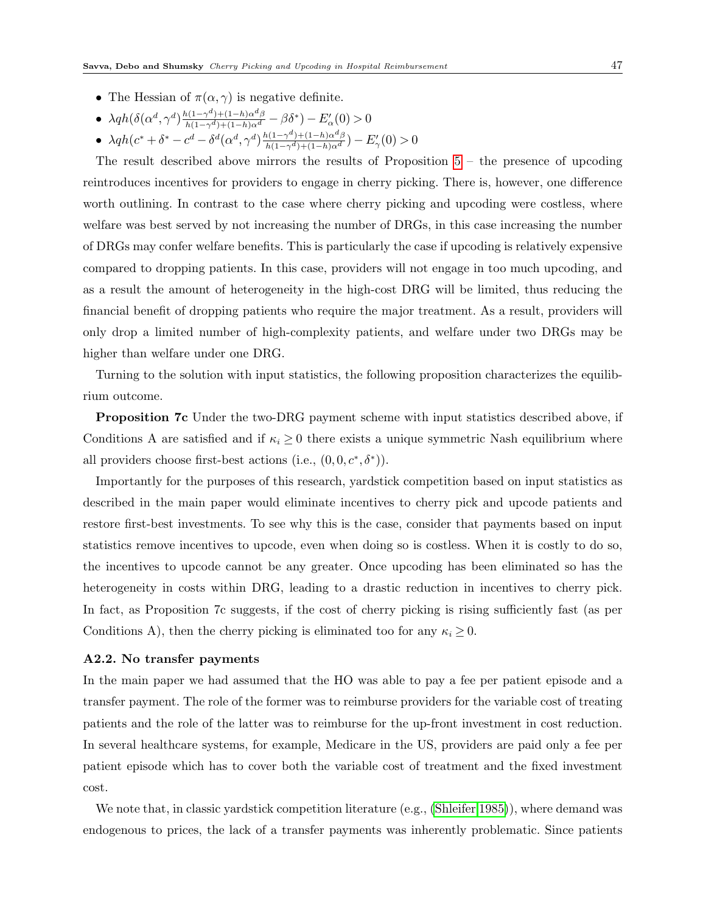- The Hessian of  $\pi(\alpha, \gamma)$  is negative definite.
- $\lambda q h(\delta(\alpha^d, \gamma^d) \frac{h(1-\gamma^d)+(1-h)\alpha^d \beta}{h(1-\gamma^d)+(1-h)\alpha^d} \beta \delta^*) E'_{\alpha}(0) > 0$
- $\lambda q h(c^* + \delta^* c^d \delta^d (\alpha^d, \gamma^d) \frac{h(1-\gamma^d) + (1-h)\alpha^d \beta}{h(1-\gamma^d) + (1-h)\alpha^d}) E'_{\gamma}(0) > 0$

The result described above mirrors the results of Proposition  $5 -$  the presence of upcoding reintroduces incentives for providers to engage in cherry picking. There is, however, one difference worth outlining. In contrast to the case where cherry picking and upcoding were costless, where welfare was best served by not increasing the number of DRGs, in this case increasing the number of DRGs may confer welfare benefits. This is particularly the case if upcoding is relatively expensive compared to dropping patients. In this case, providers will not engage in too much upcoding, and as a result the amount of heterogeneity in the high-cost DRG will be limited, thus reducing the financial benefit of dropping patients who require the major treatment. As a result, providers will only drop a limited number of high-complexity patients, and welfare under two DRGs may be higher than welfare under one DRG.

Turning to the solution with input statistics, the following proposition characterizes the equilibrium outcome.

Proposition 7c Under the two-DRG payment scheme with input statistics described above, if Conditions A are satisfied and if  $\kappa_i \geq 0$  there exists a unique symmetric Nash equilibrium where all providers choose first-best actions (i.e.,  $(0,0,c^*,\delta^*)$ ).

Importantly for the purposes of this research, yardstick competition based on input statistics as described in the main paper would eliminate incentives to cherry pick and upcode patients and restore first-best investments. To see why this is the case, consider that payments based on input statistics remove incentives to upcode, even when doing so is costless. When it is costly to do so, the incentives to upcode cannot be any greater. Once upcoding has been eliminated so has the heterogeneity in costs within DRG, leading to a drastic reduction in incentives to cherry pick. In fact, as Proposition 7c suggests, if the cost of cherry picking is rising sufficiently fast (as per Conditions A), then the cherry picking is eliminated too for any  $\kappa_i \geq 0$ .

#### A2.2. No transfer payments

In the main paper we had assumed that the HO was able to pay a fee per patient episode and a transfer payment. The role of the former was to reimburse providers for the variable cost of treating patients and the role of the latter was to reimburse for the up-front investment in cost reduction. In several healthcare systems, for example, Medicare in the US, providers are paid only a fee per patient episode which has to cover both the variable cost of treatment and the fixed investment cost.

We note that, in classic yardstick competition literature (e.g., [\(Shleifer 1985\)](#page-31-1)), where demand was endogenous to prices, the lack of a transfer payments was inherently problematic. Since patients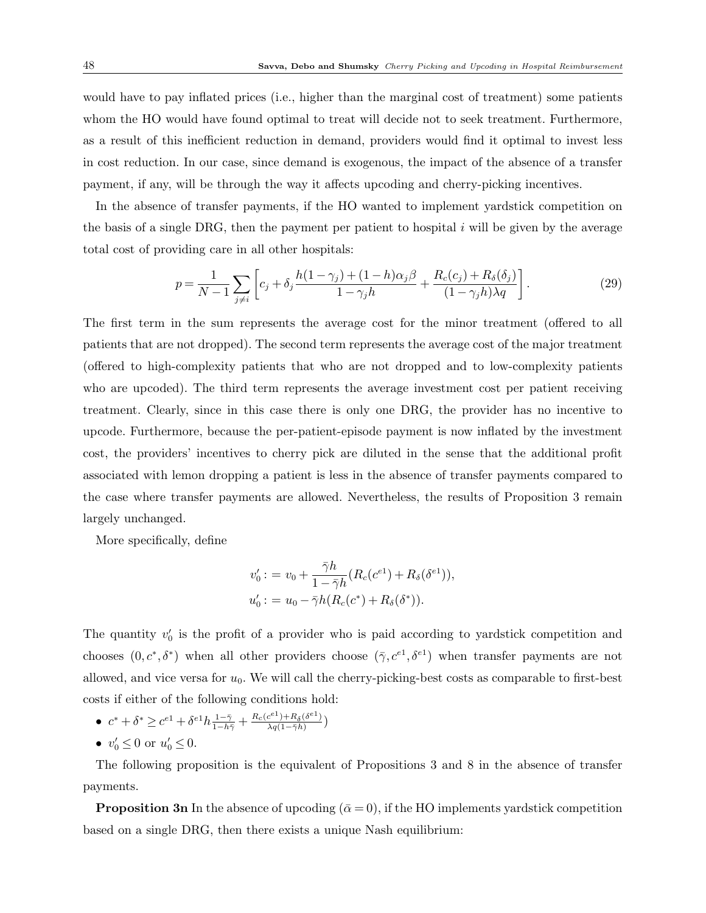would have to pay inflated prices (i.e., higher than the marginal cost of treatment) some patients whom the HO would have found optimal to treat will decide not to seek treatment. Furthermore, as a result of this inefficient reduction in demand, providers would find it optimal to invest less in cost reduction. In our case, since demand is exogenous, the impact of the absence of a transfer payment, if any, will be through the way it affects upcoding and cherry-picking incentives.

In the absence of transfer payments, if the HO wanted to implement yardstick competition on the basis of a single DRG, then the payment per patient to hospital  $i$  will be given by the average total cost of providing care in all other hospitals:

$$
p = \frac{1}{N-1} \sum_{j \neq i} \left[ c_j + \delta_j \frac{h(1-\gamma_j) + (1-h)\alpha_j \beta}{1-\gamma_j h} + \frac{R_c(c_j) + R_\delta(\delta_j)}{(1-\gamma_j h)\lambda q} \right].
$$
 (29)

The first term in the sum represents the average cost for the minor treatment (offered to all patients that are not dropped). The second term represents the average cost of the major treatment (offered to high-complexity patients that who are not dropped and to low-complexity patients who are upcoded). The third term represents the average investment cost per patient receiving treatment. Clearly, since in this case there is only one DRG, the provider has no incentive to upcode. Furthermore, because the per-patient-episode payment is now inflated by the investment cost, the providers' incentives to cherry pick are diluted in the sense that the additional profit associated with lemon dropping a patient is less in the absence of transfer payments compared to the case where transfer payments are allowed. Nevertheless, the results of Proposition 3 remain largely unchanged.

More specifically, define

$$
v'_{0} := v_{0} + \frac{\bar{\gamma}h}{1 - \bar{\gamma}h} (R_{c}(c^{e1}) + R_{\delta}(\delta^{e1})),
$$
  

$$
u'_{0} := u_{0} - \bar{\gamma}h(R_{c}(c^{*}) + R_{\delta}(\delta^{*})).
$$

The quantity  $v_0'$  is the profit of a provider who is paid according to yardstick competition and chooses  $(0, c^*, \delta^*)$  when all other providers choose  $(\bar{\gamma}, c^{e_1}, \delta^{e_1})$  when transfer payments are not allowed, and vice versa for  $u_0$ . We will call the cherry-picking-best costs as comparable to first-best costs if either of the following conditions hold:

- $c^* + \delta^* \geq c^{e_1} + \delta^{e_1} h \frac{1 \bar{\gamma}}{1 h\bar{\gamma}} + \frac{R_c(c^{e_1}) + R_{\delta}(\delta^{e_1})}{\lambda q (1 \bar{\gamma} h)}$  $\frac{c^{(-)}+R_{\delta}(o^{(-)})}{\lambda q(1-\bar{\gamma}h)}$
- $v'_0 \le 0$  or  $u'_0 \le 0$ .

The following proposition is the equivalent of Propositions 3 and 8 in the absence of transfer payments.

**Proposition 3n** In the absence of upcoding  $(\bar{\alpha} = 0)$ , if the HO implements yardstick competition based on a single DRG, then there exists a unique Nash equilibrium: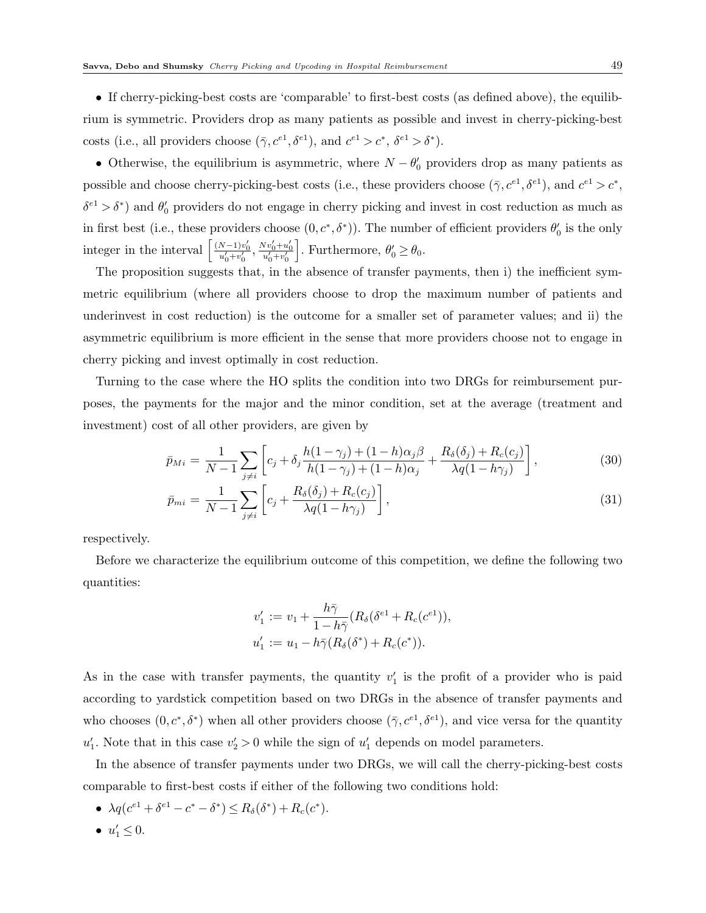• If cherry-picking-best costs are 'comparable' to first-best costs (as defined above), the equilibrium is symmetric. Providers drop as many patients as possible and invest in cherry-picking-best costs (i.e., all providers choose  $(\bar{\gamma}, c^{e_1}, \delta^{e_1})$ , and  $c^{e_1} > c^*$ ,  $\delta^{e_1} > \delta^*$ ).

• Otherwise, the equilibrium is asymmetric, where  $N - \theta_0'$  providers drop as many patients as possible and choose cherry-picking-best costs (i.e., these providers choose  $(\bar{\gamma}, c^{e_1}, \delta^{e_1})$ , and  $c^{e_1} > c^*$ ,  $\delta^{e_1} > \delta^*$ ) and  $\theta'_0$  providers do not engage in cherry picking and invest in cost reduction as much as in first best (i.e., these providers choose  $(0, c^*, \delta^*)$ ). The number of efficient providers  $\theta'_0$  is the only integer in the interval  $\left[\frac{(N-1)v'_0}{u'_0+v'_0}, \frac{Nv'_0+u'_0}{u'_0+v'_0}\right]$ . Furthermore,  $\theta'_0 \ge \theta_0$ .

The proposition suggests that, in the absence of transfer payments, then i) the inefficient symmetric equilibrium (where all providers choose to drop the maximum number of patients and underinvest in cost reduction) is the outcome for a smaller set of parameter values; and ii) the asymmetric equilibrium is more efficient in the sense that more providers choose not to engage in cherry picking and invest optimally in cost reduction.

Turning to the case where the HO splits the condition into two DRGs for reimbursement purposes, the payments for the major and the minor condition, set at the average (treatment and investment) cost of all other providers, are given by

$$
\bar{p}_{Mi} = \frac{1}{N-1} \sum_{j \neq i} \left[ c_j + \delta_j \frac{h(1-\gamma_j) + (1-h)\alpha_j \beta}{h(1-\gamma_j) + (1-h)\alpha_j} + \frac{R_\delta(\delta_j) + R_c(c_j)}{\lambda q(1-h\gamma_j)} \right],
$$
\n(30)

$$
\bar{p}_{mi} = \frac{1}{N-1} \sum_{j \neq i} \left[ c_j + \frac{R_\delta(\delta_j) + R_c(c_j)}{\lambda q (1 - h \gamma_j)} \right],\tag{31}
$$

respectively.

Before we characterize the equilibrium outcome of this competition, we define the following two quantities:

$$
v'_1 := v_1 + \frac{h\bar{\gamma}}{1 - h\bar{\gamma}} (R_{\delta}(\delta^{e_1} + R_c(c^{e_1})),
$$
  

$$
u'_1 := u_1 - h\bar{\gamma} (R_{\delta}(\delta^*) + R_c(c^*)).
$$

As in the case with transfer payments, the quantity  $v_1'$  is the profit of a provider who is paid according to yardstick competition based on two DRGs in the absence of transfer payments and who chooses  $(0, c^*, \delta^*)$  when all other providers choose  $(\bar{\gamma}, c^{e_1}, \delta^{e_1})$ , and vice versa for the quantity  $u'_1$ . Note that in this case  $v'_2 > 0$  while the sign of  $u'_1$  depends on model parameters.

In the absence of transfer payments under two DRGs, we will call the cherry-picking-best costs comparable to first-best costs if either of the following two conditions hold:

- $\lambda q(c^{e_1} + \delta^{e_1} c^* \delta^*) \le R_\delta(\delta^*) + R_c(c^*).$
- $u'_1 \leq 0$ .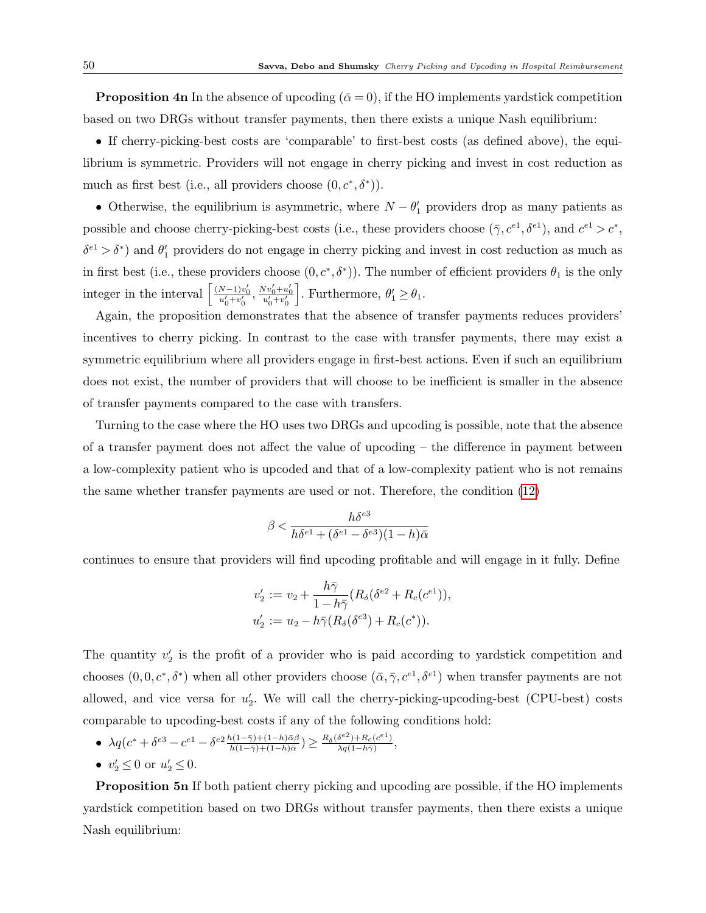**Proposition 4n** In the absence of upcoding  $(\bar{\alpha} = 0)$ , if the HO implements yardstick competition based on two DRGs without transfer payments, then there exists a unique Nash equilibrium:

• If cherry-picking-best costs are 'comparable' to first-best costs (as defined above), the equilibrium is symmetric. Providers will not engage in cherry picking and invest in cost reduction as much as first best (i.e., all providers choose  $(0, c^*, \delta^*)$ ).

• Otherwise, the equilibrium is asymmetric, where  $N - \theta'_1$  providers drop as many patients as possible and choose cherry-picking-best costs (i.e., these providers choose  $(\bar{\gamma}, c^{e_1}, \delta^{e_1})$ , and  $c^{e_1} > c^*$ ,  $\delta^{e_1} > \delta^*$ ) and  $\theta'_1$  providers do not engage in cherry picking and invest in cost reduction as much as in first best (i.e., these providers choose  $(0, c^*, \delta^*)$ ). The number of efficient providers  $\theta_1$  is the only integer in the interval  $\left[\frac{(N-1)v'_0}{u'_0+v'_0}, \frac{Nv'_0+u'_0}{u'_0+v'_0}\right]$ . Furthermore,  $\theta'_1 \ge \theta_1$ .

Again, the proposition demonstrates that the absence of transfer payments reduces providers' incentives to cherry picking. In contrast to the case with transfer payments, there may exist a symmetric equilibrium where all providers engage in first-best actions. Even if such an equilibrium does not exist, the number of providers that will choose to be inefficient is smaller in the absence of transfer payments compared to the case with transfers.

Turning to the case where the HO uses two DRGs and upcoding is possible, note that the absence of a transfer payment does not affect the value of upcoding – the difference in payment between a low-complexity patient who is upcoded and that of a low-complexity patient who is not remains the same whether transfer payments are used or not. Therefore, the condition [\(12\)](#page-20-0)

$$
\beta < \frac{h \delta^{e3}}{h \delta^{e1} + (\delta^{e1} - \delta^{e3})(1 - h) \bar{\alpha}}
$$

continues to ensure that providers will find upcoding profitable and will engage in it fully. Define

$$
v_2' := v_2 + \frac{h\bar{\gamma}}{1 - h\bar{\gamma}} (R_\delta(\delta^{e_2} + R_c(c^{e_1})),
$$
  

$$
u_2' := u_2 - h\bar{\gamma} (R_\delta(\delta^{e_3}) + R_c(c^*)).
$$

The quantity  $v_2'$  is the profit of a provider who is paid according to yardstick competition and chooses  $(0,0,c^*,\delta^*)$  when all other providers choose  $(\bar{\alpha},\bar{\gamma},c^{e_1},\delta^{e_1})$  when transfer payments are not allowed, and vice versa for  $u_2'$ . We will call the cherry-picking-upcoding-best (CPU-best) costs comparable to upcoding-best costs if any of the following conditions hold:

- $\lambda q(c^* + \delta^{e3} c^{e1} \delta^{e2} \frac{h(1-\bar{\gamma}) + (1-h)\bar{\alpha}\beta}{h(1-\bar{\gamma}) + (1-h)\bar{\alpha}}) \geq \frac{R_\delta(\delta^{e2}) + R_c(c^{e1})}{\lambda q(1-h\bar{\gamma})}$  $\frac{\delta^{(-)} + R_c(c^{(-)})}{\lambda q(1-h\bar{\gamma})},$
- $v'_2 \le 0$  or  $u'_2 \le 0$ .

Proposition 5n If both patient cherry picking and upcoding are possible, if the HO implements yardstick competition based on two DRGs without transfer payments, then there exists a unique Nash equilibrium: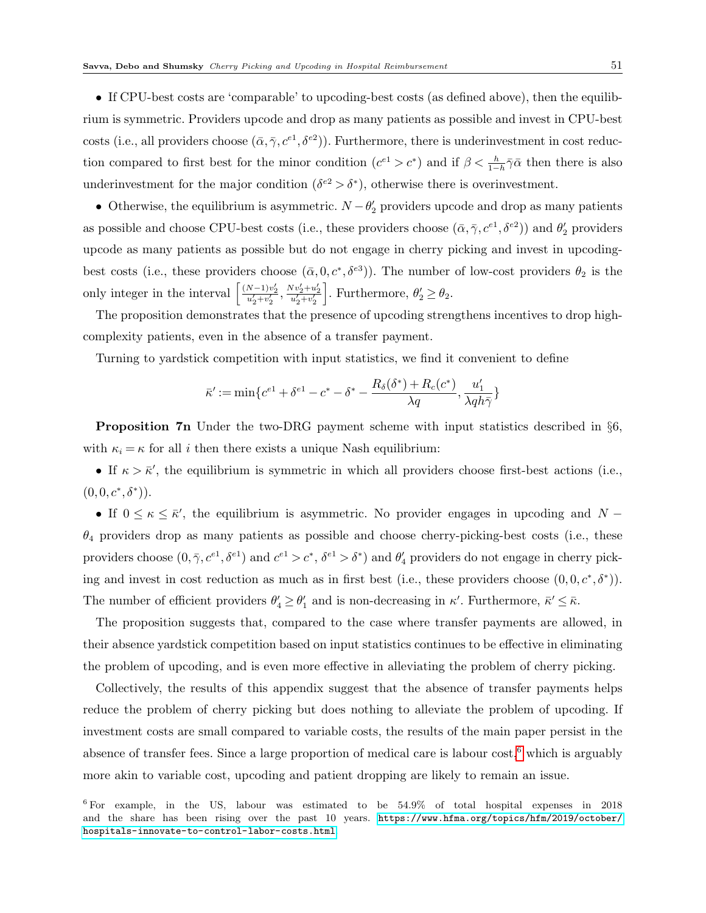• If CPU-best costs are 'comparable' to upcoding-best costs (as defined above), then the equilibrium is symmetric. Providers upcode and drop as many patients as possible and invest in CPU-best costs (i.e., all providers choose  $(\bar{\alpha}, \bar{\gamma}, c^{e_1}, \delta^{e_2})$ ). Furthermore, there is underinvestment in cost reduction compared to first best for the minor condition  $(c^{e_1} > c^*)$  and if  $\beta < \frac{h}{1-h}\overline{\gamma}\overline{\alpha}$  then there is also underinvestment for the major condition ( $\delta^{e2} > \delta^*$ ), otherwise there is overinvestment.

• Otherwise, the equilibrium is asymmetric.  $N - \theta_2'$  providers upcode and drop as many patients as possible and choose CPU-best costs (i.e., these providers choose  $(\bar{\alpha}, \bar{\gamma}, c^{e1}, \delta^{e2})$ ) and  $\theta'_2$  providers upcode as many patients as possible but do not engage in cherry picking and invest in upcodingbest costs (i.e., these providers choose  $(\bar{\alpha}, 0, c^*, \delta^{e3})$ ). The number of low-cost providers  $\theta_2$  is the only integer in the interval  $\left[ \frac{(N-1)v'_2}{u'_2+v'_2}, \frac{Nv'_2+u'_2}{u'_2+v'_2} \right]$ . Furthermore,  $\theta_2 \ge \theta_2$ .

The proposition demonstrates that the presence of upcoding strengthens incentives to drop highcomplexity patients, even in the absence of a transfer payment.

Turning to yardstick competition with input statistics, we find it convenient to define

$$
\bar{\kappa}':=\min\{c^{e1}+\delta^{e1}-c^*-\delta^*-\frac{R_{\delta}(\delta^*)+R_c(c^*)}{\lambda q},\frac{u_1'}{\lambda qh\bar{\gamma}}\}
$$

Proposition 7n Under the two-DRG payment scheme with input statistics described in §6, with  $\kappa_i = \kappa$  for all i then there exists a unique Nash equilibrium:

• If  $\kappa > \bar{\kappa}'$ , the equilibrium is symmetric in which all providers choose first-best actions (i.e.,  $(0,0,c^*,\delta^*)$ .

• If  $0 \leq \kappa \leq \bar{\kappa}'$ , the equilibrium is asymmetric. No provider engages in upcoding and N –  $\theta_4$  providers drop as many patients as possible and choose cherry-picking-best costs (i.e., these providers choose  $(0, \bar{\gamma}, c^{e_1}, \delta^{e_1})$  and  $c^{e_1} > c^*$ ,  $\delta^{e_1} > \delta^*$ ) and  $\theta'_4$  providers do not engage in cherry picking and invest in cost reduction as much as in first best (i.e., these providers choose  $(0,0,c^*,\delta^*)$ ). The number of efficient providers  $\theta'_4 \ge \theta'_1$  and is non-decreasing in  $\kappa'$ . Furthermore,  $\bar{\kappa}' \le \bar{\kappa}$ .

The proposition suggests that, compared to the case where transfer payments are allowed, in their absence yardstick competition based on input statistics continues to be effective in eliminating the problem of upcoding, and is even more effective in alleviating the problem of cherry picking.

Collectively, the results of this appendix suggest that the absence of transfer payments helps reduce the problem of cherry picking but does nothing to alleviate the problem of upcoding. If investment costs are small compared to variable costs, the results of the main paper persist in the absence of transfer fees. Since a large proportion of medical care is labour  $\cos t$ ,<sup>[6](#page-50-0)</sup> which is arguably more akin to variable cost, upcoding and patient dropping are likely to remain an issue.

<span id="page-50-0"></span><sup>6</sup> For example, in the US, labour was estimated to be 54.9% of total hospital expenses in 2018 and the share has been rising over the past 10 years. [https://www.hfma.org/topics/hfm/2019/october/](https://www.hfma.org/topics/hfm/2019/october/hospitals-innovate-to-control-labor-costs.html) [hospitals-innovate-to-control-labor-costs.html](https://www.hfma.org/topics/hfm/2019/october/hospitals-innovate-to-control-labor-costs.html).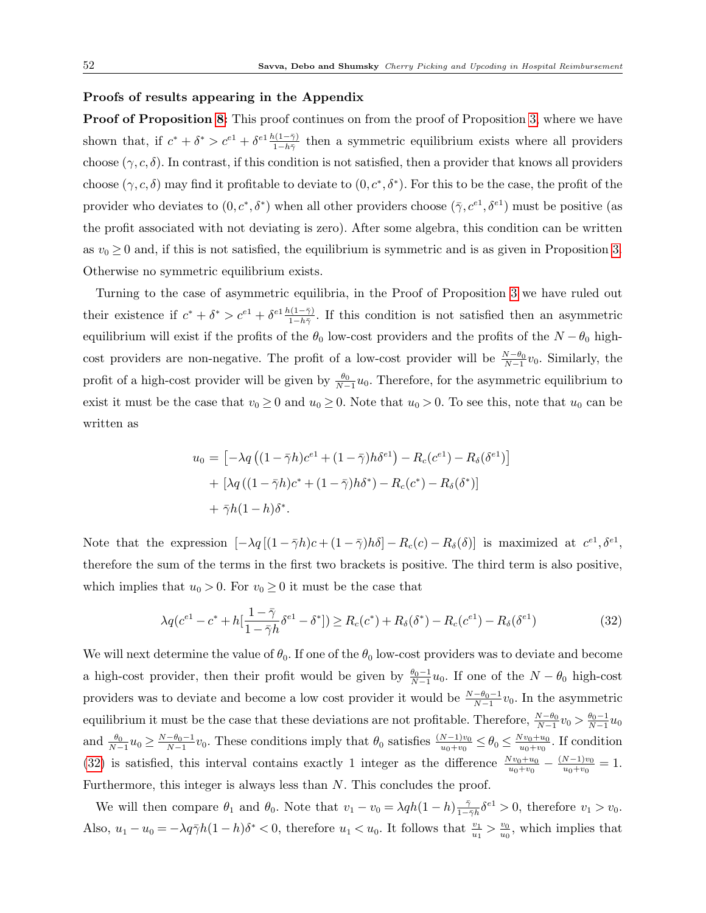### Proofs of results appearing in the Appendix

**Proof of Proposition [8:](#page-43-0)** This proof continues on from the proof of Proposition [3,](#page-15-0) where we have shown that, if  $c^* + \delta^* > c^{e_1} + \delta^{e_1} \frac{h(1-\bar{\gamma})}{1-h\bar{\gamma}}$  then a symmetric equilibrium exists where all providers choose  $(\gamma, c, \delta)$ . In contrast, if this condition is not satisfied, then a provider that knows all providers choose  $(\gamma, c, \delta)$  may find it profitable to deviate to  $(0, c^*, \delta^*)$ . For this to be the case, the profit of the provider who deviates to  $(0, c^*, \delta^*)$  when all other providers choose  $(\bar{\gamma}, c^{e_1}, \delta^{e_1})$  must be positive (as the profit associated with not deviating is zero). After some algebra, this condition can be written as  $v_0 \geq 0$  and, if this is not satisfied, the equilibrium is symmetric and is as given in Proposition [3.](#page-15-0) Otherwise no symmetric equilibrium exists.

Turning to the case of asymmetric equilibria, in the Proof of Proposition [3](#page-15-0) we have ruled out their existence if  $c^* + \delta^* > c^{e_1} + \delta^{e_1} \frac{h(1-\bar{\gamma})}{1-h\bar{\gamma}}$ . If this condition is not satisfied then an asymmetric equilibrium will exist if the profits of the  $\theta_0$  low-cost providers and the profits of the  $N - \theta_0$  highcost providers are non-negative. The profit of a low-cost provider will be  $\frac{N-\theta_0}{N-1}v_0$ . Similarly, the profit of a high-cost provider will be given by  $\frac{\theta_0}{N-1}u_0$ . Therefore, for the asymmetric equilibrium to exist it must be the case that  $v_0 \ge 0$  and  $u_0 \ge 0$ . Note that  $u_0 > 0$ . To see this, note that  $u_0$  can be written as

$$
u_0 = \left[ -\lambda q \left( (1 - \bar{\gamma}h)c^{e_1} + (1 - \bar{\gamma})h\delta^{e_1} \right) - R_c(c^{e_1}) - R_\delta(\delta^{e_1}) \right]
$$

$$
+ \left[ \lambda q \left( (1 - \bar{\gamma}h)c^* + (1 - \bar{\gamma})h\delta^* \right) - R_c(c^*) - R_\delta(\delta^*) \right]
$$

$$
+ \bar{\gamma}h(1 - h)\delta^*.
$$

Note that the expression  $[-\lambda q[(1-\overline{\gamma}h)c+(1-\overline{\gamma})h\delta]-R_c(c)-R_{\delta}(\delta)]$  is maximized at  $c^{e_1},\delta^{e_1},$ therefore the sum of the terms in the first two brackets is positive. The third term is also positive, which implies that  $u_0 > 0$ . For  $v_0 \ge 0$  it must be the case that

<span id="page-51-0"></span>
$$
\lambda q (c^{e_1} - c^* + h[\frac{1 - \bar{\gamma}}{1 - \bar{\gamma}h} \delta^{e_1} - \delta^*]) \ge R_c(c^*) + R_\delta(\delta^*) - R_c(c^{e_1}) - R_\delta(\delta^{e_1})
$$
\n(32)

We will next determine the value of  $\theta_0$ . If one of the  $\theta_0$  low-cost providers was to deviate and become a high-cost provider, then their profit would be given by  $\frac{\theta_0 - 1}{N-1}u_0$ . If one of the  $N - \theta_0$  high-cost providers was to deviate and become a low cost provider it would be  $\frac{N-\theta_0-1}{N-1}v_0$ . In the asymmetric equilibrium it must be the case that these deviations are not profitable. Therefore,  $\frac{N-\theta_0}{N-1}v_0 > \frac{\theta_0-1}{N-1}u_0$ and  $\frac{\theta_0}{N-1}u_0 \ge \frac{N-\theta_0-1}{N-1}v_0$ . These conditions imply that  $\theta_0$  satisfies  $\frac{(N-1)v_0}{u_0+v_0} \le \theta_0 \le \frac{Nv_0+u_0}{u_0+v_0}$  $\frac{w_{0}+w_{0}}{w_{0}+v_{0}}$ . If condition [\(32\)](#page-51-0) is satisfied, this interval contains exactly 1 integer as the difference  $\frac{Nv_0+u_0}{u_0+v_0} - \frac{(N-1)v_0}{u_0+v_0}$  $\frac{u_0-v_0}{u_0+v_0}=1.$ Furthermore, this integer is always less than N. This concludes the proof.

We will then compare  $\theta_1$  and  $\theta_0$ . Note that  $v_1 - v_0 = \lambda q h (1 - h) \frac{\bar{\gamma}}{1 - \bar{\gamma}}$  $\frac{\bar{\gamma}}{1-\bar{\gamma}h}\delta^{e1} > 0$ , therefore  $v_1 > v_0$ . Also,  $u_1 - u_0 = -\lambda q \bar{\gamma} h (1 - h) \delta^* < 0$ , therefore  $u_1 < u_0$ . It follows that  $\frac{v_1}{u_1} > \frac{v_0}{u_0}$  $\frac{v_0}{u_0}$ , which implies that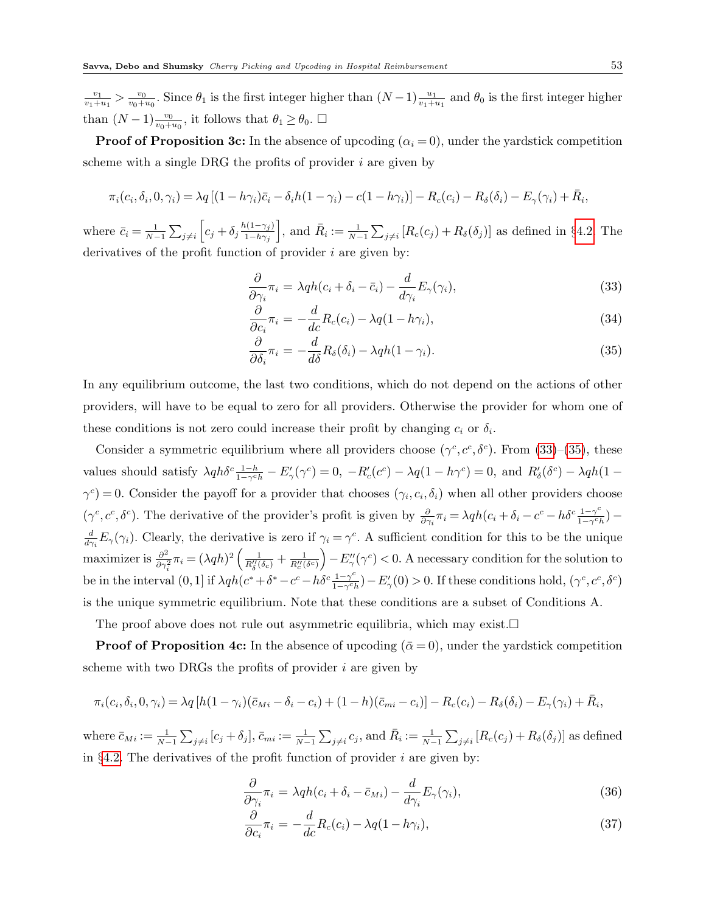$v_1$  $\frac{v_1}{v_1+u_1} > \frac{v_0}{v_0+1}$  $\frac{v_0}{v_0+u_0}$ . Since  $\theta_1$  is the first integer higher than  $(N-1)\frac{u_1}{v_1+u_1}$  and  $\theta_0$  is the first integer higher than  $(N-1) \frac{v_0}{v_0 + u_0}$ , it follows that  $\theta_1 \ge \theta_0$ .  $\Box$ 

**Proof of Proposition 3c:** In the absence of upcoding  $(\alpha_i = 0)$ , under the yardstick competition scheme with a single DRG the profits of provider  $i$  are given by

$$
\pi_i(c_i,\delta_i,0,\gamma_i) = \lambda q \left[ (1-h\gamma_i)\bar{c}_i - \delta_i h(1-\gamma_i) - c(1-h\gamma_i) \right] - R_c(c_i) - R_{\delta}(\delta_i) - E_{\gamma}(\gamma_i) + \bar{R}_i,
$$

where  $\bar{c}_i = \frac{1}{N-1} \sum_{j \neq i} \left[ c_j + \delta_j \frac{h(1-\gamma_j)}{1-h\gamma_j} \right]$  $1-h\gamma_j$ , and  $\bar{R}_i := \frac{1}{N-1} \sum_{j \neq i} [R_c(c_j) + R_\delta(\delta_j)]$  as defined in §[4.2.](#page-13-2) The derivatives of the profit function of provider  $i$  are given by:

<span id="page-52-0"></span>
$$
\frac{\partial}{\partial \gamma_i} \pi_i = \lambda q h (c_i + \delta_i - \bar{c}_i) - \frac{d}{d \gamma_i} E_{\gamma}(\gamma_i), \tag{33}
$$

$$
\frac{\partial}{\partial c_i} \pi_i = -\frac{d}{dc} R_c(c_i) - \lambda q (1 - h \gamma_i), \tag{34}
$$

$$
\frac{\partial}{\partial \delta_i} \pi_i = -\frac{d}{d\delta} R_\delta(\delta_i) - \lambda q h (1 - \gamma_i). \tag{35}
$$

In any equilibrium outcome, the last two conditions, which do not depend on the actions of other providers, will have to be equal to zero for all providers. Otherwise the provider for whom one of these conditions is not zero could increase their profit by changing  $c_i$  or  $\delta_i$ .

Consider a symmetric equilibrium where all providers choose  $(\gamma^c, c^c, \delta^c)$ . From [\(33\)](#page-52-0)–[\(35\)](#page-52-0), these values should satisfy  $\lambda q h \delta^c \frac{1-h}{1-\gamma^c h} - E'_{\gamma}(\gamma^c) = 0$ ,  $-R'_c(c^c) - \lambda q(1-h\gamma^c) = 0$ , and  $R'_\delta(\delta^c) - \lambda q h(1-h\gamma^c)$  $\gamma^c$  = 0. Consider the payoff for a provider that chooses  $(\gamma_i, c_i, \delta_i)$  when all other providers choose  $(\gamma^c, c^c, \delta^c)$ . The derivative of the provider's profit is given by  $\frac{\partial}{\partial \gamma_i} \pi_i = \lambda q h (c_i + \delta_i - c^c - h \delta^c \frac{1 - \gamma^c}{1 - \gamma^c h})$  $\frac{1-\gamma^{c}}{1-\gamma^{c}h})$  d  $\frac{d}{d\gamma_i}E_\gamma(\gamma_i)$ . Clearly, the derivative is zero if  $\gamma_i = \gamma^c$ . A sufficient condition for this to be the unique maximizer is  $\frac{\partial^2}{\partial x^2}$  $\frac{\partial^2}{\partial \gamma_i^2} \pi_i = (\lambda q h)^2 \left( \frac{1}{R''_\delta(\delta_c)} + \frac{1}{R''_\delta(\delta^c)} \right) - E''_\gamma(\gamma^c) < 0.$  A necessary condition for the solution to be in the interval  $(0,1]$  if  $\lambda q h (c^* + \delta^* - c^c - h \delta^c \frac{1-\gamma^c}{1-\gamma^c})$  $\frac{1-\gamma^{c}}{1-\gamma^{c}h}$ ) –  $E'_{\gamma}(0) > 0$ . If these conditions hold,  $(\gamma^{c}, c^{c}, \delta^{c})$ is the unique symmetric equilibrium. Note that these conditions are a subset of Conditions A.

The proof above does not rule out asymmetric equilibria, which may exist.  $\Box$ 

**Proof of Proposition 4c:** In the absence of upcoding  $(\bar{\alpha} = 0)$ , under the yardstick competition scheme with two DRGs the profits of provider  $i$  are given by

$$
\pi_i(c_i, \delta_i, 0, \gamma_i) = \lambda q [h(1 - \gamma_i)(\bar{c}_{Mi} - \delta_i - c_i) + (1 - h)(\bar{c}_{mi} - c_i)] - R_c(c_i) - R_{\delta}(\delta_i) - E_{\gamma}(\gamma_i) + \bar{R}_i,
$$

where  $\bar{c}_{Mi} := \frac{1}{N-1} \sum_{j \neq i} [c_j + \delta_j], \bar{c}_{mi} := \frac{1}{N-1} \sum_{j \neq i} c_j$ , and  $\bar{R}_i := \frac{1}{N-1} \sum_{j \neq i} [R_c(c_j) + R_{\delta}(\delta_j)]$  as defined in  $\S 4.2$ . The derivatives of the profit function of provider *i* are given by:

<span id="page-52-1"></span>
$$
\frac{\partial}{\partial \gamma_i} \pi_i = \lambda q h (c_i + \delta_i - \bar{c}_{Mi}) - \frac{d}{d \gamma_i} E_\gamma(\gamma_i), \tag{36}
$$

$$
\frac{\partial}{\partial c_i} \pi_i = -\frac{d}{dc} R_c(c_i) - \lambda q (1 - h \gamma_i), \tag{37}
$$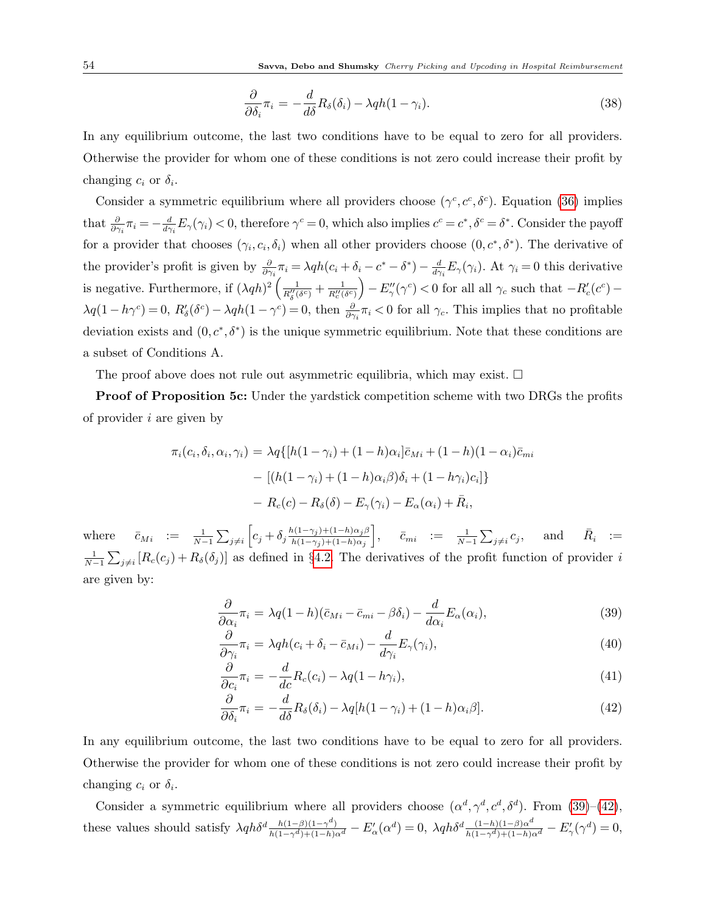$$
\frac{\partial}{\partial \delta_i} \pi_i = -\frac{d}{d\delta} R_\delta(\delta_i) - \lambda q h (1 - \gamma_i). \tag{38}
$$

In any equilibrium outcome, the last two conditions have to be equal to zero for all providers. Otherwise the provider for whom one of these conditions is not zero could increase their profit by changing  $c_i$  or  $\delta_i$ .

Consider a symmetric equilibrium where all providers choose  $(\gamma^c, c^c, \delta^c)$ . Equation [\(36\)](#page-52-1) implies that  $\frac{\partial}{\partial \gamma_i} \pi_i = -\frac{d}{d\gamma_i}$  $\frac{d}{d\gamma_i}E_\gamma(\gamma_i) < 0$ , therefore  $\gamma^c = 0$ , which also implies  $c^c = c^*, \delta^c = \delta^*$ . Consider the payoff for a provider that chooses  $(\gamma_i, c_i, \delta_i)$  when all other providers choose  $(0, c^*, \delta^*)$ . The derivative of the provider's profit is given by  $\frac{\partial}{\partial \gamma_i} \pi_i = \lambda q h (c_i + \delta_i - c^* - \delta^*) - \frac{d}{d \gamma}$  $\frac{d}{d\gamma_i}E_{\gamma}(\gamma_i)$ . At  $\gamma_i=0$  this derivative is negative. Furthermore, if  $(\lambda q h)^2 \left( \frac{1}{R_0''(\delta^c)} + \frac{1}{R_c''(\delta^c)} \right) - E_{\gamma}''(\gamma^c) < 0$  for all all  $\gamma_c$  such that  $-R_c'(c^c)$  $\lambda q(1-h\gamma^c)=0, R'_\delta(\delta^c)-\lambda qh(1-\gamma^c)=0$ , then  $\frac{\partial}{\partial \gamma_i}\pi_i<0$  for all  $\gamma_c$ . This implies that no profitable deviation exists and  $(0, c^*, \delta^*)$  is the unique symmetric equilibrium. Note that these conditions are a subset of Conditions A.

The proof above does not rule out asymmetric equilibria, which may exist.  $\Box$ 

Proof of Proposition 5c: Under the yardstick competition scheme with two DRGs the profits of provider i are given by

$$
\pi_i(c_i, \delta_i, \alpha_i, \gamma_i) = \lambda q \{ [h(1 - \gamma_i) + (1 - h)\alpha_i] \bar{c}_{Mi} + (1 - h)(1 - \alpha_i) \bar{c}_{mi} - [(h(1 - \gamma_i) + (1 - h)\alpha_i \beta)\delta_i + (1 - h\gamma_i)c_i] \}
$$

$$
- R_c(c) - R_{\delta}(\delta) - E_{\gamma}(\gamma_i) - E_{\alpha}(\alpha_i) + \bar{R}_i,
$$

where  $\bar{c}_{Mi}$  :=  $\frac{1}{N-1} \sum_{j \neq i} \left[ c_j + \delta_j \frac{h(1-\gamma_j)+(1-h)\alpha_j \beta_j}{h(1-\gamma_j)+(1-h)\alpha_j} \right]$  $h(1-\gamma_j)+(1-h)\alpha_j$  $\Big], \quad \bar{c}_{mi} \hspace{3pt} := \hspace{3pt} \frac{1}{N-1} \sum_{j \neq i} c_j, \quad \text{ and } \quad \bar{R}_i \hspace{3pt} := \nonumber$  $\frac{1}{N-1}\sum_{j\neq i}[R_c(c_j)+R_\delta(\delta_j)]$  as defined in §[4.2.](#page-13-2) The derivatives of the profit function of provider i are given by:

<span id="page-53-0"></span>
$$
\frac{\partial}{\partial \alpha_i} \pi_i = \lambda q (1 - h)(\bar{c}_{Mi} - \bar{c}_{mi} - \beta \delta_i) - \frac{d}{d \alpha_i} E_\alpha(\alpha_i), \tag{39}
$$

$$
\frac{\partial}{\partial \gamma_i} \pi_i = \lambda q h (c_i + \delta_i - \bar{c}_{Mi}) - \frac{d}{d \gamma_i} E_\gamma(\gamma_i), \tag{40}
$$

$$
\frac{\partial}{\partial c_i} \pi_i = -\frac{d}{dc} R_c(c_i) - \lambda q (1 - h \gamma_i), \tag{41}
$$

$$
\frac{\partial}{\partial \delta_i} \pi_i = -\frac{d}{d\delta} R_\delta(\delta_i) - \lambda q [h(1-\gamma_i) + (1-h)\alpha_i \beta]. \tag{42}
$$

In any equilibrium outcome, the last two conditions have to be equal to zero for all providers. Otherwise the provider for whom one of these conditions is not zero could increase their profit by changing  $c_i$  or  $\delta_i$ .

Consider a symmetric equilibrium where all providers choose  $(\alpha^d, \gamma^d, c^d, \delta^d)$ . From  $(39)$ – $(42)$ , these values should satisfy  $\lambda q h \delta^d \frac{h(1-\beta)(1-\gamma^d)}{h(1-\gamma^d)+(1-h)\alpha^d} - E'_{\alpha}(\alpha^d) = 0$ ,  $\lambda q h \delta^d \frac{(1-h)(1-\beta)\alpha^d}{h(1-\gamma^d)+(1-h)\alpha^d} - E'_{\gamma}(\gamma^d) = 0$ ,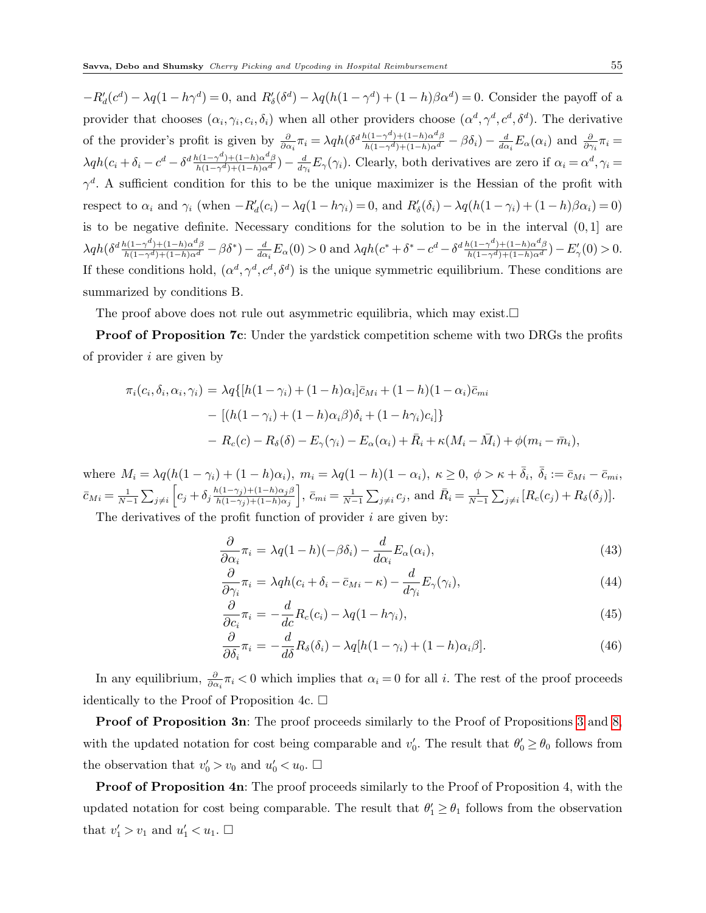$-R'_d(c^d) - \lambda q(1-h\gamma^d) = 0$ , and  $R'_\delta(\delta^d) - \lambda q(h(1-\gamma^d) + (1-h)\beta\alpha^d) = 0$ . Consider the payoff of a provider that chooses  $(\alpha_i, \gamma_i, c_i, \delta_i)$  when all other providers choose  $(\alpha^d, \gamma^d, c^d, \delta^d)$ . The derivative of the provider's profit is given by  $\frac{\partial}{\partial \alpha_i} \pi_i = \lambda q h (\delta^d \frac{h(1-\gamma^d)+(1-h)\alpha^d \beta}{h(1-\gamma^d)+(1-h)\alpha^d} - \beta \delta_i) - \frac{d}{d \alpha^d}$  $\frac{d}{d\alpha_i}E_\alpha(\alpha_i)$  and  $\frac{\partial}{\partial\gamma_i}\pi_i=$  $\lambda q h(c_i + \delta_i - c^d - \delta^d \frac{h(1-\gamma^d)+(1-h)\alpha^d \beta}{h(1-\gamma^d)+(1-h)\alpha^d}) - \frac{d}{d \gamma}$  $\frac{d}{d\gamma_i}E_{\gamma}(\gamma_i)$ . Clearly, both derivatives are zero if  $\alpha_i = \alpha^d, \gamma_i =$  $\gamma^d$ . A sufficient condition for this to be the unique maximizer is the Hessian of the profit with respect to  $\alpha_i$  and  $\gamma_i$  (when  $-R'_d(c_i) - \lambda q(1 - h\gamma_i) = 0$ , and  $R'_\delta(\delta_i) - \lambda q(h(1 - \gamma_i) + (1 - h)\beta \alpha_i) = 0)$ is to be negative definite. Necessary conditions for the solution to be in the interval  $(0,1]$  are  $\lambda q h(\delta^{d} \frac{h(1-\gamma^d)+(1-h)\alpha^d \beta}{h(1-\gamma^d)+(1-h)\alpha^d} - \beta \delta^*) - \frac{d}{d \alpha}$  $\frac{d}{d\alpha_i}E_\alpha(0) > 0$  and  $\lambda qh(c^* + \delta^* - c^d - \delta^d \frac{h(1-\gamma^d)+(1-h)\alpha^d\beta}{h(1-\gamma^d)+(1-h)\alpha^d}) - E'_\gamma(0) > 0.$ If these conditions hold,  $(\alpha^d, \gamma^d, c^d, \delta^d)$  is the unique symmetric equilibrium. These conditions are summarized by conditions B.

The proof above does not rule out asymmetric equilibria, which may exist.  $\square$ 

Proof of Proposition 7c: Under the yardstick competition scheme with two DRGs the profits of provider i are given by

$$
\pi_i(c_i, \delta_i, \alpha_i, \gamma_i) = \lambda q \{ [h(1-\gamma_i) + (1-h)\alpha_i] \bar{c}_{Mi} + (1-h)(1-\alpha_i)\bar{c}_{mi}
$$

$$
- [(h(1-\gamma_i) + (1-h)\alpha_i\beta)\delta_i + (1-h\gamma_i)c_i] \}
$$

$$
- R_c(c) - R_\delta(\delta) - E_\gamma(\gamma_i) - E_\alpha(\alpha_i) + \bar{R}_i + \kappa(M_i - \bar{M}_i) + \phi(m_i - \bar{m}_i),
$$

where  $M_i = \lambda q(h(1-\gamma_i) + (1-h)\alpha_i)$ ,  $m_i = \lambda q(1-h)(1-\alpha_i)$ ,  $\kappa \geq 0$ ,  $\phi > \kappa + \overline{\delta}_i$ ,  $\overline{\delta}_i := \overline{c}_{Mi} - \overline{c}_{mi}$ ,  $\bar{c}_{Mi} = \frac{1}{N-1} \sum_{j \neq i} \left[ c_j + \delta_j \frac{h(1-\gamma_j)+(1-h)\alpha_j \beta_j}{h(1-\gamma_j)+(1-h)\alpha_j} \right]$  $h(1-\gamma_j)+(1-h)\alpha_j$  $\bar{c}_{mi} = \frac{1}{N-1} \sum_{j \neq i} c_j$ , and  $\bar{R}_i = \frac{1}{N-1} \sum_{j \neq i} [R_c(c_j) + R_{\delta}(\delta_j)].$ 

The derivatives of the profit function of provider  $i$  are given by:

$$
\frac{\partial}{\partial \alpha_i} \pi_i = \lambda q (1 - h)(-\beta \delta_i) - \frac{d}{d \alpha_i} E_\alpha(\alpha_i), \tag{43}
$$

$$
\frac{\partial}{\partial \gamma_i} \pi_i = \lambda q h (c_i + \delta_i - \bar{c}_{Mi} - \kappa) - \frac{d}{d \gamma_i} E_{\gamma}(\gamma_i), \tag{44}
$$

$$
\frac{\partial}{\partial c_i} \pi_i = -\frac{d}{dc} R_c(c_i) - \lambda q (1 - h \gamma_i), \tag{45}
$$

$$
\frac{\partial}{\partial \delta_i} \pi_i = -\frac{d}{d\delta} R_\delta(\delta_i) - \lambda q [h(1-\gamma_i) + (1-h)\alpha_i \beta]. \tag{46}
$$

In any equilibrium,  $\frac{\partial}{\partial \alpha_i} \pi_i < 0$  which implies that  $\alpha_i = 0$  for all i. The rest of the proof proceeds identically to the Proof of Proposition 4c.  $\Box$ 

Proof of Proposition [3](#page-15-0)n: The proof proceeds similarly to the Proof of Propositions 3 and [8,](#page-43-0) with the updated notation for cost being comparable and  $v'_0$ . The result that  $\theta'_0 \ge \theta_0$  follows from the observation that  $v'_0 > v_0$  and  $u'_0 < u_0$ .  $\Box$ 

**Proof of Proposition 4n:** The proof proceeds similarly to the Proof of Proposition 4, with the updated notation for cost being comparable. The result that  $\theta_1 \ge \theta_1$  follows from the observation that  $v'_1 > v_1$  and  $u'_1 < u_1$ .  $\Box$